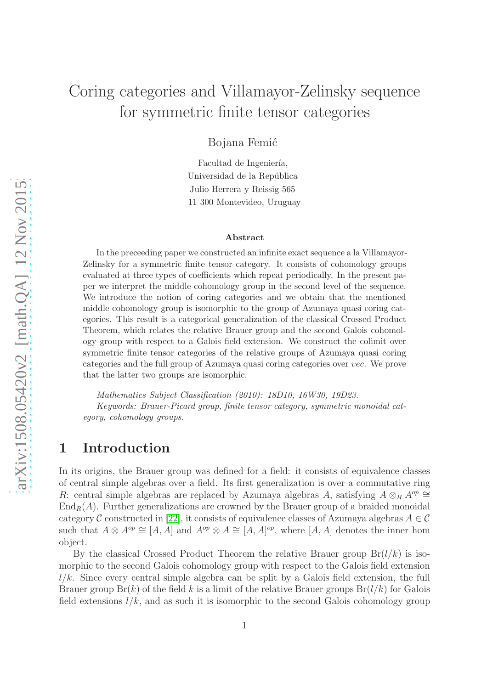# Coring categories and Villamayor-Zelinsky sequence for symmetric finite tensor categories

Bojana Femić

Facultad de Ingeniería, Universidad de la República Julio Herrera y Reissig 565 11 300 Montevideo, Uruguay

#### Abstract

In the preceeding paper we constructed an infinite exact sequence a la Villamayor-Zelinsky for a symmetric finite tensor category. It consists of cohomology groups evaluated at three types of coefficients which repeat periodically. In the present paper we interpret the middle cohomology group in the second level of the sequence. We introduce the notion of coring categories and we obtain that the mentioned middle cohomology group is isomorphic to the group of Azumaya quasi coring categories. This result is a categorical generalization of the classical Crossed Product Theorem, which relates the relative Brauer group and the second Galois cohomology group with respect to a Galois field extension. We construct the colimit over symmetric finite tensor categories of the relative groups of Azumaya quasi coring categories and the full group of Azumaya quasi coring categories over vec. We prove that the latter two groups are isomorphic.

Mathematics Subject Classification (2010): 18D10, 16W30, 19D23. Keywords: Brauer-Picard group, finite tensor category, symmetric monoidal category, cohomology groups.

### 1 Introduction

In its origins, the Brauer group was defined for a field: it consists of equivalence classes of central simple algebras over a field. Its first generalization is over a commutative ring R: central simple algebras are replaced by Azumaya algebras A, satisfying  $A \otimes_R A^{op} \cong$  $\text{End}_R(A)$ . Further generalizations are crowned by the Brauer group of a braided monoidal category C constructed in [\[22\]](#page-41-0), it consists of equivalence classes of Azumaya algebras  $A \in \mathcal{C}$ such that  $A \otimes A^{op} \cong [A, A]$  and  $A^{op} \otimes A \cong [A, A]^{op}$ , where  $[A, A]$  denotes the inner hom object.

By the classical Crossed Product Theorem the relative Brauer group  $Br(l/k)$  is isomorphic to the second Galois cohomology group with respect to the Galois field extension  $l/k$ . Since every central simple algebra can be split by a Galois field extension, the full Brauer group  $Br(k)$  of the field k is a limit of the relative Brauer groups  $Br(l/k)$  for Galois field extensions  $l/k$ , and as such it is isomorphic to the second Galois cohomology group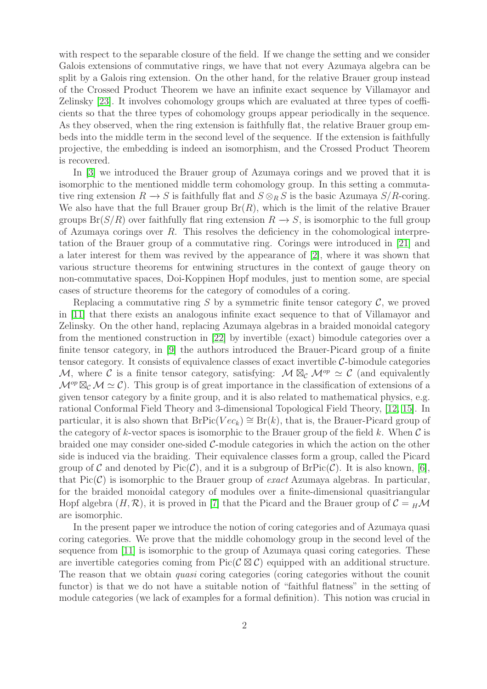with respect to the separable closure of the field. If we change the setting and we consider Galois extensions of commutative rings, we have that not every Azumaya algebra can be split by a Galois ring extension. On the other hand, for the relative Brauer group instead of the Crossed Product Theorem we have an infinite exact sequence by Villamayor and Zelinsky [\[23\]](#page-41-1). It involves cohomology groups which are evaluated at three types of coefficients so that the three types of cohomology groups appear periodically in the sequence. As they observed, when the ring extension is faithfully flat, the relative Brauer group embeds into the middle term in the second level of the sequence. If the extension is faithfully projective, the embedding is indeed an isomorphism, and the Crossed Product Theorem is recovered.

In [\[3\]](#page-40-0) we introduced the Brauer group of Azumaya corings and we proved that it is isomorphic to the mentioned middle term cohomology group. In this setting a commutative ring extension  $R \to S$  is faithfully flat and  $S \otimes_R S$  is the basic Azumaya  $S/R$ -coring. We also have that the full Brauer group  $Br(R)$ , which is the limit of the relative Brauer groups  $Br(S/R)$  over faithfully flat ring extension  $R \to S$ , is isomorphic to the full group of Azumaya corings over  $R$ . This resolves the deficiency in the cohomological interpretation of the Brauer group of a commutative ring. Corings were introduced in [\[21\]](#page-41-2) and a later interest for them was revived by the appearance of [\[2\]](#page-39-0), where it was shown that various structure theorems for entwining structures in the context of gauge theory on non-commutative spaces, Doi-Koppinen Hopf modules, just to mention some, are special cases of structure theorems for the category of comodules of a coring.

Replacing a commutative ring S by a symmetric finite tensor category  $\mathcal{C}$ , we proved in [\[11\]](#page-40-1) that there exists an analogous infinite exact sequence to that of Villamayor and Zelinsky. On the other hand, replacing Azumaya algebras in a braided monoidal category from the mentioned construction in [\[22\]](#page-41-0) by invertible (exact) bimodule categories over a finite tensor category, in [\[9\]](#page-40-2) the authors introduced the Brauer-Picard group of a finite tensor category. It consists of equivalence classes of exact invertible  $C$ -bimodule categories M, where C is a finite tensor category, satisfying:  $M \boxtimes_{\mathcal{C}} M^{op} \simeq \mathcal{C}$  (and equivalently  $\mathcal{M}^{op} \boxtimes_{\mathcal{C}} \mathcal{M} \simeq \mathcal{C}$ . This group is of great importance in the classification of extensions of a given tensor category by a finite group, and it is also related to mathematical physics, e.g. rational Conformal Field Theory and 3-dimensional Topological Field Theory, [\[12,](#page-40-3) [15\]](#page-40-4). In particular, it is also shown that BrPic( $Vec_k$ ) ≅ Br(k), that is, the Brauer-Picard group of the category of k-vector spaces is isomorphic to the Brauer group of the field  $k$ . When  $\mathcal C$  is braided one may consider one-sided C-module categories in which the action on the other side is induced via the braiding. Their equivalence classes form a group, called the Picard group of C and denoted by Pic(C), and it is a subgroup of  $BrPic(C)$ . It is also known, [\[6\]](#page-40-5), that  $Pic(\mathcal{C})$  is isomorphic to the Brauer group of *exact* Azumaya algebras. In particular, for the braided monoidal category of modules over a finite-dimensional quasitriangular Hopf algebra  $(H, \mathcal{R})$ , it is proved in [\[7\]](#page-40-6) that the Picard and the Brauer group of  $\mathcal{C} = H\mathcal{M}$ are isomorphic.

In the present paper we introduce the notion of coring categories and of Azumaya quasi coring categories. We prove that the middle cohomology group in the second level of the sequence from [\[11\]](#page-40-1) is isomorphic to the group of Azumaya quasi coring categories. These are invertible categories coming from  $Pic(C \boxtimes C)$  equipped with an additional structure. The reason that we obtain *quasi* coring categories (coring categories without the counit functor) is that we do not have a suitable notion of "faithful flatness" in the setting of module categories (we lack of examples for a formal definition). This notion was crucial in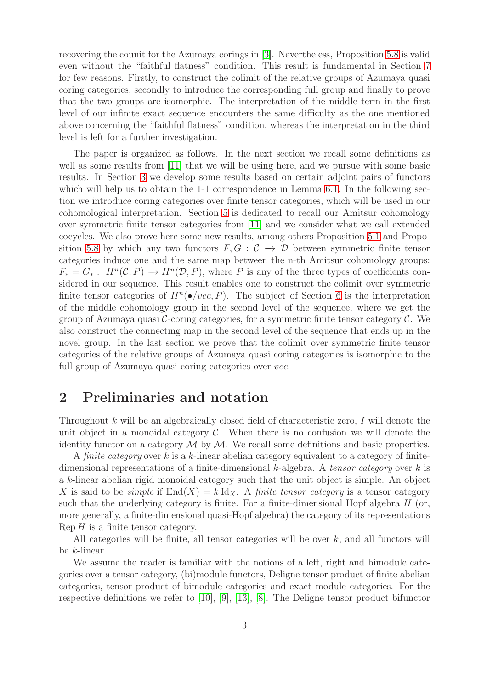recovering the counit for the Azumaya corings in [\[3\]](#page-40-0). Nevertheless, Proposition [5.8](#page-24-0) is valid even without the "faithful flatness" condition. This result is fundamental in Section [7](#page-34-0) for few reasons. Firstly, to construct the colimit of the relative groups of Azumaya quasi coring categories, secondly to introduce the corresponding full group and finally to prove that the two groups are isomorphic. The interpretation of the middle term in the first level of our infinite exact sequence encounters the same difficulty as the one mentioned above concerning the "faithful flatness" condition, whereas the interpretation in the third level is left for a further investigation.

The paper is organized as follows. In the next section we recall some definitions as well as some results from [\[11\]](#page-40-1) that we will be using here, and we pursue with some basic results. In Section [3](#page-8-0) we develop some results based on certain adjoint pairs of functors which will help us to obtain the 1-1 correspondence in Lemma [6.1.](#page-25-0) In the following section we introduce coring categories over finite tensor categories, which will be used in our cohomological interpretation. Section [5](#page-16-0) is dedicated to recall our Amitsur cohomology over symmetric finite tensor categories from [\[11\]](#page-40-1) and we consider what we call extended cocycles. We also prove here some new results, among others Proposition [5.1](#page-16-1) and Propo-sition [5.8](#page-24-0) by which any two functors  $F, G : C \rightarrow \mathcal{D}$  between symmetric finite tensor categories induce one and the same map between the n-th Amitsur cohomology groups:  $F_* = G_* : H^n(\mathcal{C}, P) \to H^n(\mathcal{D}, P)$ , where P is any of the three types of coefficients considered in our sequence. This result enables one to construct the colimit over symmetric finite tensor categories of  $H^n(\bullet / vec, P)$ . The subject of Section [6](#page-25-1) is the interpretation of the middle cohomology group in the second level of the sequence, where we get the group of Azumaya quasi  $\mathcal{C}$ -coring categories, for a symmetric finite tensor category  $\mathcal{C}$ . We also construct the connecting map in the second level of the sequence that ends up in the novel group. In the last section we prove that the colimit over symmetric finite tensor categories of the relative groups of Azumaya quasi coring categories is isomorphic to the full group of Azumaya quasi coring categories over *vec*.

### 2 Preliminaries and notation

Throughout  $k$  will be an algebraically closed field of characteristic zero,  $I$  will denote the unit object in a monoidal category  $C$ . When there is no confusion we will denote the identity functor on a category  $M$  by  $M$ . We recall some definitions and basic properties.

A *finite category* over k is a k-linear abelian category equivalent to a category of finitedimensional representations of a finite-dimensional k-algebra. A *tensor category* over k is a k-linear abelian rigid monoidal category such that the unit object is simple. An object X is said to be *simple* if  $End(X) = k \, Id_X$ . A *finite tensor category* is a tensor category such that the underlying category is finite. For a finite-dimensional Hopf algebra  $H$  (or, more generally, a finite-dimensional quasi-Hopf algebra) the category of its representations  $\text{Rep } H$  is a finite tensor category.

All categories will be finite, all tensor categories will be over  $k$ , and all functors will be k-linear.

We assume the reader is familiar with the notions of a left, right and bimodule categories over a tensor category, (bi)module functors, Deligne tensor product of finite abelian categories, tensor product of bimodule categories and exact module categories. For the respective definitions we refer to [\[10\]](#page-40-7), [\[9\]](#page-40-2), [\[13\]](#page-40-8), [\[8\]](#page-40-9). The Deligne tensor product bifunctor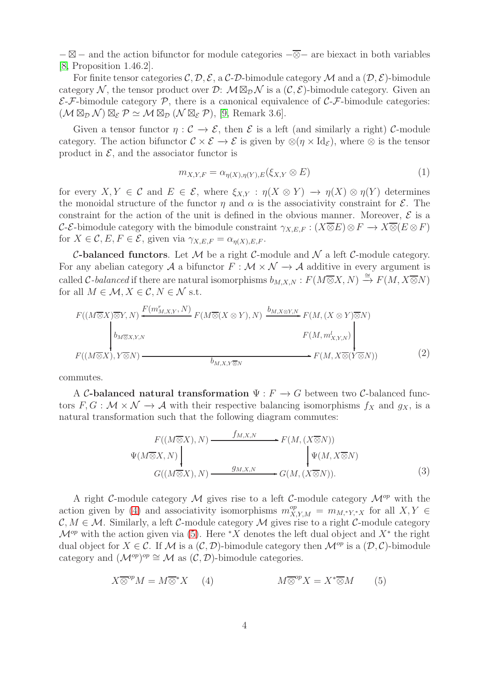$-\boxtimes -$  and the action bifunctor for module categories  $-\overline{\otimes}-$  are biexact in both variables [\[8,](#page-40-9) Proposition 1.46.2].

For finite tensor categories C, D, E, a C-D-bimodule category M and a  $(D, \mathcal{E})$ -bimodule category N, the tensor product over D:  $\mathcal{M} \boxtimes_{\mathcal{D}} \mathcal{N}$  is a  $(\mathcal{C}, \mathcal{E})$ -bimodule category. Given an  $\mathcal{E}\text{-}\mathcal{F}\text{-bimodule category }\mathcal{P},$  there is a canonical equivalence of  $\mathcal{C}\text{-}\mathcal{F}\text{-bimodule categories:}$  $(\mathcal{M} \boxtimes_{\mathcal{D}} \mathcal{N}) \boxtimes_{\mathcal{E}} \mathcal{P} \simeq \mathcal{M} \boxtimes_{\mathcal{D}} (\mathcal{N} \boxtimes_{\mathcal{E}} \mathcal{P}),$  [\[9,](#page-40-2) Remark 3.6].

Given a tensor functor  $\eta: \mathcal{C} \to \mathcal{E}$ , then  $\mathcal{E}$  is a left (and similarly a right) C-module category. The action bifunctor  $\mathcal{C} \times \mathcal{E} \to \mathcal{E}$  is given by  $\otimes (\eta \times \mathrm{Id}_{\mathcal{E}})$ , where  $\otimes$  is the tensor product in  $\mathcal{E}$ , and the associator functor is

<span id="page-3-4"></span>
$$
m_{X,Y,F} = \alpha_{\eta(X),\eta(Y),E}(\xi_{X,Y} \otimes E)
$$
\n<sup>(1)</sup>

for every  $X, Y \in \mathcal{C}$  and  $E \in \mathcal{E}$ , where  $\xi_{X,Y} : \eta(X \otimes Y) \to \eta(X) \otimes \eta(Y)$  determines the monoidal structure of the functor  $\eta$  and  $\alpha$  is the associativity constraint for  $\mathcal{E}$ . The constraint for the action of the unit is defined in the obvious manner. Moreover,  $\mathcal E$  is a C-E-bimodule category with the bimodule constraint  $\gamma_{X,E,F} : (X \overline{\otimes} E) \otimes F \to X \overline{\otimes} (E \otimes F)$ for  $X \in \mathcal{C}, E, F \in \mathcal{E}$ , given via  $\gamma_{X,E,F} = \alpha_{\eta(X),E,F}$ .

**C-balanced functors.** Let  $M$  be a right C-module and  $N$  a left C-module category. For any abelian category A a bifunctor  $F : \mathcal{M} \times \mathcal{N} \to \mathcal{A}$  additive in every argument is called C-balanced if there are natural isomorphisms  $b_{M,X,N}: F(M\overline{\otimes}X, N) \stackrel{\cong}{\to} F(M, X\overline{\otimes}N)$ for all  $M \in \mathcal{M}, X \in \mathcal{C}, N \in \mathcal{N}$  s.t.

$$
F((M \overline{\otimes} X) \overline{\otimes} Y, N) \xleftarrow{F(m_{M,X,Y}^r, N)} F(M \overline{\otimes} (X \otimes Y), N) \xrightarrow{b_{M,X \otimes Y,N}} F(M, (X \otimes Y) \overline{\otimes} N)
$$
  
\n
$$
F(M, m_{X,Y,N}^l)
$$
\n
$$
F(M, m_{X,Y,N}^l)
$$
\n
$$
F(M, X \overline{\otimes} (Y \overline{\otimes} N))
$$
\n
$$
(2)
$$

<span id="page-3-2"></span>commutes.

A C-balanced natural transformation  $\Psi : F \to G$  between two C-balanced functors  $F, G: \mathcal{M} \times \mathcal{N} \to \mathcal{A}$  with their respective balancing isomorphisms  $f_X$  and  $g_X$ , is a natural transformation such that the following diagram commutes:

<span id="page-3-3"></span>
$$
F((M \overline{\otimes} X), N) \xrightarrow{f_{M,X,N}} F(M, (X \overline{\otimes} N))
$$
  
\n
$$
\Psi(M \overline{\otimes} X, N) \downarrow \qquad \qquad \downarrow \Psi(M, X \overline{\otimes} N)
$$
  
\n
$$
G((M \overline{\otimes} X), N) \xrightarrow{g_{M,X,N}} G(M, (X \overline{\otimes} N)).
$$
\n(3)

A right C-module category M gives rise to a left C-module category  $\mathcal{M}^{op}$  with the action given by [\(4\)](#page-3-0) and associativity isomorphisms  $m_{X,Y,M}^{op} = m_{M,*Y,*X}$  for all  $X,Y \in$  $\mathcal{C}, M \in \mathcal{M}$ . Similarly, a left C-module category  $\mathcal M$  gives rise to a right C-module category  $\mathcal{M}^{op}$  with the action given via [\(5\)](#page-3-1). Here \*X denotes the left dual object and  $X^*$  the right dual object for  $X \in \mathcal{C}$ . If M is a  $(\mathcal{C}, \mathcal{D})$ -bimodule category then  $\mathcal{M}^{op}$  is a  $(\mathcal{D}, \mathcal{C})$ -bimodule category and  $(\mathcal{M}^{op})^{op} \cong \mathcal{M}$  as  $(\mathcal{C}, \mathcal{D})$ -bimodule categories.

<span id="page-3-1"></span><span id="page-3-0"></span>
$$
X \overline{\otimes}^{op} M = M \overline{\otimes}^* X \qquad (4) \qquad \qquad M \overline{\otimes}^{op} X = X^* \overline{\otimes} M \qquad (5)
$$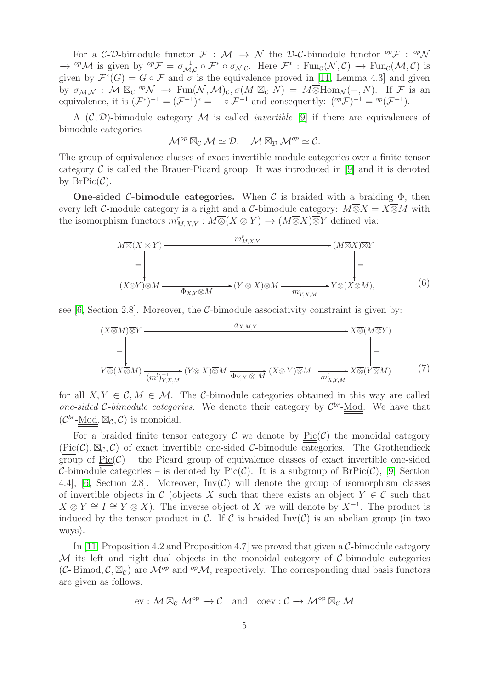For a C-D-bimodule functor  $\mathcal{F}: \mathcal{M} \to \mathcal{N}$  the D-C-bimodule functor  ${}^{op}\mathcal{F}: {}^{op}\mathcal{N}$  $\rightarrow$  <sup>op</sup>M is given by <sup>op</sup> $\mathcal{F} = \sigma_{\mathcal{M}}^{-1}$  $\mathcal{L}_{\mathcal{M},\mathcal{C}}^{-1} \circ \mathcal{F}^* \circ \sigma_{\mathcal{N},\mathcal{C}}.$  Here  $\mathcal{F}^*$  :  $\text{Fun}_{\mathcal{C}}(\mathcal{N},\mathcal{C}) \to \text{Fun}_{\mathcal{C}}(\mathcal{M},\mathcal{C})$  is given by  $\mathcal{F}^*(G) = G \circ \mathcal{F}$  and  $\sigma$  is the equivalence proved in [\[11,](#page-40-1) Lemma 4.3] and given by  $\sigma_{\mathcal{M},\mathcal{N}} : \mathcal{M} \boxtimes_{\mathcal{C}} {}^{op} \mathcal{N} \to \text{Fun}(\mathcal{N},\mathcal{M})_{\mathcal{C}}, \sigma(M \boxtimes_{\mathcal{C}} N) = M \overline{\otimes \text{Hom}}_{\mathcal{N}}(-,N)$ . If F is an equivalence, it is  $(\mathcal{F}^*)^{-1} = (\mathcal{F}^{-1})^* = - \circ \mathcal{F}^{-1}$  and consequently:  $({}^{\text{op}}\mathcal{F})^{-1} = {}^{\text{op}}(\mathcal{F}^{-1})$ .

A  $(C, D)$ -bimodule category M is called *invertible* [\[9\]](#page-40-2) if there are equivalences of bimodule categories

$$
\mathcal{M}^{op} \boxtimes_{\mathcal{C}} \mathcal{M} \simeq \mathcal{D}, \quad \mathcal{M} \boxtimes_{\mathcal{D}} \mathcal{M}^{op} \simeq \mathcal{C}.
$$

The group of equivalence classes of exact invertible module categories over a finite tensor category  $\mathcal C$  is called the Brauer-Picard group. It was introduced in [\[9\]](#page-40-2) and it is denoted by  $BrPic(\mathcal{C})$ .

**One-sided C-bimodule categories.** When C is braided with a braiding  $\Phi$ , then every left C-module category is a right and a C-bimodule category:  $M\overline{\otimes}X = X\overline{\otimes}M$  with the isomorphism functors  $m_{M,X,Y}^r : M \overline{\otimes} (X \otimes Y) \to (M \overline{\otimes} X) \overline{\otimes} Y$  defined via:



see  $[6, Section 2.8]$ . Moreover, the C-bimodule associativity constraint is given by:

$$
(X \overline{\otimes} M) \overline{\otimes} Y \longrightarrow X \overline{\otimes} (M \overline{\otimes} Y)
$$
  
=
$$
\downarrow
$$
  

$$
Y \overline{\otimes} (X \overline{\otimes} M) \xrightarrow{(m^l)^{-1}_{Y, X, M}} (Y \otimes X) \overline{\otimes} M \xrightarrow{\overline{\Phi}_{Y, X} \otimes M} (X \otimes Y) \overline{\otimes} M \xrightarrow{\overline{m^l_{X, Y, M}}} X \overline{\otimes} (Y \overline{\otimes} M) \tag{7}
$$

for all  $X, Y \in \mathcal{C}, M \in \mathcal{M}$ . The C-bimodule categories obtained in this way are called *one-sided* C-bimodule categories. We denote their category by  $\mathcal{C}^{br}$ -Mod. We have that  $(\mathcal{C}^{br}\text{-}\underline{\mathrm{Mod}}, \boxtimes_{\mathcal{C}}, \mathcal{C})$  is monoidal.

For a braided finite tensor category  $\mathcal C$  we denote by  $Pic(\mathcal C)$  the monoidal category  $(\text{Pic}(\mathcal{C}), \boxtimes_{\mathcal{C}}, \mathcal{C})$  of exact invertible one-sided  $\mathcal{C}$ -bimodule categories. The Grothendieck group of  $Pic(\mathcal{C})$  – the Picard group of equivalence classes of exact invertible one-sided C-bimodule categories – is denoted by Pic(C). It is a subgroup of  $BrPic(\mathcal{C})$ , [\[9,](#page-40-2) Section 4.4], [\[6,](#page-40-5) Section 2.8]. Moreover,  $Inv(\mathcal{C})$  will denote the group of isomorphism classes of invertible objects in C (objects X such that there exists an object  $Y \in \mathcal{C}$  such that  $X \otimes Y \cong I \cong Y \otimes X$ ). The inverse object of X we will denote by  $X^{-1}$ . The product is induced by the tensor product in C. If C is braided  $\text{Inv}(\mathcal{C})$  is an abelian group (in two ways).

In [\[11,](#page-40-1) Proposition 4.2 and Proposition 4.7] we proved that given a  $C$ -bimodule category  $M$  its left and right dual objects in the monoidal category of  $C$ -bimodule categories  $(C- Bimod, C, \boxtimes_C)$  are  $\mathcal{M}^{op}$  and  $^{op}\mathcal{M}$ , respectively. The corresponding dual basis functors are given as follows.

$$
\mathrm{ev}: \mathcal{M} \boxtimes_{\mathcal{C}} \mathcal{M}^{\mathrm{op}} \to \mathcal{C} \quad \text{and} \quad \mathrm{coev}: \mathcal{C} \to \mathcal{M}^{\mathrm{op}} \boxtimes_{\mathcal{C}} \mathcal{M}
$$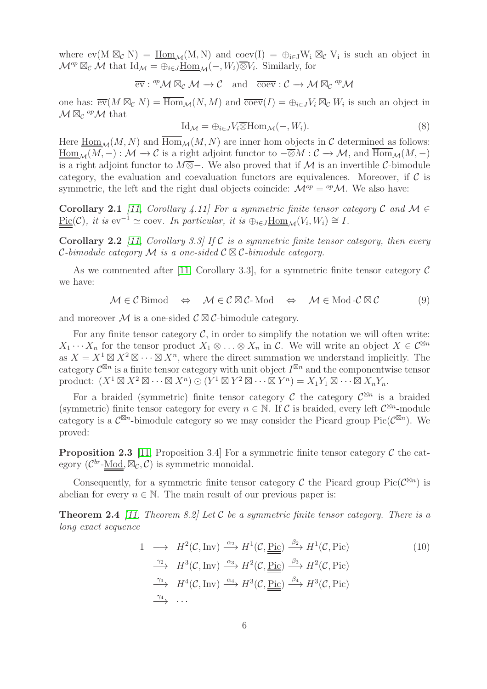where  $ev(M \boxtimes_{\mathcal{C}} N) = \underline{Hom}_{\mathcal{M}}(M, N)$  and  $coev(I) = \bigoplus_{i \in J} W_i \boxtimes_{\mathcal{C}} V_i$  is such an object in  $\mathcal{M}^{op} \boxtimes_{\mathcal{C}} \mathcal{M}$  that  $\text{Id}_{\mathcal{M}} = \bigoplus_{i \in J} \underline{\text{Hom}}_{\mathcal{M}}(-, W_i) \overline{\otimes} V_i$ . Similarly, for

$$
\overline{\operatorname{ev}}:{^{op}}{\cal M}\boxtimes_{{\cal C}}{\cal M}\to{\cal C}\quad\text{and}\quad\overline{\operatorname{coev}}:{\cal C}\to{\cal M}\boxtimes_{{\cal C}}{^{op}}{\cal M}
$$

one has:  $\overline{ev}(M \boxtimes_{\mathcal{C}} N) = \overline{\text{Hom}}_{\mathcal{M}}(N, M)$  and  $\overline{\text{coev}}(I) = \bigoplus_{i \in J} V_i \boxtimes_{\mathcal{C}} W_i$  is such an object in  $\mathcal{M} \boxtimes_{\mathcal{C}} {}^{op} \mathcal{M}$  that

<span id="page-5-1"></span>
$$
Id_{\mathcal{M}} = \bigoplus_{i \in J} V_i \overline{\otimes} \overline{Hom}_{\mathcal{M}}(-, W_i). \tag{8}
$$

Here  $\underline{\text{Hom}}_{\mathcal{M}}(M, N)$  and  $\overline{\text{Hom}}_{\mathcal{M}}(M, N)$  are inner hom objects in C determined as follows:  $\underline{\mathrm{Hom}}_{\mathcal{M}}(M,-): \mathcal{M} \to \mathcal{C}$  is a right adjoint functor to  $-\overline{\otimes}M:\mathcal{C} \to \mathcal{M}$ , and  $\overline{\mathrm{Hom}}_{\mathcal{M}}(M,-)$ is a right adjoint functor to  $M\overline{\otimes}-$ . We also proved that if M is an invertible C-bimodule category, the evaluation and coevaluation functors are equivalences. Moreover, if  $\mathcal C$  is symmetric, the left and the right dual objects coincide:  $\mathcal{M}^{op} = {}^{op}\mathcal{M}$ . We also have:

<span id="page-5-2"></span>Corollary 2.1 *[\[11,](#page-40-1) Corollary 4.11] For a symmetric finite tensor category*  $C$  *and*  $M \in$  $\underline{\text{Pic}}(\mathcal{C})$ *, it is* ev<sup>-1</sup> ~ coev. In particular, it is  $\bigoplus_{i\in J} \underline{\text{Hom}}_{\mathcal{M}}(V_i, W_i) \cong I$ .

Corollary 2.2 *[\[11,](#page-40-1) Corollary 3.3] If* C *is a symmetric finite tensor category, then every* C*-bimodule category* M *is a one-sided* C ⊠ C*-bimodule category.*

As we commented after [\[11,](#page-40-1) Corollary 3.3], for a symmetric finite tensor category  $\mathcal C$ we have:

<span id="page-5-0"></span>
$$
\mathcal{M} \in \mathcal{C} \text{ Bimod} \quad \Leftrightarrow \quad \mathcal{M} \in \mathcal{C} \boxtimes \mathcal{C} \text{-} \text{Mod} \quad \Leftrightarrow \quad \mathcal{M} \in \text{Mod-}\mathcal{C} \boxtimes \mathcal{C} \tag{9}
$$

and moreover M is a one-sided  $\mathcal{C} \boxtimes \mathcal{C}$ -bimodule category.

For any finite tensor category  $\mathcal{C}$ , in order to simplify the notation we will often write:  $X_1 \cdots X_n$  for the tensor product  $X_1 \otimes \ldots \otimes X_n$  in C. We will write an object  $X \in C^{\boxtimes n}$ as  $X = X^1 \boxtimes X^2 \boxtimes \cdots \boxtimes X^n$ , where the direct summation we understand implicitly. The category  $\mathcal{C}^{\boxtimes n}$  is a finite tensor category with unit object  $I^{\boxtimes n}$  and the componentwise tensor product:  $(X^1 \boxtimes X^2 \boxtimes \cdots \boxtimes X^n) \odot (Y^1 \boxtimes Y^2 \boxtimes \cdots \boxtimes Y^n) = X_1 Y_1 \boxtimes \cdots \boxtimes X_n Y_n$ .

For a braided (symmetric) finite tensor category  $\mathcal C$  the category  $\mathcal C^{\boxtimes n}$  is a braided (symmetric) finite tensor category for every  $n \in \mathbb{N}$ . If C is braided, every left  $\mathcal{C}^{\boxtimes n}$ -module category is a  $\mathcal{C}^{\boxtimes n}$ -bimodule category so we may consider the Picard group Pic( $\mathcal{C}^{\boxtimes n}$ ). We proved:

<span id="page-5-4"></span>**Proposition 2.3** [\[11,](#page-40-1) Proposition 3.4] For a symmetric finite tensor category  $\mathcal C$  the category  $(\mathcal{C}^{br}$ -Mod,  $\mathbb{Z}_{\mathcal{C}}, \mathcal{C})$  is symmetric monoidal.

Consequently, for a symmetric finite tensor category C the Picard group Pic( $\mathcal{C}^{\boxtimes n}$ ) is abelian for every  $n \in \mathbb{N}$ . The main result of our previous paper is:

Theorem 2.4 *[\[11,](#page-40-1) Theorem 8.2] Let* C *be a symmetric finite tensor category. There is a long exact sequence*

<span id="page-5-3"></span>
$$
1 \longrightarrow H^{2}(\mathcal{C}, \text{Inv}) \xrightarrow{\alpha_{2}} H^{1}(\mathcal{C}, \underline{\text{Pic}}) \xrightarrow{\beta_{2}} H^{1}(\mathcal{C}, \text{Pic})
$$
\n
$$
\xrightarrow{\gamma_{2}} H^{3}(\mathcal{C}, \text{Inv}) \xrightarrow{\alpha_{3}} H^{2}(\mathcal{C}, \underline{\text{Pic}}) \xrightarrow{\beta_{3}} H^{2}(\mathcal{C}, \text{Pic})
$$
\n
$$
\xrightarrow{\gamma_{3}} H^{4}(\mathcal{C}, \text{Inv}) \xrightarrow{\alpha_{4}} H^{3}(\mathcal{C}, \underline{\text{Pic}}) \xrightarrow{\beta_{4}} H^{3}(\mathcal{C}, \text{Pic})
$$
\n
$$
\xrightarrow{\gamma_{4}} \cdots
$$
\n
$$
(10)
$$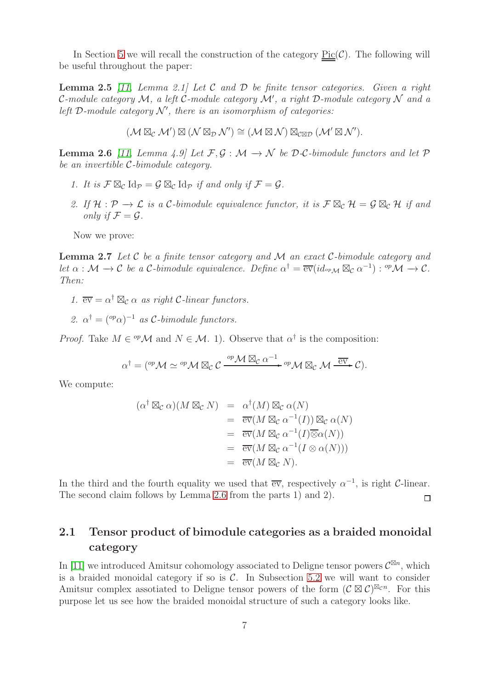<span id="page-6-3"></span>In Section [5](#page-16-0) we will recall the construction of the category  $Pic(\mathcal{C})$ . The following will be useful throughout the paper:

Lemma 2.5 *[\[11,](#page-40-1) Lemma 2.1] Let* C *and* D *be finite tensor categories. Given a right* C*-module category* M*, a left* C*-module category* M′ *, a right* D*-module category* N *and a left*  $D$ -module category  $N'$ , there is an isomorphism of categories:

$$
(\mathcal{M} \boxtimes_{\mathcal{C}} \mathcal{M}') \boxtimes (\mathcal{N} \boxtimes_{\mathcal{D}} \mathcal{N}') \cong (\mathcal{M} \boxtimes \mathcal{N}) \boxtimes_{\mathcal{C} \boxtimes \mathcal{D}} (\mathcal{M}' \boxtimes \mathcal{N}').
$$

<span id="page-6-0"></span>**Lemma 2.6** *[\[11,](#page-40-1) Lemma 4.9]* Let  $\mathcal{F}, \mathcal{G} : \mathcal{M} \to \mathcal{N}$  be  $\mathcal{D}\text{-}\mathcal{C}\text{-bimodule functors and let } \mathcal{P}$ *be an invertible* C*-bimodule category.*

- *1. It is*  $\mathcal{F} \boxtimes_{\mathcal{C}} \mathrm{Id}_{\mathcal{P}} = \mathcal{G} \boxtimes_{\mathcal{C}} \mathrm{Id}_{\mathcal{P}}$  *if and only if*  $\mathcal{F} = \mathcal{G}$ *.*
- 2. If  $H: \mathcal{P} \to \mathcal{L}$  *is a*  $\mathcal{C}\text{-bimodule equivalence functor, it is  $\mathcal{F} \boxtimes_{\mathcal{C}} \mathcal{H} = \mathcal{G} \boxtimes_{\mathcal{C}} \mathcal{H}$  if and$ *only if*  $\mathcal{F} = \mathcal{G}$ *.*

<span id="page-6-2"></span>Now we prove:

Lemma 2.7 *Let* C *be a finite tensor category and* M *an exact* C*-bimodule category and let*  $\alpha : \mathcal{M} \to \mathcal{C}$  *be a*  $\mathcal{C}\text{-bimodule equivalence.}$  *Define*  $\alpha^{\dagger} = \overline{\text{ev}}(id_{\text{op}} \mathcal{M} \boxtimes_{\mathcal{C}} \alpha^{-1}) : \text{op} \mathcal{M} \to \mathcal{C}$ . *Then:*

*1.*  $\overline{ev} = \alpha^{\dagger} \boxtimes_{\mathcal{C}} \alpha$  *as right C*-linear functors.

2.  $\alpha^{\dagger} = ({}^{\text{op}} \alpha)^{-1}$  *as* C-bimodule functors.

*Proof.* Take  $M \in \mathcal{M}$  and  $N \in \mathcal{M}$ . 1). Observe that  $\alpha^{\dagger}$  is the composition:

$$
\alpha^{\dagger} = ({}^{op}\mathcal{M} \simeq {}^{op}\mathcal{M} \boxtimes_{\mathcal{C}} \mathcal{C} \xrightarrow{{op}\mathcal{M} \boxtimes_{\mathcal{C}} \alpha^{-1}} {}^{op}\mathcal{M} \boxtimes_{\mathcal{C}} \mathcal{M} \xrightarrow{\overline{ev}} \mathcal{C}).
$$

We compute:

$$
(\alpha^{\dagger} \boxtimes_{\mathcal{C}} \alpha)(M \boxtimes_{\mathcal{C}} N) = \alpha^{\dagger}(M) \boxtimes_{\mathcal{C}} \alpha(N)
$$
  
\n
$$
= \overline{\text{ev}}(M \boxtimes_{\mathcal{C}} \alpha^{-1}(I)) \boxtimes_{\mathcal{C}} \alpha(N)
$$
  
\n
$$
= \overline{\text{ev}}(M \boxtimes_{\mathcal{C}} \alpha^{-1}(I) \overline{\otimes} \alpha(N))
$$
  
\n
$$
= \overline{\text{ev}}(M \boxtimes_{\mathcal{C}} \alpha^{-1}(I \otimes \alpha(N)))
$$
  
\n
$$
= \overline{\text{ev}}(M \boxtimes_{\mathcal{C}} N).
$$

In the third and the fourth equality we used that  $\overline{ev}$ , respectively  $\alpha^{-1}$ , is right C-linear. The second claim follows by Lemma [2.6](#page-6-0) from the parts 1) and 2).  $\Box$ 

### 2.1 Tensor product of bimodule categories as a braided monoidal category

<span id="page-6-1"></span>In [\[11\]](#page-40-1) we introduced Amitsur cohomology associated to Deligne tensor powers  $\mathcal{C}^{\boxtimes n}$ , which is a braided monoidal category if so is  $C$ . In Subsection [5.2](#page-20-0) we will want to consider Amitsur complex assotiated to Deligne tensor powers of the form  $(C \boxtimes C)^{\boxtimes_{\mathcal{C}} n}$ . For this purpose let us see how the braided monoidal structure of such a category looks like.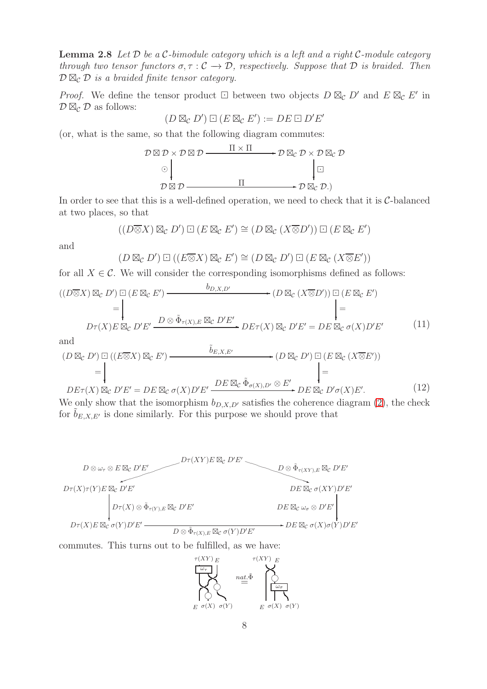Lemma 2.8 *Let* D *be a* C*-bimodule category which is a left and a right* C*-module category through two tensor functors*  $\sigma, \tau : C \to D$ , respectively. Suppose that D is braided. Then  $\mathcal{D} \boxtimes_{\mathcal{C}} \mathcal{D}$  *is a braided finite tensor category.* 

*Proof.* We define the tensor product  $\Box$  between two objects  $D \boxtimes_{\mathcal{C}} D'$  and  $E \boxtimes_{\mathcal{C}} E'$  in  $\mathcal{D} \boxtimes_{\mathcal{C}} \mathcal{D}$  as follows:

$$
(D \boxtimes_{\mathcal{C}} D') \boxdot (E \boxtimes_{\mathcal{C}} E') := DE \boxdot D'E'
$$

(or, what is the same, so that the following diagram commutes:

$$
\mathcal{D} \boxtimes \mathcal{D} \times \mathcal{D} \boxtimes \mathcal{D} \longrightarrow \mathcal{D} \boxtimes_{\mathcal{C}} \mathcal{D} \times \mathcal{D} \boxtimes_{\mathcal{C}} \mathcal{D}
$$
\n
$$
\odot \downarrow \qquad \qquad \downarrow \Box
$$
\n
$$
\mathcal{D} \boxtimes \mathcal{D} \longrightarrow \mathcal{D} \longrightarrow \mathcal{D} \boxtimes_{\mathcal{C}} \mathcal{D}.
$$

In order to see that this is a well-defined operation, we need to check that it is  $C$ -balanced at two places, so that

$$
((D\overline{\otimes}X)\boxtimes_{\mathcal{C}} D')\boxdot (E\boxtimes_{\mathcal{C}} E')\cong (D\boxtimes_{\mathcal{C}} (X\overline{\otimes}D'))\boxdot (E\boxtimes_{\mathcal{C}} E')
$$

and

$$
(D \boxtimes_{\mathcal{C}} D') \boxdot ((E \overline{\otimes} X) \boxtimes_{\mathcal{C}} E') \cong (D \boxtimes_{\mathcal{C}} D') \boxdot (E \boxtimes_{\mathcal{C}} (X \overline{\otimes} E'))
$$

for all  $X \in \mathcal{C}$ . We will consider the corresponding isomorphisms defined as follows:

$$
((D \overline{\otimes} X) \boxtimes_{\mathcal{C}} D') \boxdot (E \boxtimes_{\mathcal{C}} E') \longrightarrow (D \boxtimes_{\mathcal{C}} (X \overline{\otimes} D')) \boxdot (E \boxtimes_{\mathcal{C}} E')= \downarrow \qquad \qquad \downarrow
$$
  

$$
D\tau(X)E \boxtimes_{\mathcal{C}} D'E' \xrightarrow{D \otimes \tilde{\Phi}_{\tau(X),E} \boxtimes_{\mathcal{C}} D'E'} DE\tau(X) \boxtimes_{\mathcal{C}} D'E' = DE \boxtimes_{\mathcal{C}} \sigma(X)D'E'
$$
 (11)

<span id="page-7-0"></span>and

$$
(D \boxtimes_{\mathcal{C}} D') \boxdot ((E \boxtimes X) \boxtimes_{\mathcal{C}} E') \longrightarrow (\widetilde{D} \boxtimes_{\mathcal{C}} D') \boxdot (E \boxtimes_{\mathcal{C}} (X \overline{\otimes} E'))
$$
  
= 
$$
\downarrow
$$
  

$$
DE\tau(X) \boxtimes_{\mathcal{C}} D'E' = DE \boxtimes_{\mathcal{C}} \sigma(X)D'E' \xrightarrow{DE \boxtimes_{\mathcal{C}} \tilde{\Phi}_{\sigma(X),D'} \otimes E'} DE \boxtimes_{\mathcal{C}} D'\sigma(X)E'.
$$
 (12)

<span id="page-7-1"></span>We only show that the isomorphism  $b_{D,X,D'}$  satisfies the coherence diagram [\(2\)](#page-3-2), the check for  $b_{E,X,E'}$  is done similarly. For this purpose we should prove that



commutes. This turns out to be fulfilled, as we have:

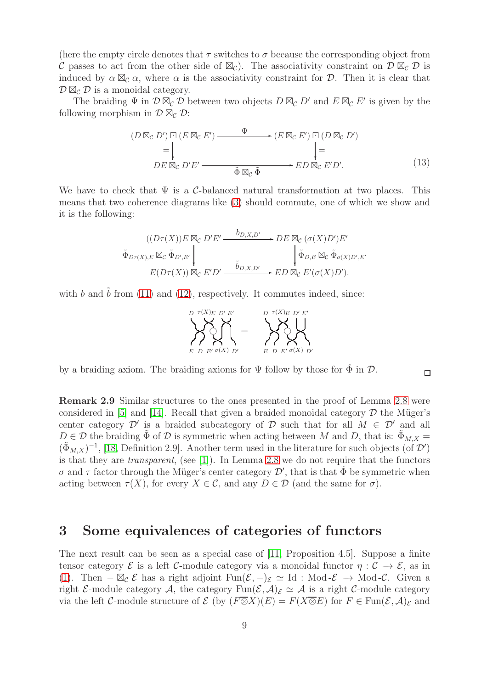(here the empty circle denotes that  $\tau$  switches to  $\sigma$  because the corresponding object from C passes to act from the other side of  $\mathbb{Z}_{\mathcal{C}}$ ). The associativity constraint on  $\mathcal{D}\boxtimes_{\mathcal{C}}\mathcal{D}$  is induced by  $\alpha \boxtimes_{\mathcal{C}} \alpha$ , where  $\alpha$  is the associativity constraint for  $\mathcal{D}$ . Then it is clear that  $\mathcal{D} \boxtimes_{\mathcal{C}} \mathcal{D}$  is a monoidal category.

The braiding  $\Psi$  in  $\mathcal{D} \boxtimes_{\mathcal{C}} \mathcal{D}$  between two objects  $D \boxtimes_{\mathcal{C}} D'$  and  $E \boxtimes_{\mathcal{C}} E'$  is given by the following morphism in  $\mathcal{D} \boxtimes_{\mathcal{C}} \mathcal{D}$ :

<span id="page-8-1"></span>
$$
(D \boxtimes_{\mathcal{C}} D') \boxdot (E \boxtimes_{\mathcal{C}} E') \longrightarrow (E \boxtimes_{\mathcal{C}} E') \boxdot (D \boxtimes_{\mathcal{C}} D')
$$
  
= 
$$
\downarrow
$$
  

$$
DE \boxtimes_{\mathcal{C}} D'E' \longrightarrow \tilde{\Phi} \boxtimes_{\mathcal{C}} \tilde{\Phi} \longrightarrow ED \boxtimes_{\mathcal{C}} E'D'.
$$
 (13)

We have to check that  $\Psi$  is a C-balanced natural transformation at two places. This means that two coherence diagrams like [\(3\)](#page-3-3) should commute, one of which we show and it is the following:

$$
\tilde{\Phi}_{D\tau(X),E} \boxtimes_{\mathcal{C}} \tilde{\Phi}_{D',E'} \downarrow \qquad \qquad DE \boxtimes_{\mathcal{C}} (\sigma(X)D')E' \\
\tilde{\Phi}_{D\tau(X),E} \boxtimes_{\mathcal{C}} \tilde{\Phi}_{D',E'} \downarrow \qquad \qquad \downarrow \tilde{\Phi}_{D,E} \boxtimes_{\mathcal{C}} \tilde{\Phi}_{\sigma(X)D',E'} \\
E(D\tau(X)) \boxtimes_{\mathcal{C}} E'D' \xrightarrow{\tilde{b}_{D,X,D'}} ED \boxtimes_{\mathcal{C}} E'(\sigma(X)D').
$$

with b and  $\tilde{b}$  from [\(11\)](#page-7-0) and [\(12\)](#page-7-1), respectively. It commutes indeed, since:

$$
\sum_{E D E' \sigma(X) D'}^{D \tau(X) E D' E'} = \sum_{E D E' \sigma(X) D'}^{D \tau(X) E D' E'}
$$

 $\Box$ 

by a braiding axiom. The braiding axioms for  $\Psi$  follow by those for  $\Phi$  in  $\mathcal D$ .

Remark 2.9 Similar structures to the ones presented in the proof of Lemma [2.8](#page-6-1) were considered in [\[5\]](#page-40-10) and [\[14\]](#page-40-11). Recall that given a braided monoidal category  $\mathcal D$  the Müger's center category  $\mathcal{D}'$  is a braided subcategory of  $\mathcal D$  such that for all  $M \in \mathcal{D}'$  and all  $D \in \mathcal{D}$  the braiding  $\tilde{\Phi}$  of  $\mathcal D$  is symmetric when acting between M and D, that is:  $\tilde{\Phi}_{M,X} =$  $(\tilde{\Phi}_{M,X})^{-1}$ , [\[18,](#page-40-12) Definition 2.9]. Another term used in the literature for such objects (of  $\mathcal{D}'$ ) is that they are *transparent*, (see [\[1\]](#page-39-1)). In Lemma [2.8](#page-6-1) we do not require that the functors σ and τ factor through the Müger's center category  $\mathcal{D}'$ , that is that  $\tilde{\Phi}$  be symmetric when acting between  $\tau(X)$ , for every  $X \in \mathcal{C}$ , and any  $D \in \mathcal{D}$  (and the same for  $\sigma$ ).

### <span id="page-8-0"></span>3 Some equivalences of categories of functors

The next result can be seen as a special case of [\[11,](#page-40-1) Proposition 4.5]. Suppose a finite tensor category  $\mathcal E$  is a left C-module category via a monoidal functor  $\eta : \mathcal C \to \mathcal E$ , as in [\(1\)](#page-3-4). Then  $-\boxtimes_{\mathcal{C}} \mathcal{E}$  has a right adjoint  $\text{Fun}(\mathcal{E}, -)_{\mathcal{E}} \simeq \text{Id}$  : Mod- $\mathcal{E} \to \text{Mod-}\mathcal{C}$ . Given a right E-module category A, the category  $\text{Fun}(\mathcal{E},\mathcal{A})_{\mathcal{E}} \simeq \mathcal{A}$  is a right C-module category via the left C-module structure of  $\mathcal E$  (by  $(F\overline{\otimes}X)(E) = F(X\overline{\otimes}E)$  for  $F \in \text{Fun}(\mathcal E,\mathcal A)_{\mathcal E}$  and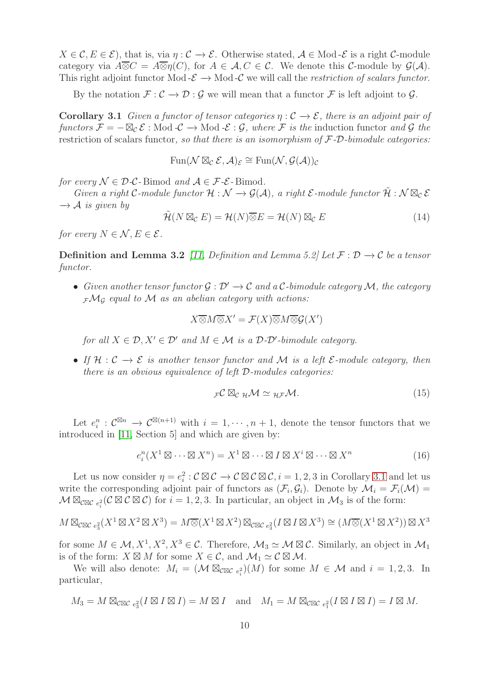$X \in \mathcal{C}, E \in \mathcal{E}$ , that is, via  $\eta : \mathcal{C} \to \mathcal{E}$ . Otherwise stated,  $\mathcal{A} \in \text{Mod-}\mathcal{E}$  is a right  $\mathcal{C}$ -module category via  $A\overline{\otimes}C = A\overline{\otimes}n(C)$ , for  $A \in \mathcal{A}, C \in \mathcal{C}$ . We denote this C-module by  $\mathcal{G}(\mathcal{A})$ . This right adjoint functor Mod  $-\mathcal{E} \rightarrow$  Mod  $-\mathcal{C}$  we will call the *restriction of scalars functor*.

<span id="page-9-0"></span>By the notation  $\mathcal{F} : \mathcal{C} \to \mathcal{D} : \mathcal{G}$  we will mean that a functor  $\mathcal{F}$  is left adjoint to  $\mathcal{G}$ .

**Corollary 3.1** *Given a functor of tensor categories*  $\eta : \mathcal{C} \to \mathcal{E}$ *, there is an adjoint pair of functors*  $\mathcal{F} = -\boxtimes_{\mathcal{C}} \mathcal{E}$ : Mod  $-\mathcal{C} \to \text{Mod} - \mathcal{E}$ :  $\mathcal{G}$ , where  $\mathcal{F}$  *is the* induction functor *and*  $\mathcal{G}$  *the* restriction of scalars functor*, so that there is an isomorphism of* F*-*D*-bimodule categories:*

$$
\operatorname{Fun}(\mathcal{N} \boxtimes_{\mathcal{C}} \mathcal{E}, \mathcal{A})_{\mathcal{E}} \cong \operatorname{Fun}(\mathcal{N}, \mathcal{G}(\mathcal{A}))_{\mathcal{C}}
$$

*for every*  $\mathcal{N} \in \mathcal{D}\text{-}\mathcal{C}\text{-Bimod}$  *and*  $\mathcal{A} \in \mathcal{F}\text{-}\mathcal{E}\text{-Bimod}$ .

*Given a right* C-module functor  $\mathcal{H}: \mathcal{N} \to \mathcal{G}(\mathcal{A})$ , a right  $\mathcal{E}\text{-module functor } \widetilde{\mathcal{H}}: \mathcal{N} \boxtimes_{\mathcal{C}} \mathcal{E}$  $\rightarrow$  *A is given by* 

<span id="page-9-1"></span>
$$
\tilde{\mathcal{H}}(N \boxtimes_{\mathcal{C}} E) = \mathcal{H}(N) \overline{\otimes} E = \mathcal{H}(N) \boxtimes_{\mathcal{C}} E \tag{14}
$$

*for every*  $N \in \mathcal{N}$ ,  $E \in \mathcal{E}$ .

**Definition and Lemma 3.2** *[\[11,](#page-40-1) Definition and Lemma 5.2] Let*  $\mathcal{F}: \mathcal{D} \to \mathcal{C}$  *be a tensor functor.*

• *Given another tensor functor* G : D′ −→ C *and a* C*-bimodule category* M*, the category* <sup>F</sup>M<sup>G</sup> *equal to* M *as an abelian category with actions:*

$$
X \overline{\otimes} M \overline{\otimes} X' = \mathcal{F}(X) \overline{\otimes} M \overline{\otimes} \mathcal{G}(X')
$$

*for all*  $X \in \mathcal{D}, X' \in \mathcal{D}'$  *and*  $M \in \mathcal{M}$  *is a*  $\mathcal{D}\text{-}\mathcal{D}'\text{-bimodule category.}$ 

• *If* H : C −→ E *is another tensor functor and* M *is a left* E*-module category, then there is an obvious equivalence of left* D*-modules categories:*

$$
{}_{\mathcal{F}}\mathcal{C}\boxtimes_{\mathcal{C}} {}_{\mathcal{H}}\mathcal{M} \simeq {}_{\mathcal{H}\mathcal{F}}\mathcal{M}.
$$
 (15)

Let  $e_i^n$ :  $\mathcal{C}^{\boxtimes n} \to \mathcal{C}^{\boxtimes (n+1)}$  with  $i = 1, \cdots, n+1$ , denote the tensor functors that we introduced in [\[11,](#page-40-1) Section 5] and which are given by:

<span id="page-9-2"></span>
$$
e_i^n(X^1 \boxtimes \cdots \boxtimes X^n) = X^1 \boxtimes \cdots \boxtimes I \boxtimes X^i \boxtimes \cdots \boxtimes X^n \tag{16}
$$

Let us now consider  $\eta = e_i^2 : \mathcal{C} \boxtimes \mathcal{C} \to \mathcal{C} \boxtimes \mathcal{C} \boxtimes \mathcal{C}, i = 1, 2, 3$  in Corollary [3.1](#page-9-0) and let us write the corresponding adjoint pair of functors as  $(\mathcal{F}_i, \mathcal{G}_i)$ . Denote by  $\mathcal{M}_i = \mathcal{F}_i(\mathcal{M})$  $\mathcal{M} \boxtimes_{\mathcal{C} \boxtimes \mathcal{C}} e_i^2(\mathcal{C} \boxtimes \mathcal{C})$  for  $i = 1, 2, 3$ . In particular, an object in  $\mathcal{M}_3$  is of the form:

$$
M \boxtimes_{\mathcal{C}\boxtimes\mathcal{C}} {}_{e_3^2}(X^1 \boxtimes X^2 \boxtimes X^3) = M \overline{\otimes} (X^1 \boxtimes X^2) \boxtimes_{\mathcal{C}\boxtimes\mathcal{C}} {}_{e_3^2}(I \boxtimes I \boxtimes X^3) \cong (M \overline{\otimes} (X^1 \boxtimes X^2)) \boxtimes X^3
$$

for some  $M \in \mathcal{M}, X^1, X^2, X^3 \in \mathcal{C}$ . Therefore,  $\mathcal{M}_3 \simeq \mathcal{M} \boxtimes \mathcal{C}$ . Similarly, an object in  $\mathcal{M}_1$ is of the form:  $X \boxtimes M$  for some  $X \in \mathcal{C}$ , and  $\mathcal{M}_1 \simeq \mathcal{C} \boxtimes \mathcal{M}$ .

We will also denote:  $M_i = (\mathcal{M} \boxtimes_{\mathcal{CRC} e_i^2})(M)$  for some  $M \in \mathcal{M}$  and  $i = 1, 2, 3$ . In particular,

$$
M_3 = M \boxtimes_{\mathcal{C} \boxtimes \mathcal{C}} {}_{e_3^2}(I \boxtimes I \boxtimes I) = M \boxtimes I \text{ and } M_1 = M \boxtimes_{\mathcal{C} \boxtimes \mathcal{C}} {}_{e_1^2}(I \boxtimes I \boxtimes I) = I \boxtimes M.
$$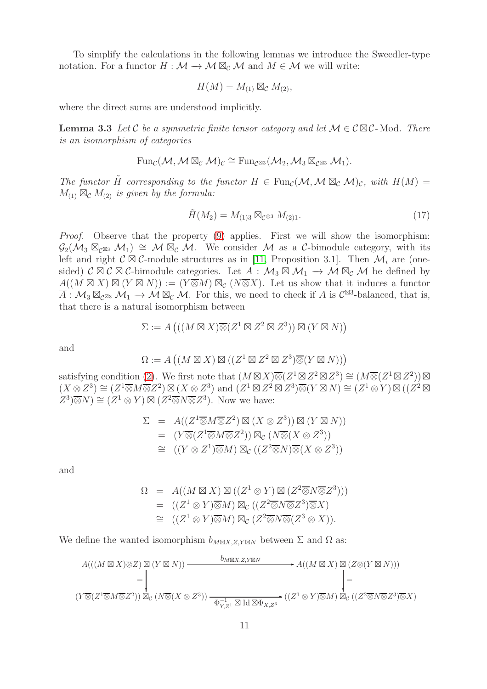To simplify the calculations in the following lemmas we introduce the Sweedler-type notation. For a functor  $H : \mathcal{M} \to \mathcal{M} \boxtimes_{\mathcal{C}} \mathcal{M}$  and  $M \in \mathcal{M}$  we will write:

$$
H(M) = M_{(1)} \boxtimes_{\mathcal{C}} M_{(2)},
$$

<span id="page-10-0"></span>where the direct sums are understood implicitly.

**Lemma 3.3** Let C be a symmetric finite tensor category and let  $M \in \mathcal{C} \boxtimes \mathcal{C}$ -Mod. There *is an isomorphism of categories*

$$
\mathrm{Fun}_{\mathcal{C}}(\mathcal{M},\mathcal{M}\boxtimes_{\mathcal{C}}\mathcal{M})_{\mathcal{C}}\cong \mathrm{Fun}_{\mathcal{C}^{\boxtimes 3}}(\mathcal{M}_2,\mathcal{M}_3\boxtimes_{\mathcal{C}^{\boxtimes 3}}\mathcal{M}_1).
$$

*The functor*  $\hat{H}$  *corresponding to the functor*  $H \in \text{Fun}_{\mathcal{C}}(\mathcal{M}, \mathcal{M} \boxtimes_{\mathcal{C}} \mathcal{M})_{\mathcal{C}}$ *, with*  $H(M) =$  $M_{(1)} \boxtimes_{\mathcal{C}} M_{(2)}$  *is given by the formula:* 

<span id="page-10-1"></span>
$$
\tilde{H}(M_2) = M_{(1)3} \boxtimes_{\mathcal{C}^{\otimes 3}} M_{(2)1}.
$$
\n(17)

*Proof.* Observe that the property [\(9\)](#page-5-0) applies. First we will show the isomorphism:  $\mathcal{G}_2(\mathcal{M}_3 \boxtimes_{\mathcal{C}^{\boxtimes 3}} \mathcal{M}_1) \cong \mathcal{M} \boxtimes_{\mathcal{C}} \mathcal{M}$ . We consider M as a C-bimodule category, with its left and right  $\mathcal{C} \boxtimes \mathcal{C}$ -module structures as in [\[11,](#page-40-1) Proposition 3.1]. Then  $\mathcal{M}_i$  are (onesided)  $\mathcal{C} \boxtimes \mathcal{C}$  Solution-Solution  $\mathcal{C} \boxtimes \mathcal{C}$ -bimodule categories. Let  $A : \mathcal{M}_3 \boxtimes \mathcal{M}_1 \to \mathcal{M} \boxtimes_{\mathcal{C}} \mathcal{M}$  be defined by  $A((M \boxtimes X) \boxtimes (Y \boxtimes N)) := (Y \overline{\otimes} M) \boxtimes_{\mathcal{C}} (N \overline{\otimes} X)$ . Let us show that it induces a functor  $\overline{A}: \mathcal{M}_3 \boxtimes_{\mathcal{C}^{\boxtimes 3}} \mathcal{M}_1 \to \mathcal{M} \boxtimes_{\mathcal{C}} \mathcal{M}$ . For this, we need to check if A is  $\mathcal{C}^{\boxtimes 3}$ -balanced, that is, that there is a natural isomorphism between

$$
\Sigma := A\left(((M \boxtimes X) \overline{\otimes} (Z^1 \boxtimes Z^2 \boxtimes Z^3)) \boxtimes (Y \boxtimes N)\right)
$$

and

$$
\Omega := A\left( (M \boxtimes X) \boxtimes ((Z^1 \boxtimes Z^2 \boxtimes Z^3) \overline{\otimes} (Y \boxtimes N)) \right)
$$

satisfying condition [\(2\)](#page-3-2). We first note that  $(M \boxtimes X) \overline{\otimes} (Z^1 \boxtimes Z^2 \boxtimes Z^3) \cong (M \overline{\otimes} (Z^1 \boxtimes Z^2)) \boxtimes$  $(X \otimes Z^3) \cong (Z^1 \overline{\otimes} M \overline{\otimes} Z^2) \boxtimes (X \otimes Z^3)$  and  $(Z^1 \boxtimes Z^2 \boxtimes Z^3) \overline{\otimes} (Y \boxtimes N) \cong (Z^1 \otimes Y) \boxtimes ((Z^2 \boxtimes$  $(Z^3)\overline{\otimes}N) \cong (Z^1\otimes Y) \boxtimes (Z^2\overline{\otimes}N\overline{\otimes}Z^3)$ . Now we have:

$$
\Sigma = A((Z^1 \overline{\otimes} M \overline{\otimes} Z^2) \boxtimes (X \otimes Z^3)) \boxtimes (Y \boxtimes N))
$$
  
\n
$$
= (Y \overline{\otimes} (Z^1 \overline{\otimes} M \overline{\otimes} Z^2)) \boxtimes_{\mathcal{C}} (N \overline{\otimes} (X \otimes Z^3))
$$
  
\n
$$
\cong ((Y \otimes Z^1) \overline{\otimes} M) \boxtimes_{\mathcal{C}} ((Z^2 \overline{\otimes} N) \overline{\otimes} (X \otimes Z^3))
$$

and

$$
\Omega = A((M \boxtimes X) \boxtimes ((Z^1 \otimes Y) \boxtimes (Z^2 \overline{\otimes} N \overline{\otimes} Z^3)))
$$
  
= ((Z<sup>1</sup> \otimes Y) \overline{\otimes} M) \boxtimes\_{\mathcal{C}} ((Z^2 \overline{\otimes} N \overline{\otimes} Z^3) \overline{\otimes} X)  

$$
\cong ((Z^1 \otimes Y) \overline{\otimes} M) \boxtimes_{\mathcal{C}} (Z^2 \overline{\otimes} N \overline{\otimes} (Z^3 \otimes X)).
$$

We define the wanted isomorphism  $b_{M\boxtimes X,Z,Y\boxtimes N}$  between  $\Sigma$  and  $\Omega$  as:

$$
A(((M \boxtimes X) \overline{\otimes} Z) \boxtimes (Y \boxtimes N)) \xrightarrow{\qquad b_{M \boxtimes X, Z, Y \boxtimes N} \qquad A((M \boxtimes X) \boxtimes (Z \overline{\otimes} (Y \boxtimes N)))
$$
\n
$$
= \begin{vmatrix}\n\vdots \\
\downarrow \\
(Y \overline{\otimes} (Z^1 \overline{\otimes} M \overline{\otimes} Z^2)) \boxtimes_{\mathcal{C}} (N \overline{\otimes} (X \otimes Z^3)) \xrightarrow{\qquad \qquad \Phi_{Y, Z^1}^{-1} \boxtimes \text{Id} \boxtimes \Phi_{X, Z^3}} ((Z^1 \otimes Y) \overline{\otimes} M) \boxtimes_{\mathcal{C}} ((Z^2 \overline{\otimes} N \overline{\otimes} Z^3) \overline{\otimes} X)\n\end{vmatrix}
$$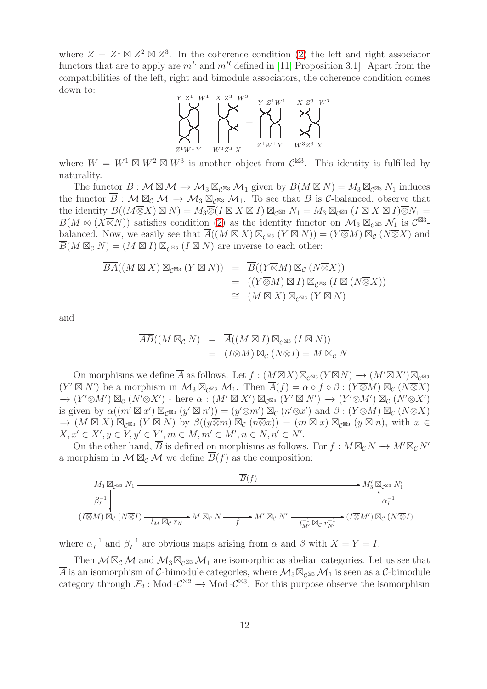where  $Z = Z^1 \boxtimes Z^2 \boxtimes Z^3$ . In the coherence condition [\(2\)](#page-3-2) the left and right associator functors that are to apply are  $m<sup>L</sup>$  and  $m<sup>R</sup>$  defined in [\[11,](#page-40-1) Proposition 3.1]. Apart from the compatibilities of the left, right and bimodule associators, the coherence condition comes down to:



where  $W = W^1 \boxtimes W^2 \boxtimes W^3$  is another object from  $\mathcal{C}^{\boxtimes 3}$ . This identity is fulfilled by naturality.

The functor  $B : \mathcal{M} \boxtimes \mathcal{M} \to \mathcal{M}_3 \boxtimes_{\mathcal{C}^{\boxtimes 3}} \mathcal{M}_1$  given by  $B(M \boxtimes N) = M_3 \boxtimes_{\mathcal{C}^{\boxtimes 3}} N_1$  induces the functor  $\overline{B}: \mathcal{M} \boxtimes_{\mathcal{C}} \mathcal{M} \to \mathcal{M}_3 \boxtimes_{\mathcal{C}^{\boxtimes 3}} \mathcal{M}_1$ . To see that B is C-balanced, observe that the identity  $B((M\overline{\otimes}X)\boxtimes N)=M_3\overline{\otimes}(I\boxtimes X\boxtimes I)\boxtimes_{\mathcal{C}^{\boxtimes 3}}N_1=M_3\boxtimes_{\mathcal{C}^{\boxtimes 3}}(I\boxtimes X\boxtimes I)\overline{\otimes}N_1=$  $B(M \otimes (X \overline{\otimes} N))$  satisfies condition [\(2\)](#page-3-2) as the identity functor on  $\mathcal{M}_3 \boxtimes_{\mathcal{C}^{\boxtimes 3}} \mathcal{N}_1$  is  $\mathcal{C}^{\boxtimes 3}$ balanced. Now, we easily see that  $\overline{A}((M \boxtimes X) \boxtimes_{\mathcal{C}^{\boxtimes 3}} (Y \boxtimes N)) = (Y \overline{\otimes} M) \boxtimes_{\mathcal{C}} (N \overline{\otimes} X)$  and  $\overline{B}(M \boxtimes_{\mathcal{C}} N) = (M \boxtimes I) \boxtimes_{\mathcal{C}^{\boxtimes 3}} (I \boxtimes N)$  are inverse to each other:

$$
\overline{BA}((M \boxtimes X) \boxtimes_{\mathcal{C}^{\boxtimes 3}} (Y \boxtimes N)) = \overline{B}((Y \overline{\otimes} M) \boxtimes_{\mathcal{C}} (N \overline{\otimes} X))
$$
  
= ((Y \overline{\otimes} M) \boxtimes I) \boxtimes\_{\mathcal{C}^{\boxtimes 3}} (I \boxtimes (N \overline{\otimes} X))  

$$
\cong (M \boxtimes X) \boxtimes_{\mathcal{C}^{\boxtimes 3}} (Y \boxtimes N)
$$

and

$$
\overline{AB}((M \boxtimes_{\mathcal{C}} N) = \overline{A}((M \boxtimes I) \boxtimes_{\mathcal{C}^{\boxtimes 3}} (I \boxtimes N))
$$
  
= 
$$
(I \overline{\otimes} M) \boxtimes_{\mathcal{C}} (N \overline{\otimes} I) = M \boxtimes_{\mathcal{C}} N.
$$

On morphisms we define  $\overline{A}$  as follows. Let  $f : (M \boxtimes X) \boxtimes_{\mathcal{C}^{\boxtimes 3}} (Y \boxtimes N) \longrightarrow (M' \boxtimes X') \boxtimes_{\mathcal{C}^{\boxtimes 3}}$  $(Y' \boxtimes N')$  be a morphism in  $\mathcal{M}_3 \boxtimes_{\mathcal{C}^{\boxtimes 3}} \mathcal{M}_1$ . Then  $\overline{A}(f) = \alpha \circ f \circ \beta : (Y \overline{\otimes} M) \boxtimes_{\mathcal{C}} (N \overline{\otimes} X)$  $\rightarrow (Y'\overline{\otimes}M')\boxtimes_{\mathcal{C}} (N'\overline{\otimes}X')$  - here  $\alpha:(M'\boxtimes X')\boxtimes_{\mathcal{C}^{\boxtimes 3}} (Y'\boxtimes N')\rightarrow (Y'\overline{\otimes}M')\boxtimes_{\mathcal{C}} (N'\overline{\otimes}X')$ is given by  $\alpha((m' \boxtimes x') \boxtimes_{\mathcal{C}^{\boxtimes 3}} (y' \boxtimes n')) = (y' \overline{\otimes} m') \boxtimes_{\mathcal{C}} (n' \overline{\otimes} x')$  and  $\beta : (Y \overline{\otimes} M) \boxtimes_{\mathcal{C}} (N \overline{\otimes} X)$  $\rightarrow (M \boxtimes X) \boxtimes_{\mathcal{C}^{\boxtimes 3}} (Y \boxtimes N)$  by  $\beta((y\overline{\otimes} m) \boxtimes_{\mathcal{C}} (n\overline{\otimes} x)) = (m \boxtimes x) \boxtimes_{\mathcal{C}^{\boxtimes 3}} (y \boxtimes n)$ , with  $x \in$  $X, x' \in X', y \in Y, y' \in Y', m \in M, m' \in M', n \in N, n' \in N'.$ 

On the other hand,  $\overline{B}$  is defined on morphisms as follows. For  $f : M \boxtimes_{\mathcal{C}} N \to M' \boxtimes_{\mathcal{C}} N'$ a morphism in  $M \boxtimes_{\mathcal{C}} M$  we define  $\overline{B}(f)$  as the composition:

$$
M_3 \boxtimes_{\mathcal{C}^{\boxtimes 3}} N_1 \longrightarrow M_3' \boxtimes_{\mathcal{C}^{\boxtimes 3}} N_1' \longrightarrow M_3' \boxtimes_{\mathcal{C}^{\boxtimes 3}} N_1' \longrightarrow M_3' \boxtimes_{\mathcal{C}^{\boxtimes 3}} N_1' \longrightarrow M_3' \boxtimes_{\mathcal{C}^{\boxtimes 3}} N_1' \longrightarrow M_3' \boxtimes_{\mathcal{C}^{\boxtimes 3}} N_1' \longrightarrow M_3' \boxtimes_{\mathcal{C}^{\boxtimes 3}} N_1' \longrightarrow M_3' \boxtimes_{\mathcal{C}^{\boxtimes 3}} N_1' \longrightarrow M_3' \boxtimes_{\mathcal{C}^{\boxtimes 3}} N_1' \longrightarrow M_3' \boxtimes_{\mathcal{C}^{\boxtimes 3}} N_1' \longrightarrow M_3' \boxtimes_{\mathcal{C}^{\boxtimes 3}} N_1' \longrightarrow M_3' \boxtimes_{\mathcal{C}^{\boxtimes 3}} N_1' \longrightarrow M_3' \boxtimes_{\mathcal{C}^{\boxtimes 3}} N_1' \longrightarrow M_3' \boxtimes_{\mathcal{C}^{\boxtimes 3}} N_1' \longrightarrow M_3' \boxtimes_{\mathcal{C}^{\boxtimes 3}} N_1' \longrightarrow M_3' \boxtimes_{\mathcal{C}^{\boxtimes 3}} N_1' \longrightarrow M_3' \boxtimes_{\mathcal{C}^{\boxtimes 3}} N_1' \longrightarrow M_3' \boxtimes_{\mathcal{C}^{\boxtimes 3}} N_1' \longrightarrow M_3' \boxtimes_{\mathcal{C}^{\boxtimes 3}} N_1' \longrightarrow M_3' \boxtimes_{\mathcal{C}^{\boxtimes 3}} N_1' \longrightarrow M_3' \boxtimes_{\mathcal{C}^{\boxtimes 3}} N_1' \longrightarrow M_3' \boxtimes_{\mathcal{C}^{\boxtimes 3}} N_1' \longrightarrow M_3' \boxtimes_{\mathcal{C}^{\boxtimes 3}} N_1' \longrightarrow M_3' \boxtimes_{\mathcal{C}^{\boxtimes 3}} N_1' \longrightarrow M_3' \boxtimes_{\mathcal{C}^{\boxtimes 3}} N_1' \longrightarrow M_3' \boxtimes_{\mathcal{C}^{\boxtimes 3}} N_1' \longrightarrow M_3' \boxtimes_{\mathcal{C}^{\boxtimes 3}} N_1' \longrightarrow M_3' \boxtimes_{\mathcal{C}^{\boxtimes 3}} N_1' \longrightarrow M_3' \
$$

where  $\alpha_I^{-1}$  $I_I^{-1}$  and  $\beta_I^{-1}$  $I_I^{-1}$  are obvious maps arising from  $\alpha$  and  $\beta$  with  $X = Y = I$ .

Then  $M\boxtimes_{\mathcal{C}} M$  and  $M_3\boxtimes_{\mathcal{C}^{\boxtimes 3}} M_1$  are isomorphic as abelian categories. Let us see that  $\overline{A}$  is an isomorphism of C-bimodule categories, where  $\mathcal{M}_3 \boxtimes_{\mathcal{C}^{\boxtimes 3}} \mathcal{M}_1$  is seen as a C-bimodule category through  $\mathcal{F}_2$ : Mod - $\mathcal{C}^{\boxtimes 2} \to \text{Mod}$  - $\mathcal{C}^{\boxtimes 3}$ . For this purpose observe the isomorphism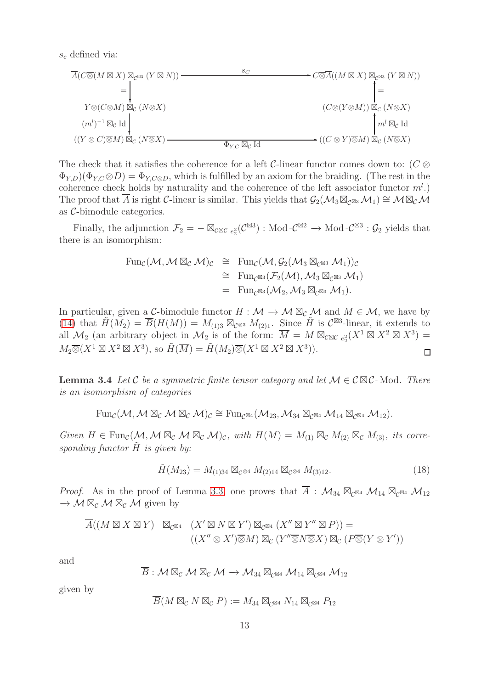$s_c$  defined via:

$$
\overline{A}(C \overline{\otimes} (M \boxtimes X) \boxtimes_{C^{\boxtimes 3}} (Y \boxtimes N)) - \longrightarrow C \overline{\otimes} A((M \boxtimes X) \boxtimes_{C^{\boxtimes 3}} (Y \boxtimes N))
$$
\n
$$
= \qquad \qquad + \qquad \qquad + \qquad \qquad + \qquad \qquad + \qquad \qquad + \qquad \qquad + \qquad \qquad + \qquad \qquad + \qquad \qquad + \qquad \qquad + \qquad \qquad + \qquad \qquad + \qquad \qquad + \qquad \qquad + \qquad \qquad + \qquad \qquad + \qquad \qquad + \qquad \qquad + \qquad \qquad + \qquad \qquad + \qquad \qquad + \qquad \qquad + \qquad \qquad + \qquad \qquad + \qquad \qquad + \qquad \qquad + \qquad \qquad + \qquad \qquad + \qquad \qquad + \qquad \qquad + \qquad \qquad + \qquad \qquad + \qquad \qquad + \qquad \qquad + \qquad \qquad + \qquad \qquad + \qquad \qquad + \qquad \qquad + \qquad \qquad + \qquad \qquad + \qquad \qquad + \qquad \qquad + \qquad \qquad + \qquad \qquad + \qquad \qquad + \qquad \qquad + \qquad \qquad + \qquad \qquad + \qquad \qquad + \qquad \qquad + \qquad \qquad + \qquad \qquad + \qquad \qquad + \qquad \qquad + \qquad \qquad + \qquad \qquad + \qquad \qquad + \qquad \qquad + \qquad \qquad + \qquad \qquad + \qquad \qquad + \qquad \qquad + \qquad \qquad + \qquad \qquad + \qquad \qquad + \qquad \qquad + \qquad \qquad + \qquad \qquad + \qquad \qquad + \qquad \qquad + \qquad \qquad + \qquad \qquad + \qquad \qquad + \qquad \qquad + \qquad \qquad + \qquad \qquad + \qquad \qquad + \qquad \qquad + \qquad \qquad + \qquad \qquad + \qquad \qquad + \qquad \qquad + \qquad \qquad + \qquad \qquad + \qquad \qquad + \qquad \qquad + \qquad \qquad + \qquad \qquad + \qquad \qquad + \qquad \qquad + \qquad \qquad + \qquad \qquad + \qquad \qquad + \qquad \qquad + \qquad \qquad + \qquad \qquad
$$

The check that it satisfies the coherence for a left C-linear functor comes down to:  $(C \otimes$  $\Phi_{Y,D}(\Phi_{Y,C} \otimes D) = \Phi_{Y,C \otimes D}$ , which is fulfilled by an axiom for the braiding. (The rest in the coherence check holds by naturality and the coherence of the left associator functor  $m<sup>l</sup>$ .) The proof that A is right C-linear is similar. This yields that  $\mathcal{G}_2(\mathcal{M}_3\boxtimes_{\mathcal{C}^{\boxtimes 3}}\mathcal{M}_1) \cong \mathcal{M}\boxtimes_{\mathcal{C}}\mathcal{M}$ as C-bimodule categories.

Finally, the adjunction  $\mathcal{F}_2 = - \boxtimes_{\mathcal{C}\boxtimes\mathcal{C}} e_2^2(\mathcal{C}^{\boxtimes 3})$  : Mod- $\mathcal{C}^{\boxtimes 2} \to \text{Mod-}\mathcal{C}^{\boxtimes 3}$  :  $\mathcal{G}_2$  yields that there is an isomorphism:

$$
\begin{array}{rcl}\n\operatorname{Fun}_{\mathcal{C}}(\mathcal{M},\mathcal{M} \boxtimes_{\mathcal{C}} \mathcal{M})_{\mathcal{C}} & \cong & \operatorname{Fun}_{\mathcal{C}}(\mathcal{M},\mathcal{G}_2(\mathcal{M}_3 \boxtimes_{\mathcal{C}^{\boxtimes 3}} \mathcal{M}_1))_{\mathcal{C}} \\
& \cong & \operatorname{Fun}_{\mathcal{C}^{\boxtimes 3}}(\mathcal{F}_2(\mathcal{M}),\mathcal{M}_3 \boxtimes_{\mathcal{C}^{\boxtimes 3}} \mathcal{M}_1) \\
& = & \operatorname{Fun}_{\mathcal{C}^{\boxtimes 3}}(\mathcal{M}_2,\mathcal{M}_3 \boxtimes_{\mathcal{C}^{\boxtimes 3}} \mathcal{M}_1).\n\end{array}
$$

In particular, given a C-bimodule functor  $H : \mathcal{M} \to \mathcal{M} \boxtimes_{\mathcal{C}} \mathcal{M}$  and  $M \in \mathcal{M}$ , we have by [\(14\)](#page-9-1) that  $\widetilde{H}(M_2) = \overline{B}(H(M)) = M_{(1)3} \boxtimes_{\mathcal{C}^{\otimes 3}} M_{(2)1}$ . Since  $\widetilde{H}$  is  $\mathcal{C}^{\boxtimes 3}$ -linear, it extends to all  $\mathcal{M}_2$  (an arbitrary object in  $\mathcal{M}_2$  is of the form:  $\overline{M} = M \boxtimes_{\mathcal{C} \boxtimes \mathcal{C}} e_2^2(X^1 \boxtimes X^2 \boxtimes X^3) =$  $M_2\overline{\otimes}(X^1\boxtimes X^2\boxtimes X^3),$  so  $\widetilde{H}(\overline{M})=\widetilde{H}(M_2)\overline{\otimes}(X^1\boxtimes X^2\boxtimes X^3)).$  $\Box$ 

**Lemma 3.4** *Let* C *be a symmetric finite tensor category and let*  $M \in \mathcal{C} \boxtimes \mathcal{C}$ -Mod. There *is an isomorphism of categories*

$$
\mathrm{Fun}_{\mathcal{C}}(\mathcal{M},\mathcal{M}\boxtimes_{\mathcal{C}}\mathcal{M}\boxtimes_{\mathcal{C}}\mathcal{M})_{\mathcal{C}}\cong \mathrm{Fun}_{\mathcal{C}^{\boxtimes 4}}(\mathcal{M}_{23},\mathcal{M}_{34}\boxtimes_{\mathcal{C}^{\boxtimes 4}}\mathcal{M}_{14}\boxtimes_{\mathcal{C}^{\boxtimes 4}}\mathcal{M}_{12}).
$$

 $Given H \in \text{Fun}_{\mathcal{C}}(\mathcal{M}, \mathcal{M} \boxtimes_{\mathcal{C}} \mathcal{M} \boxtimes_{\mathcal{C}} \mathcal{M})_{\mathcal{C}}, with H(M) = M_{(1)} \boxtimes_{\mathcal{C}} M_{(2)} \boxtimes_{\mathcal{C}} M_{(3)}, its corre$ *sponding functor*  $H$  *is given by:* 

<span id="page-12-0"></span>
$$
\tilde{H}(M_{23}) = M_{(1)34} \boxtimes_{\mathcal{C}^{\otimes 4}} M_{(2)14} \boxtimes_{\mathcal{C}^{\otimes 4}} M_{(3)12}.
$$
\n(18)

*Proof.* As in the proof of Lemma [3.3,](#page-10-0) one proves that  $\overline{A}$  :  $\mathcal{M}_{34} \boxtimes_{\mathcal{C}^{\boxtimes 4}} \mathcal{M}_{14} \boxtimes_{\mathcal{C}^{\boxtimes 4}} \mathcal{M}_{12}$  $\rightarrow$  M  $\boxtimes_{\mathcal{C}} M \boxtimes_{\mathcal{C}} M$  given by

$$
\overline{A}((M \boxtimes X \boxtimes Y) \boxtimes_{\mathcal{C}^{\boxtimes 4}} (X' \boxtimes N \boxtimes Y') \boxtimes_{\mathcal{C}^{\boxtimes 4}} (X'' \boxtimes Y'' \boxtimes P)) =
$$

$$
((X'' \otimes X') \overline{\otimes} M) \boxtimes_{\mathcal{C}} (Y'' \overline{\otimes} N \overline{\otimes} X) \boxtimes_{\mathcal{C}} (P \overline{\otimes} (Y \otimes Y'))
$$

and

$$
\overline{B}: \mathcal{M} \boxtimes_{\mathcal{C}} \mathcal{M} \boxtimes_{\mathcal{C}} \mathcal{M} \rightarrow \mathcal{M}_{34} \boxtimes_{\mathcal{C}^{\boxtimes 4}} \mathcal{M}_{14} \boxtimes_{\mathcal{C}^{\boxtimes 4}} \mathcal{M}_{12}
$$

given by

$$
\overline{B}(M \boxtimes_{\mathcal{C}} N \boxtimes_{\mathcal{C}} P) := M_{34} \boxtimes_{\mathcal{C}^{\boxtimes 4}} N_{14} \boxtimes_{\mathcal{C}^{\boxtimes 4}} P_{12}
$$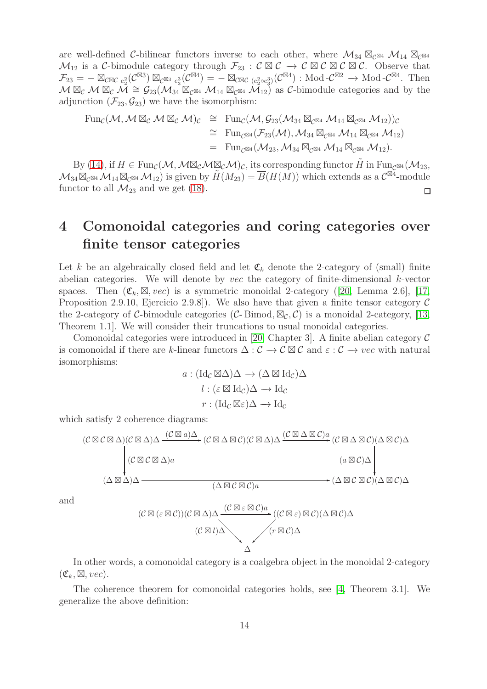are well-defined C-bilinear functors inverse to each other, where  $\mathcal{M}_{34} \boxtimes_{\mathcal{C}^{\boxtimes 4}} \mathcal{M}_{14} \boxtimes_{\mathcal{C}^{\boxtimes 4}}$  $\mathcal{M}_{12}$  is a C-bimodule category through  $\mathcal{F}_{23}$  :  $\mathcal{C} \boxtimes \mathcal{C} \rightarrow \mathcal{C} \boxtimes \mathcal{C} \boxtimes \mathcal{C} \boxtimes \mathcal{C}$ . Observe that  $\mathcal{F}_{23} = - \boxtimes_{\mathcal{C} \boxtimes \mathcal{C}} e_2^2(\mathcal{C}^{\boxtimes 3}) \boxtimes_{\mathcal{C}^{\boxtimes 3}} e_3^3(\mathcal{C}^{\boxtimes 4}) = - \boxtimes_{\mathcal{C} \boxtimes \mathcal{C}} (e_2^2 \circ e_3^3)(\mathcal{C}^{\boxtimes 4}) : \text{Mod-}\mathcal{C}^{\boxtimes 2} \longrightarrow \text{Mod-}\mathcal{C}^{\boxtimes 4}.$  Then  $M \boxtimes_{\mathcal{C}} M \boxtimes_{\mathcal{C}} M \cong \mathcal{G}_{23}(M_{34} \boxtimes_{\mathcal{C}^{\boxtimes 4}} M_{14} \boxtimes_{\mathcal{C}^{\boxtimes 4}} M_{12})$  as C-bimodule categories and by the adjunction  $(\mathcal{F}_{23}, \mathcal{G}_{23})$  we have the isomorphism:

$$
\begin{array}{rcl}\n\operatorname{Fun}_{\mathcal C}({\mathcal M},{\mathcal M}\boxtimes_{\mathcal C} {\mathcal M}\boxtimes_{\mathcal C} {\mathcal M})_{\mathcal C}&\cong& \operatorname{Fun}_{\mathcal C}({\mathcal M}, {\mathcal G}_{23}({\mathcal M}_{34}\boxtimes_{\mathcal C} {\mathbb S}^4 \ {\mathcal M}_{14}\boxtimes_{\mathcal C} {\mathbb S}^4 \ {\mathcal M}_{12}))_{\mathcal C}\\ &\cong& \operatorname{Fun}_{\mathcal C} {\mathbb S}^4({\mathcal F}_{23}({\mathcal M}), {\mathcal M}_{34}\boxtimes_{\mathcal C} {\mathbb S}^4 \ {\mathcal M}_{14}\boxtimes_{\mathcal C} {\mathbb S}^4 \ {\mathcal M}_{12})\\ &=& \operatorname{Fun}_{\mathcal C} {\mathbb S}^4({\mathcal M}_{23}, {\mathcal M}_{34}\boxtimes_{\mathcal C} {\mathbb S}^4 \ {\mathcal M}_{14}\boxtimes_{\mathcal C} {\mathbb S}^4 \ {\mathcal M}_{12}).\n\end{array}
$$

By [\(14\)](#page-9-1), if  $H \in \text{Fun}_{\mathcal{C}}(\mathcal{M},\mathcal{M} \boxtimes_{\mathcal{C}} \mathcal{M} \boxtimes_{\mathcal{C}} \mathcal{M})_{\mathcal{C}}$ , its corresponding functor  $H$  in  $\text{Fun}_{\mathcal{C}} \boxtimes 4(\mathcal{M}_{23},\mathcal{M})$  $\mathcal{M}_{34} \boxtimes_{\mathcal{C}} \mathbb{S}_4 \mathcal{M}_{14} \boxtimes_{\mathcal{C}} \mathbb{S}_4 \mathcal{M}_{12}$  is given by  $\widetilde{H}(M_{23}) = \overline{B}(H(M))$  which extends as a  $\mathcal{C}^{\boxtimes 4}$ -module functor to all  $\mathcal{M}_{23}$  and we get [\(18\)](#page-12-0).  $\Box$ 

## 4 Comonoidal categories and coring categories over finite tensor categories

Let k be an algebraically closed field and let  $\mathfrak{C}_k$  denote the 2-category of (small) finite abelian categories. We will denote by *vec* the category of finite-dimensional  $k$ -vector spaces. Then  $(\mathfrak{C}_k, \boxtimes, vec)$  is a symmetric monoidal 2-category ([\[20,](#page-40-13) Lemma 2.6], [\[17,](#page-40-14) Proposition 2.9.10, Ejercicio 2.9.8]). We also have that given a finite tensor category  $\mathcal C$ the 2-category of C-bimodule categories (C-Bimod,  $\mathbb{Z}_{\mathcal{C}}$ , C) is a monoidal 2-category, [\[13,](#page-40-8) Theorem 1.1]. We will consider their truncations to usual monoidal categories.

Comonoidal categories were introduced in [\[20,](#page-40-13) Chapter 3]. A finite abelian category  $\mathcal C$ is comonoidal if there are k-linear functors  $\Delta: \mathcal{C} \to \mathcal{C} \boxtimes \mathcal{C}$  and  $\varepsilon: \mathcal{C} \to vec$  with natural isomorphisms:

$$
a: (\mathrm{Id}_{\mathcal{C}} \boxtimes \Delta) \Delta \to (\Delta \boxtimes \mathrm{Id}_{\mathcal{C}}) \Delta
$$

$$
l: (\varepsilon \boxtimes \mathrm{Id}_{\mathcal{C}}) \Delta \to \mathrm{Id}_{\mathcal{C}}
$$

$$
r: (\mathrm{Id}_{\mathcal{C}} \boxtimes \varepsilon) \Delta \to \mathrm{Id}_{\mathcal{C}}
$$

which satisfy 2 coherence diagrams:

$$
(\mathcal{C} \boxtimes \mathcal{C} \boxtimes \Delta)(\mathcal{C} \boxtimes \Delta)\Delta \xrightarrow{(\mathcal{C} \boxtimes a)\Delta} (\mathcal{C} \boxtimes \Delta \boxtimes \mathcal{C})(\mathcal{C} \boxtimes \Delta)\Delta \xrightarrow{(\mathcal{C} \boxtimes \Delta \boxtimes \mathcal{C})(\mathcal{C} \boxtimes \Delta) \Delta} (\mathcal{C} \boxtimes \Delta \boxtimes \mathcal{C})(\Delta \boxtimes \mathcal{C})\Delta
$$
\n
$$
(\Delta \boxtimes \mathcal{C})\Delta \xrightarrow{(\Delta \boxtimes \mathcal{C})a} (\Delta \boxtimes \mathcal{C})\Delta \xrightarrow{(\Delta \boxtimes \mathcal{C})a} (\Delta \boxtimes \mathcal{C})\Delta \xrightarrow{(\Delta \boxtimes \mathcal{C})a} (\Delta \boxtimes \mathcal{C})\Delta \xrightarrow{(\Delta \boxtimes \mathcal{C})a} (\Delta \boxtimes \mathcal{C})\Delta \xrightarrow{(\Delta \boxtimes \mathcal{C})a} (\Delta \boxtimes \mathcal{C})\Delta \xrightarrow{(\Delta \boxtimes \mathcal{C})a} (\Delta \boxtimes \mathcal{C})\Delta \xrightarrow{(\Delta \boxtimes \mathcal{C})a} (\Delta \boxtimes \mathcal{C})\Delta \xrightarrow{(\Delta \boxtimes \mathcal{C})a} (\Delta \boxtimes \mathcal{C})\Delta \xrightarrow{(\Delta \boxtimes \mathcal{C})a} (\Delta \boxtimes \mathcal{C})\Delta \xrightarrow{(\Delta \boxtimes \mathcal{C})a} (\Delta \boxtimes \mathcal{C})\Delta \xrightarrow{(\Delta \boxtimes \mathcal{C})a} (\Delta \boxtimes \mathcal{C})\Delta \xrightarrow{(\Delta \boxtimes \mathcal{C})a} (\Delta \boxtimes \mathcal{C})\Delta \xrightarrow{(\Delta \boxtimes \mathcal{C})a} (\Delta \boxtimes \mathcal{C})\Delta \xrightarrow{(\Delta \boxtimes \mathcal{C})a} (\Delta \boxtimes \mathcal{C})\Delta \xrightarrow{(\Delta \boxtimes \mathcal{C})a} (\Delta \boxtimes \mathcal{C})\Delta \xrightarrow{(\Delta \boxtimes \mathcal{C})a} (\Delta \boxtimes \mathcal{C})\Delta \xrightarrow{(\Delta \boxtimes \mathcal{C})a} (\Delta \boxtimes \mathcal{C})\Delta \xrightarrow{(\Delta \boxtimes \mathcal{C})a} (\Delta \boxtimes \mathcal{C})\Delta \xrightarrow{(\Delta \boxtimes \mathcal{C})a} (\Delta \boxtimes \mathcal{C})\Delta \xrightarrow{(\Delta \boxtimes \
$$

and

$$
(\mathcal{C} \boxtimes (\varepsilon \boxtimes \mathcal{C}))(\mathcal{C} \boxtimes \Delta) \Delta \frac{(\mathcal{C} \boxtimes \varepsilon \boxtimes \mathcal{C})a}{(\mathcal{C} \boxtimes \varepsilon) \boxtimes \mathcal{C}) (\Delta \boxtimes \mathcal{C}) \Delta} ((\mathcal{C} \boxtimes \varepsilon) \boxtimes \mathcal{C}) (\Delta \boxtimes \mathcal{C}) \Delta
$$

In other words, a comonoidal category is a coalgebra object in the monoidal 2-category  $(\mathfrak{C}_k, \boxtimes, vec).$ 

The coherence theorem for comonoidal categories holds, see [\[4,](#page-40-15) Theorem 3.1]. We generalize the above definition: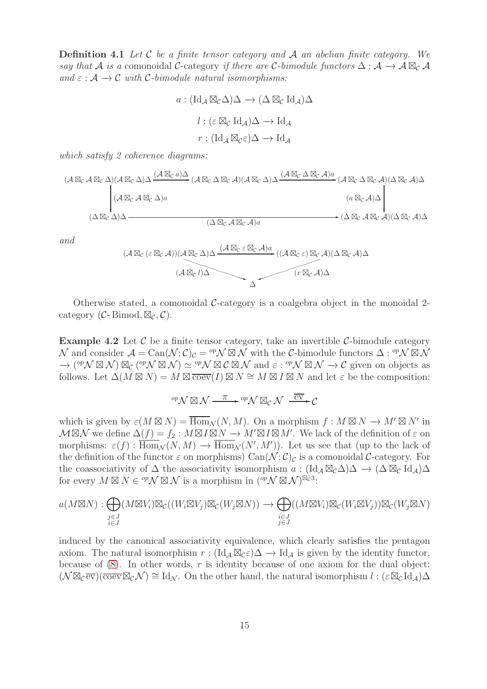Definition 4.1 *Let* C *be a finite tensor category and* A *an abelian finite category. We say that*  $\mathcal A$  *is a* comonoidal C-category *if there are* C-bimodule functors  $\Delta : \mathcal A \to \mathcal A \boxtimes_{\mathcal C} \mathcal A$  $\alpha$ *and*  $\varepsilon$  :  $\mathcal{A} \rightarrow \mathcal{C}$  *with*  $\mathcal{C}\text{-bimodule natural isomorphisms:}$ 

$$
a: (\mathrm{Id}_{\mathcal{A}} \boxtimes_{\mathcal{C}} \Delta) \Delta \to (\Delta \boxtimes_{\mathcal{C}} \mathrm{Id}_{\mathcal{A}}) \Delta
$$

$$
l: (\varepsilon \boxtimes_{\mathcal{C}} \mathrm{Id}_{\mathcal{A}}) \Delta \to \mathrm{Id}_{\mathcal{A}}
$$

$$
r: (\mathrm{Id}_{\mathcal{A}} \boxtimes_{\mathcal{C}} \varepsilon) \Delta \to \mathrm{Id}_{\mathcal{A}}
$$

*which satisfy 2 coherence diagrams:*

$$
(\mathcal{A}\boxtimes_{\mathcal{C}}\mathcal{A}\boxtimes_{\mathcal{C}}\Delta)(\mathcal{A}\boxtimes_{\mathcal{C}}\Delta)\Delta \xrightarrow{(\mathcal{A}\boxtimes_{\mathcal{C}}a)\Delta} (\mathcal{A}\boxtimes_{\mathcal{C}}\Delta\boxtimes_{\mathcal{C}}\mathcal{A})(\mathcal{A}\boxtimes_{\mathcal{C}}\Delta)\Delta \xrightarrow{(\mathcal{A}\boxtimes_{\mathcal{C}}\Delta\boxtimes_{\mathcal{C}}\mathcal{A})a} (\mathcal{A}\boxtimes_{\mathcal{C}}\Delta\boxtimes_{\mathcal{C}}\mathcal{A})(\Delta\boxtimes_{\mathcal{C}}\mathcal{A})\Delta
$$
\n
$$
(\Delta\boxtimes_{\mathcal{C}}\mathcal{A}\boxtimes_{\mathcal{C}}\Delta)a \xrightarrow{(\Delta\boxtimes_{\mathcal{C}}\mathcal{A})a} (\Delta\boxtimes_{\mathcal{C}}\mathcal{A})\Delta \xrightarrow{(\Delta\boxtimes_{\mathcal{C}}\mathcal{A})a} (\Delta\boxtimes_{\mathcal{C}}\mathcal{A})\Delta
$$

*and*

$$
(A \boxtimes_{\mathcal{C}} (\varepsilon \boxtimes_{\mathcal{C}} \mathcal{A})) (A \boxtimes_{\mathcal{C}} \Delta) \Delta \frac{(A \boxtimes_{\mathcal{C}} \varepsilon \boxtimes_{\mathcal{C}} A)a}{(A \boxtimes_{\mathcal{C}} l)\Delta} ((A \boxtimes_{\mathcal{C}} \varepsilon) \boxtimes_{\mathcal{C}} A)(\Delta \boxtimes_{\mathcal{C}} A)\Delta
$$

<span id="page-14-0"></span>Otherwise stated, a comonoidal  $\mathcal{C}\text{-category}$  is a coalgebra object in the monoidal 2category ( $\mathcal{C}\text{-Bimod}, \boxtimes_{\mathcal{C}} \mathcal{C}$ ).

**Example 4.2** Let  $\mathcal{C}$  be a finite tensor category, take an invertible  $\mathcal{C}$ -bimodule category N and consider  $\mathcal{A} = \text{Can}(\mathcal{N}; \mathcal{C})_c = {}^{op}\mathcal{N} \boxtimes \mathcal{N}$  with the C-bimodule functors  $\Delta : {}^{op}\mathcal{N} \boxtimes \mathcal{N}$  $\rightarrow$  (<sup>op</sup>N  $\boxtimes$  N)  $\boxtimes$  (<sup>op</sup>N  $\boxtimes$  N)  $\simeq$  <sup>op</sup>N  $\boxtimes$  C  $\boxtimes$  N and  $\varepsilon$  : <sup>op</sup>N  $\boxtimes$  N  $\rightarrow$  C given on objects as follows. Let  $\Delta(M \boxtimes N) = M \boxtimes \overline{\text{coev}}(I) \boxtimes N \cong M \boxtimes I \boxtimes N$  and let  $\varepsilon$  be the composition:

$$
^{op}\mathcal{N}\boxtimes\mathcal{N}\xrightarrow{\pi}\ ^{op}\mathcal{N}\boxtimes_{\mathcal{C}}\mathcal{N}\xrightarrow{\overline{\mathrm{ev}}}\mathcal{C}
$$

which is given by  $\varepsilon(M \boxtimes N) = \overline{\text{Hom}}_{\mathcal{N}}(N, M)$ . On a morphism  $f : M \boxtimes N \to M' \boxtimes N'$  in  $\mathcal{M} \boxtimes \mathcal{N}$  we define  $\Delta(f) = f_2 : M \boxtimes I \boxtimes N \to M' \boxtimes I \boxtimes M'$ . We lack of the definition of  $\varepsilon$  on morphisms:  $\varepsilon(f)$ :  $\overline{\text{Hom}}_{\mathcal{N}}(N,M) \to \overline{\text{Hom}}_{\mathcal{N}}(N',M')$ ). Let us see that (up to the lack of the definition of the functor  $\varepsilon$  on morphisms)  $\text{Can}(\mathcal{N};\mathcal{C})_{\mathcal{C}}$  is a comonoidal  $\mathcal{C}\text{-category.}$  For the coassociativity of  $\Delta$  the associativity isomorphism  $a : (\mathrm{Id}_A \boxtimes_{\mathcal{C}} \Delta) \Delta \to (\Delta \boxtimes_{\mathcal{C}} \mathrm{Id}_A) \Delta$ for every  $M \boxtimes N \in {}^{op} \mathcal{N} \boxtimes \mathcal{N}$  is a morphism in  $({}^{op} \mathcal{N} \boxtimes \mathcal{N})^{\boxtimes c^3}$ :

$$
a(M \boxtimes N) : \bigoplus_{\substack{j \in J \\ i \in J}} (M \boxtimes V_i) \boxtimes_{\mathcal{C}} ((W_i \boxtimes V_j) \boxtimes_{\mathcal{C}} (W_j \boxtimes N)) \longrightarrow \bigoplus_{\substack{i \in J \\ j \in J}} ((M \boxtimes V_i) \boxtimes_{\mathcal{C}} (W_i \boxtimes V_j)) \boxtimes_{\mathcal{C}} (W_j \boxtimes N)
$$

induced by the canonical associativity equivalence, which clearly satisfies the pentagon axiom. The natural isomorphism  $r : (\text{Id}_A \boxtimes_{\mathcal{C}} \mathcal{E})\Delta \to \text{Id}_A$  is given by the identity functor, because of  $(8)$ . In other words, r is identity because of one axiom for the dual object:  $(\mathcal{N} \boxtimes_{\mathcal{C}} \overline{\text{ev}})(\overline{\text{coev}} \boxtimes_{\mathcal{C}} \mathcal{N}) \cong \text{Id}_{\mathcal{N}}$ . On the other hand, the natural isomorphism  $l : (\varepsilon \boxtimes_{\mathcal{C}} \text{Id}_{\mathcal{A}}) \Delta$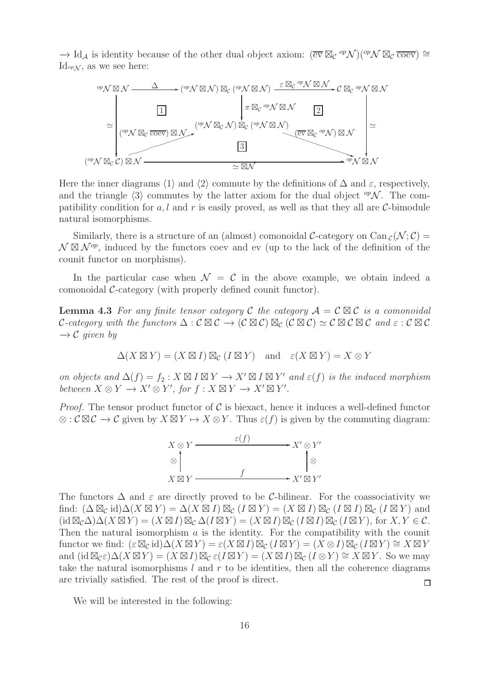$\rightarrow$  Id<sub>A</sub> is identity because of the other dual object axiom:  $(\overline{ev} \boxtimes_{\mathcal{C}} {}^{op} \mathcal{N})({}^{op} \mathcal{N} \boxtimes_{\mathcal{C}} \overline{coev}) \cong$ Id<sub>op</sub> $\mathcal{N}$ , as we see here:



Here the inner diagrams  $\langle 1 \rangle$  and  $\langle 2 \rangle$  commute by the definitions of  $\Delta$  and  $\varepsilon$ , respectively, and the triangle  $\langle 3 \rangle$  commutes by the latter axiom for the dual object  $^{\text{op}}\mathcal{N}$ . The compatibility condition for a, l and r is easily proved, as well as that they all are C-bimodule natural isomorphisms.

Similarly, there is a structure of an (almost) comonoidal C-category on Can  $_{\mathcal{C}}(\mathcal{N}; \mathcal{C}) =$  $\mathcal{N} \boxtimes \mathcal{N}^{op}$ , induced by the functors coev and ev (up to the lack of the definition of the counit functor on morphisms).

<span id="page-15-0"></span>In the particular case when  $\mathcal{N} = \mathcal{C}$  in the above example, we obtain indeed a comonoidal C-category (with properly defined counit functor).

**Lemma 4.3** For any finite tensor category C the category  $A = C \boxtimes C$  is a comonoidal C-category with the functors  $\Delta : \mathcal{C} \boxtimes \mathcal{C} \to (\mathcal{C} \boxtimes \mathcal{C}) \boxtimes_{\mathcal{C}} (\mathcal{C} \boxtimes \mathcal{C}) \simeq \mathcal{C} \boxtimes \mathcal{C} \boxtimes \mathcal{C}$  and  $\varepsilon : \mathcal{C} \boxtimes \mathcal{C}$  $\rightarrow$  *C* given by

$$
\Delta(X \boxtimes Y) = (X \boxtimes I) \boxtimes_{\mathcal{C}} (I \boxtimes Y) \text{ and } \varepsilon(X \boxtimes Y) = X \otimes Y
$$

*on objects and*  $\Delta(f) = f_2 : X \boxtimes I \boxtimes Y \rightarrow X' \boxtimes I \boxtimes Y'$  *and*  $\varepsilon(f)$  *is the induced morphism between*  $X \otimes Y \to X' \otimes Y'$ , for  $f : X \boxtimes Y \to X' \boxtimes Y'$ .

*Proof.* The tensor product functor of  $\mathcal{C}$  is biexact, hence it induces a well-defined functor  $\otimes$ :  $\mathcal{C} \boxtimes \mathcal{C} \to \mathcal{C}$  given by  $X \boxtimes Y \to X \otimes Y$ . Thus  $\varepsilon(f)$  is given by the commuting diagram:



The functors  $\Delta$  and  $\varepsilon$  are directly proved to be C-bilinear. For the coassociativity we find:  $(\Delta \boxtimes_C id)\Delta(X \boxtimes Y) = \Delta(X \boxtimes I) \boxtimes_C (I \boxtimes Y) = (X \boxtimes I) \boxtimes_C (I \boxtimes I) \boxtimes_C (I \boxtimes Y)$  and  $(id \boxtimes_{\mathcal{C}} \Delta) \Delta(X \boxtimes Y) = (X \boxtimes I) \boxtimes_{\mathcal{C}} \Delta(I \boxtimes Y) = (X \boxtimes I) \boxtimes_{\mathcal{C}} (I \boxtimes I) \boxtimes_{\mathcal{C}} (I \boxtimes Y)$ , for  $X, Y \in \mathcal{C}$ . Then the natural isomorphism  $\alpha$  is the identity. For the compatibility with the counit functor we find:  $(\varepsilon \boxtimes_{\mathcal{C}} id)\Delta(X \boxtimes Y) = \varepsilon(X \boxtimes I) \boxtimes_{\mathcal{C}} (I \boxtimes Y) = (X \otimes I) \boxtimes_{\mathcal{C}} (I \boxtimes Y) \cong X \boxtimes Y$ and  $(id \boxtimes_{\mathcal{C}} \varepsilon) \Delta(X \boxtimes Y) = (X \boxtimes I) \boxtimes_{\mathcal{C}} \varepsilon(I \boxtimes Y) = (X \boxtimes I) \boxtimes_{\mathcal{C}} (I \otimes Y) \cong X \boxtimes Y$ . So we may take the natural isomorphisms  $l$  and  $r$  to be identities, then all the coherence diagrams are trivially satisfied. The rest of the proof is direct.  $\Box$ 

We will be interested in the following: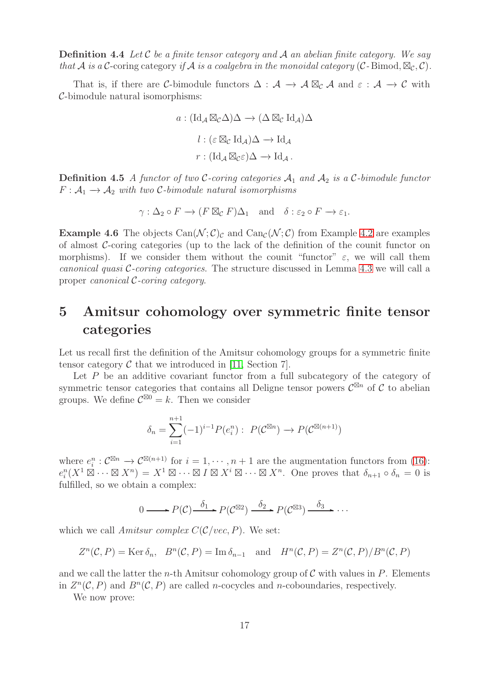Definition 4.4 *Let* C *be a finite tensor category and* A *an abelian finite category. We say that* A *is a* C-coring category *if* A *is a coalgebra in the monoidal category* (C-Bimod,  $\mathbb{Z}_{c}$ , C).

That is, if there are C-bimodule functors  $\Delta : \mathcal{A} \to \mathcal{A} \boxtimes_{\mathcal{C}} \mathcal{A}$  and  $\varepsilon : \mathcal{A} \to \mathcal{C}$  with C-bimodule natural isomorphisms:

$$
a: (\mathrm{Id}_{\mathcal{A}} \boxtimes_{\mathcal{C}} \Delta) \Delta \to (\Delta \boxtimes_{\mathcal{C}} \mathrm{Id}_{\mathcal{A}}) \Delta
$$

$$
l: (\varepsilon \boxtimes_{\mathcal{C}} \mathrm{Id}_{\mathcal{A}}) \Delta \to \mathrm{Id}_{\mathcal{A}}
$$

$$
r: (\mathrm{Id}_{\mathcal{A}} \boxtimes_{\mathcal{C}} \varepsilon) \Delta \to \mathrm{Id}_{\mathcal{A}}.
$$

**Definition 4.5** A functor of two C-coring categories  $A_1$  and  $A_2$  is a C-bimodule functor  $F: \mathcal{A}_1 \longrightarrow \mathcal{A}_2$  *with two C-bimodule natural isomorphisms* 

$$
\gamma : \Delta_2 \circ F \to (F \boxtimes_{\mathcal{C}} F)\Delta_1
$$
 and  $\delta : \varepsilon_2 \circ F \to \varepsilon_1$ .

<span id="page-16-2"></span>**Example 4.6** The objects  $\text{Can}(\mathcal{N}; \mathcal{C})_{\mathcal{C}}$  and  $\text{Can}_{\mathcal{C}}(\mathcal{N}; \mathcal{C})$  from Example [4.2](#page-14-0) are examples of almost  $\mathcal{C}$ -coring categories (up to the lack of the definition of the counit functor on morphisms). If we consider them without the counit "functor"  $\varepsilon$ , we will call them *canonical quasi* C*-coring categories*. The structure discussed in Lemma [4.3](#page-15-0) we will call a proper *canonical* C*-coring category*.

## <span id="page-16-0"></span>5 Amitsur cohomology over symmetric finite tensor categories

Let us recall first the definition of the Amitsur cohomology groups for a symmetric finite tensor category  $\mathcal C$  that we introduced in [\[11,](#page-40-1) Section 7].

Let  $P$  be an additive covariant functor from a full subcategory of the category of symmetric tensor categories that contains all Deligne tensor powers  $\mathcal{C}^{\boxtimes n}$  of C to abelian groups. We define  $\mathcal{C}^{\boxtimes 0} = k$ . Then we consider

$$
\delta_n = \sum_{i=1}^{n+1} (-1)^{i-1} P(e_i^n) : P(\mathcal{C}^{\boxtimes n}) \to P(\mathcal{C}^{\boxtimes (n+1)})
$$

where  $e_i^n : C^{\boxtimes n} \to C^{\boxtimes (n+1)}$  for  $i = 1, \cdots, n+1$  are the augmentation functors from [\(16\)](#page-9-2):  $e_i^n(X^1 \boxtimes \cdots \boxtimes X^n) = X^1 \boxtimes \cdots \boxtimes I \boxtimes X^i \boxtimes \cdots \boxtimes X^n$ . One proves that  $\delta_{n+1} \circ \delta_n = 0$  is fulfilled, so we obtain a complex:

$$
0 \longrightarrow P(\mathcal{C}) \xrightarrow{\delta_1} P(\mathcal{C}^{\boxtimes 2}) \xrightarrow{\delta_2} P(\mathcal{C}^{\boxtimes 3}) \xrightarrow{\delta_3} \cdots
$$

which we call *Amitsur complex*  $C(C/vec, P)$ . We set:

 $Z^{n}(\mathcal{C}, P) = \text{Ker }\delta_{n}, \quad B^{n}(\mathcal{C}, P) = \text{Im }\delta_{n-1} \quad \text{and} \quad H^{n}(\mathcal{C}, P) = Z^{n}(\mathcal{C}, P)/B^{n}(\mathcal{C}, P)$ 

and we call the latter the *n*-th Amitsur cohomology group of  $\mathcal C$  with values in  $P$ . Elements in  $Z^{n}(\mathcal{C}, P)$  and  $B^{n}(\mathcal{C}, P)$  are called *n*-cocycles and *n*-coboundaries, respectively.

<span id="page-16-1"></span>We now prove: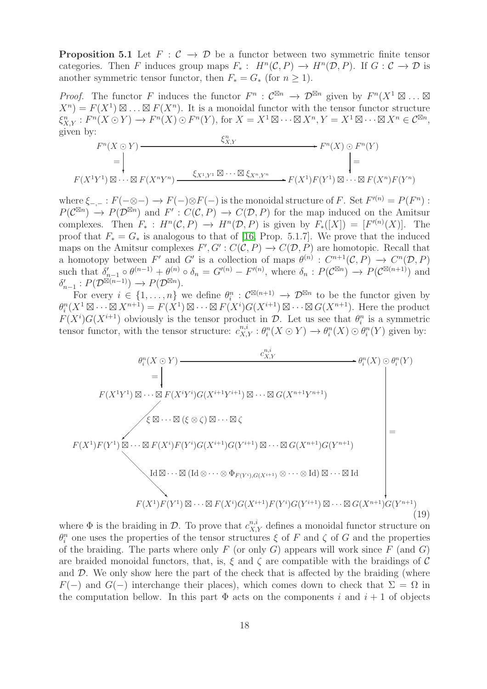**Proposition 5.1** Let  $F : C \to D$  be a functor between two symmetric finite tensor categories. Then F induces group maps  $F_*: H^n(\mathcal{C}, P) \to H^n(\mathcal{D}, P)$ . If  $G: \mathcal{C} \to \mathcal{D}$  is another symmetric tensor functor, then  $F_* = G_*$  (for  $n \geq 1$ ).

*Proof.* The functor F induces the functor  $F^n$  :  $\mathcal{C}^{\boxtimes n} \to \mathcal{D}^{\boxtimes n}$  given by  $F^n(X^1 \boxtimes ... \boxtimes ...)$  $X^{n}$  =  $F(X^{1}) \boxtimes ... \boxtimes F(X^{n})$ . It is a monoidal functor with the tensor functor structure  $\xi_{X,Y}^n : F^n(X \odot Y) \to F^n(X) \odot F^n(Y)$ , for  $X = X^1 \boxtimes \cdots \boxtimes X^n, Y = X^1 \boxtimes \cdots \boxtimes X^n \in \mathcal{C}^{\boxtimes n}$ , given by: n

$$
F^{n}(X \odot Y)
$$
\n
$$
= \left| \begin{array}{ccc} \xi_{X,Y}^{n} & \longrightarrow & F^{n}(X) \odot & F^{n}(Y) \\ \vdots & \vdots & \vdots \\ F(X^{1}Y^{1}) \boxtimes \cdots \boxtimes & F(X^{n}Y^{n}) & \xrightarrow{\xi_{X^{1},Y^{1}}} \boxtimes \cdots \boxtimes & \xi_{X^{n},Y^{n}} \end{array} \right| =
$$

where  $\xi_{-,-}: F(-\otimes -) \to F(-)\otimes F(-)$  is the monoidal structure of F. Set  $F'(n) = P(F^n)$ :  $P(\mathcal{C}^{\boxtimes n}) \to P(\mathcal{D}^{\boxtimes n})$  and  $F' : C(\mathcal{C}, P) \to C(\mathcal{D}, P)$  for the map induced on the Amitsur complexes. Then  $F_* : H^n(\mathcal{C}, P) \to H^n(\mathcal{D}, P)$  is given by  $F_*([X]) = [F^{(n)}(X)]$ . The proof that  $F_* = G_*$  is analogous to that of [\[16,](#page-40-16) Prop. 5.1.7]. We prove that the induced maps on the Amitsur complexes  $F', G' : C(C, P) \to C(D, P)$  are homotopic. Recall that a homotopy between F' and G' is a collection of maps  $\theta^{(n)}$ :  $C^{n+1}(\mathcal{C}, P) \to C^{n}(\mathcal{D}, P)$ such that  $\delta'_{n-1} \circ \theta^{(n-1)} + \theta^{(n)} \circ \delta_n = G'^{(n)} - F'^{(n)}$ , where  $\delta_n : P(\mathcal{C}^{\boxtimes n}) \to P(\mathcal{C}^{\boxtimes (n+1)})$  and  $\delta'_{n-1}: P(\mathcal{D}^{\boxtimes (n-1)}) \longrightarrow P(\mathcal{D}^{\boxtimes n}).$ 

For every  $i \in \{1,\ldots,n\}$  we define  $\theta_i^n : C^{\boxtimes (n+1)} \to \mathcal{D}^{\boxtimes n}$  to be the functor given by  $\theta_i^n(X^1 \boxtimes \cdots \boxtimes X^{n+1}) = F(X^1) \boxtimes \cdots \boxtimes F(X^i)G(X^{i+1}) \boxtimes \cdots \boxtimes G(X^{n+1})$ . Here the product  $F(X^i)G(X^{i+1})$  obviously is the tensor product in  $\mathcal{D}$ . Let us see that  $\theta_i^n$  is a symmetric tensor functor, with the tensor structure:  $c_{X,Y}^{n,i} : \theta_i^n(X \odot Y) \to \theta_i^n(X) \odot \theta_i^n(Y)$  given by:

<span id="page-17-0"></span>

where  $\Phi$  is the braiding in  $\mathcal{D}$ . To prove that  $c_{X,Y}^{n,i}$  defines a monoidal functor structure on  $\theta_i^n$  one uses the properties of the tensor structures  $\xi$  of F and  $\zeta$  of G and the properties of the braiding. The parts where only  $F$  (or only  $G$ ) appears will work since  $F$  (and  $G$ ) are braided monoidal functors, that, is,  $\xi$  and  $\zeta$  are compatible with the braidings of  $\mathcal C$ and  $\mathcal{D}$ . We only show here the part of the check that is affected by the braiding (where  $F(-)$  and  $G(-)$  interchange their places), which comes down to check that  $\Sigma = \Omega$  in the computation bellow. In this part  $\Phi$  acts on the components i and  $i + 1$  of objects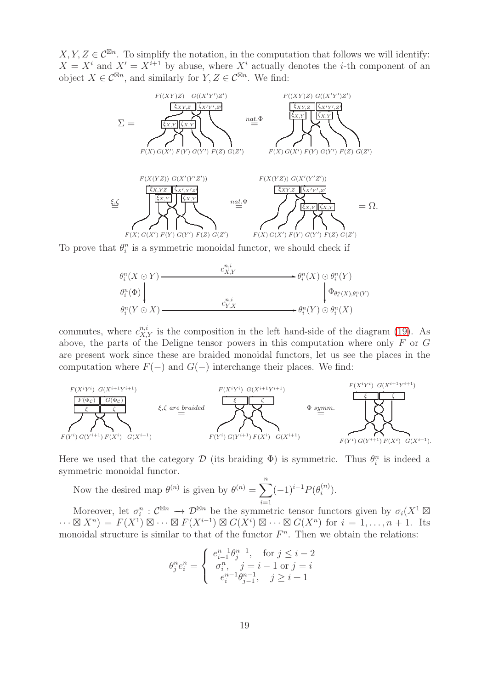$X, Y, Z \in \mathcal{C}^{\boxtimes n}$ . To simplify the notation, in the computation that follows we will identify:  $X = X<sup>i</sup>$  and  $X' = X<sup>i+1</sup>$  by abuse, where  $X<sup>i</sup>$  actually denotes the *i*-th component of an object  $X \in \mathcal{C}^{\boxtimes n}$ , and similarly for  $Y, Z \in \mathcal{C}^{\boxtimes n}$ . We find:



To prove that  $\theta_i^n$  is a symmetric monoidal functor, we should check if

$$
\begin{array}{ccc}\n\theta_i^n(X \odot Y) & \xrightarrow{\qquad \qquad} & \mathcal{C}_{X,Y}^{n,i} \\
\theta_i^n(\Phi) & & \downarrow \Phi_{\theta_i^n(X),\theta_i^n(Y)} \\
\theta_i^n(Y \odot X) & & \xrightarrow{\qquad \qquad} & \mathcal{C}_{Y,X}^{n,i} \\
\theta_i^n(Y \odot X) & & \xrightarrow{\qquad \qquad} & \theta_i^n(Y) \odot \theta_i^n(X)\n\end{array}
$$

commutes, where  $c_{X,Y}^{n,i}$  is the composition in the left hand-side of the diagram [\(19\)](#page-17-0). As above, the parts of the Deligne tensor powers in this computation where only F or G are present work since these are braided monoidal functors, let us see the places in the computation where  $F(-)$  and  $G(-)$  interchange their places. We find:



Here we used that the category  $\mathcal D$  (its braiding  $\Phi$ ) is symmetric. Thus  $\theta_i^n$  is indeed a symmetric monoidal functor.

Now the desired map  $\theta^{(n)}$  is given by  $\theta^{(n)} = \sum_{n=0}^{n} (-1)^{i-1} P(\theta_i^{(n)})$  $i=1$  $\binom{n}{i}$ .

Moreover, let  $\sigma_i^n: \mathcal{C}^{\boxtimes n} \to \mathcal{D}^{\boxtimes n}$  be the symmetric tensor functors given by  $\sigma_i(X^1 \boxtimes$  $\cdots \boxtimes X^n$  =  $F(X^1) \boxtimes \cdots \boxtimes F(X^{i-1}) \boxtimes G(X^i) \boxtimes \cdots \boxtimes G(X^n)$  for  $i = 1, \ldots, n+1$ . Its monoidal structure is similar to that of the functor  $F<sup>n</sup>$ . Then we obtain the relations:

$$
\theta_j^n e_i^n = \begin{cases} e_{i-1}^{n-1} \theta_j^{n-1}, & \text{for } j \leq i-2 \\ \sigma_i^n, & j = i-1 \text{ or } j = i \\ e_i^{n-1} \theta_{j-1}^{n-1}, & j \geq i+1 \end{cases}
$$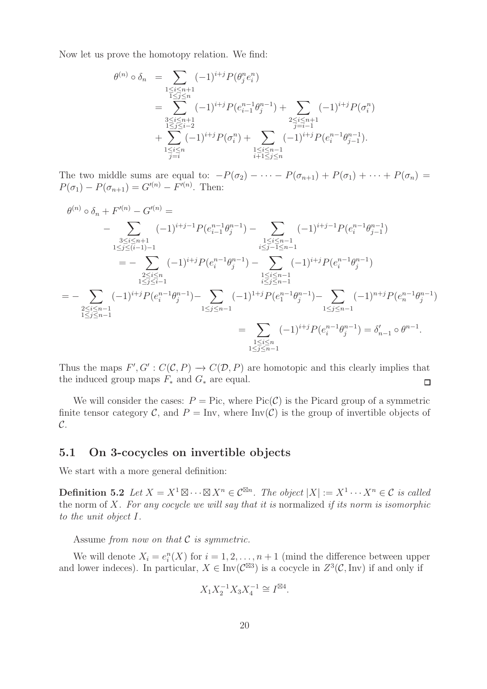Now let us prove the homotopy relation. We find:

$$
\theta^{(n)} \circ \delta_n = \sum_{\substack{1 \le i \le n+1 \\ 1 \le j \le n}} (-1)^{i+j} P(\theta_j^n e_i^n)
$$
  
= 
$$
\sum_{\substack{3 \le i \le n+1 \\ 1 \le j \le i-2 \\ j = i}} (-1)^{i+j} P(e_{i-1}^{n-1} \theta_j^{n-1}) + \sum_{\substack{2 \le i \le n+1 \\ j = i-1 \\ j = i}} (-1)^{i+j} P(\sigma_i^n)
$$
  
+ 
$$
\sum_{\substack{1 \le i \le n \\ j = i}} (-1)^{i+j} P(\sigma_i^n) + \sum_{\substack{1 \le i \le n-1 \\ i+1 \le j \le n}} (-1)^{i+j} P(e_i^{n-1} \theta_{j-1}^{n-1}).
$$

The two middle sums are equal to:  $-P(\sigma_2) - \cdots - P(\sigma_{n+1}) + P(\sigma_1) + \cdots + P(\sigma_n) =$  $P(\sigma_1) - P(\sigma_{n+1}) = G''^{(n)} - F^{(n)}$ . Then:

$$
\theta^{(n)} \circ \delta_n + F'^{(n)} - G'^{(n)} =
$$
\n
$$
- \sum_{\substack{3 \le i \le n+1 \\ 1 \le j \le (i-1)-1}} (-1)^{i+j-1} P(e_{i-1}^{n-1} \theta_j^{n-1}) - \sum_{\substack{1 \le i \le n-1 \\ i \le j-1 \le n-1}} (-1)^{i+j-1} P(e_i^{n-1} \theta_{j-1}^{n-1})
$$
\n
$$
= - \sum_{\substack{2 \le i \le n \\ 1 \le j \le i-1 \\ 1 \le j \le n-1}} (-1)^{i+j} P(e_i^{n-1} \theta_j^{n-1}) - \sum_{\substack{1 \le i \le n-1 \\ i \le j \le n-1}} (-1)^{i+j} P(e_i^{n-1} \theta_j^{n-1}) - \sum_{\substack{1 \le i \le n-1 \\ i \le j \le n-1}} (-1)^{i+j} P(e_1^{n-1} \theta_j^{n-1}) - \sum_{\substack{1 \le i \le n-1 \\ 1 \le j \le n-1}} (-1)^{i+j} P(e_i^{n-1} \theta_j^{n-1}) = \delta'_{n-1} \circ \theta^{n-1}.
$$

Thus the maps  $F', G' : C(\mathcal{C}, P) \to C(\mathcal{D}, P)$  are homotopic and this clearly implies that the induced group maps  $F_*$  and  $G_*$  are equal.  $\Box$ 

We will consider the cases:  $P = Pic$ , where  $Pic(C)$  is the Picard group of a symmetric finite tensor category C, and  $P = Inv$ , where Inv(C) is the group of invertible objects of  $\mathcal{C}.$ 

#### 5.1 On 3-cocycles on invertible objects

We start with a more general definition:

**Definition 5.2** Let  $X = X^1 \boxtimes \cdots \boxtimes X^n \in C^{\boxtimes n}$ . The object  $|X| := X^1 \cdots X^n \in C$  is called the norm of X*. For any cocycle we will say that it is* normalized *if its norm is isomorphic to the unit object* I*.*

Assume *from now on that* C *is symmetric.*

We will denote  $X_i = e_i^n(X)$  for  $i = 1, 2, ..., n + 1$  (mind the difference between upper and lower indeces). In particular,  $X \in Inv(\mathcal{C}^{\boxtimes 3})$  is a cocycle in  $Z^3(\mathcal{C}, \text{Inv})$  if and only if

$$
X_1 X_2^{-1} X_3 X_4^{-1} \cong I^{\boxtimes 4}.
$$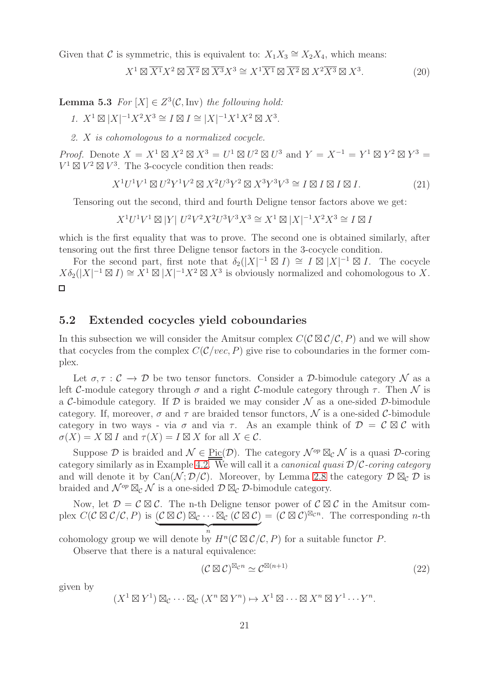Given that C is symmetric, this is equivalent to:  $X_1 X_3 \cong X_2 X_4$ , which means:

<span id="page-20-3"></span>
$$
X^{1} \boxtimes \overline{X^{1}} X^{2} \boxtimes \overline{X^{2}} \boxtimes \overline{X^{3}} X^{3} \cong X^{1} \overline{X^{1}} \boxtimes \overline{X^{2}} \boxtimes X^{2} \overline{X^{3}} \boxtimes X^{3}.
$$
 (20)

<span id="page-20-4"></span>**Lemma 5.3** For  $[X] \in Z^3(\mathcal{C}, \text{Inv})$  the following hold:

*1.*  $X^1 \boxtimes |X|^{-1} X^2 X^3 \cong I \boxtimes I \cong |X|^{-1} X^1 X^2 \boxtimes X^3$ .

*2.* X *is cohomologous to a normalized cocycle.*

*Proof.* Denote  $X = X^1 \boxtimes X^2 \boxtimes X^3 = U^1 \boxtimes U^2 \boxtimes U^3$  and  $Y = X^{-1} = Y^1 \boxtimes Y^2 \boxtimes Y^3 =$  $V^1 \boxtimes V^2 \boxtimes V^3$ . The 3-cocycle condition then reads:

$$
X^{1}U^{1}V^{1} \boxtimes U^{2}Y^{1}V^{2} \boxtimes X^{2}U^{3}Y^{2} \boxtimes X^{3}Y^{3}V^{3} \cong I \boxtimes I \boxtimes I \boxtimes I. \tag{21}
$$

Tensoring out the second, third and fourth Deligne tensor factors above we get:

$$
X^1U^1V^1\boxtimes|Y|~U^2V^2X^2U^3V^3X^3\cong X^1\boxtimes|X|^{-1}X^2X^3\cong I\boxtimes I
$$

which is the first equality that was to prove. The second one is obtained similarly, after tensoring out the first three Deligne tensor factors in the 3-cocycle condition.

For the second part, first note that  $\delta_2(|X|^{-1} \boxtimes I) \cong I \boxtimes |X|^{-1} \boxtimes I$ . The cocycle  $X\delta_2(|X|^{-1}\boxtimes I) \cong X^1\boxtimes |X|^{-1}X^2\boxtimes X^3$  is obviously normalized and cohomologous to X.  $\Box$ 

#### <span id="page-20-0"></span>5.2 Extended cocycles yield coboundaries

In this subsection we will consider the Amitsur complex  $C(C \boxtimes C/C, P)$  and we will show that cocycles from the complex  $C(\mathcal{C}/\text{vec}, P)$  give rise to coboundaries in the former complex.

Let  $\sigma, \tau : \mathcal{C} \to \mathcal{D}$  be two tensor functors. Consider a D-bimodule category N as a left C-module category through  $\sigma$  and a right C-module category through  $\tau$ . Then N is a C-bimodule category. If  $D$  is braided we may consider  $N$  as a one-sided  $D$ -bimodule category. If, moreover,  $\sigma$  and  $\tau$  are braided tensor functors,  $\mathcal N$  is a one-sided C-bimodule category in two ways - via  $\sigma$  and via  $\tau$ . As an example think of  $\mathcal{D} = \mathcal{C} \boxtimes \mathcal{C}$  with  $\sigma(X) = X \boxtimes I$  and  $\tau(X) = I \boxtimes X$  for all  $X \in \mathcal{C}$ .

Suppose D is braided and  $\mathcal{N} \in \text{Pic}(\mathcal{D})$ . The category  $\mathcal{N}^{op} \boxtimes_{\mathcal{C}} \mathcal{N}$  is a quasi D-coring category similarly as in Example [4.2.](#page-14-0) We will call it a *canonical quasi* D/C*-coring category* and will denote it by Can( $\mathcal{N}; \mathcal{D}/\mathcal{C}$ ). Moreover, by Lemma [2.8](#page-6-1) the category  $\mathcal{D} \boxtimes_{\mathcal{C}} \mathcal{D}$  is braided and  $\mathcal{N}^{op} \boxtimes_c \mathcal{N}$  is a one-sided  $\mathcal{D} \boxtimes_c \mathcal{D}$ -bimodule category.

Now, let  $\mathcal{D} = \mathcal{C} \boxtimes \mathcal{C}$ . The n-th Deligne tensor power of  $\mathcal{C} \boxtimes \mathcal{C}$  in the Amitsur complex  $C(C \boxtimes C/C, P)$  is  $(C \boxtimes C) \boxtimes_C \cdots \boxtimes_C (C \boxtimes C) = (C \boxtimes C)^{\boxtimes_C n}$ . The corresponding *n*-th  $\overbrace{ }^{n}$ 

cohomology group we will denote by  $H^n(\mathcal{C} \boxtimes \mathcal{C}/\mathcal{C}, P)$  for a suitable functor P.

Observe that there is a natural equivalence:

<span id="page-20-2"></span>
$$
(\mathcal{C}\boxtimes\mathcal{C})^{\boxtimes_{\mathcal{C}}n} \simeq \mathcal{C}^{\boxtimes(n+1)}\tag{22}
$$

<span id="page-20-1"></span>given by

$$
(X^1 \boxtimes Y^1) \boxtimes_{\mathcal{C}} \cdots \boxtimes_{\mathcal{C}} (X^n \boxtimes Y^n) \mapsto X^1 \boxtimes \cdots \boxtimes X^n \boxtimes Y^1 \cdots Y^n.
$$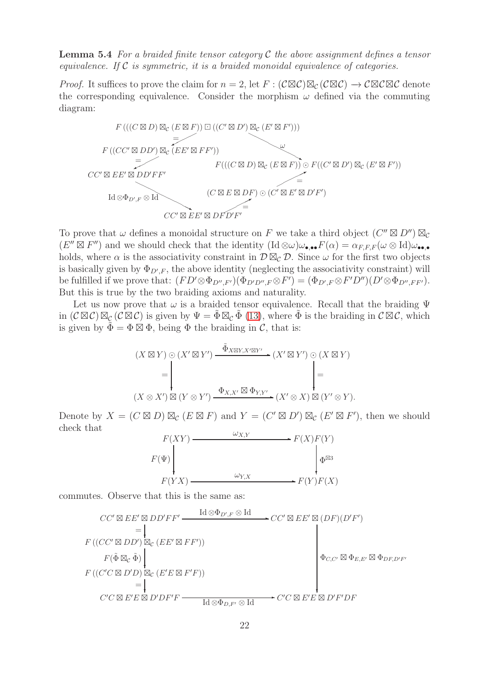Lemma 5.4 *For a braided finite tensor category* C *the above assignment defines a tensor equivalence. If* C *is symmetric, it is a braided monoidal equivalence of categories.*

*Proof.* It suffices to prove the claim for  $n = 2$ , let  $F : (\mathcal{C} \boxtimes \mathcal{C}) \boxtimes_{\mathcal{C}} (\mathcal{C} \boxtimes \mathcal{C}) \to \mathcal{C} \boxtimes \mathcal{C} \boxtimes \mathcal{C}$  denote the corresponding equivalence. Consider the morphism  $\omega$  defined via the commuting diagram:



To prove that  $\omega$  defines a monoidal structure on F we take a third object  $(C'' \boxtimes D'') \boxtimes_{\mathcal{C}} C$  $(E'' \boxtimes F'')$  and we should check that the identity  $(\mathrm{Id}\otimes\omega)\omega_{\bullet,\bullet\bullet}F(\alpha)=\alpha_{F,F,F}(\omega\otimes\mathrm{Id})\omega_{\bullet,\bullet}$ holds, where  $\alpha$  is the associativity constraint in  $\mathcal{D}\boxtimes_{\mathcal{C}}\mathcal{D}$ . Since  $\omega$  for the first two objects is basically given by  $\Phi_{D',F}$ , the above identity (neglecting the associativity constraint) will be fulfilled if we prove that:  $(FD' \otimes \Phi_{D'',F'})(\Phi_{D'D'',F} \otimes F') = (\Phi_{D',F} \otimes F'D'')(D' \otimes \Phi_{D'',FF'}).$ But this is true by the two braiding axioms and naturality.

Let us now prove that  $\omega$  is a braided tensor equivalence. Recall that the braiding  $\Psi$ in  $(C \boxtimes C) \boxtimes_C (C \boxtimes C)$  is given by  $\Psi = \tilde{\Phi} \boxtimes_C \tilde{\Phi}$  [\(13\)](#page-8-1), where  $\tilde{\Phi}$  is the braiding in  $C \boxtimes C$ , which is given by  $\tilde{\Phi} = \Phi \boxtimes \Phi$ , being  $\Phi$  the braiding in C, that is:

(X ⊠ Y ) ⊙ (X′ ⊠ Y ′ ) (X′ ⊠ Y ′ ✲ ) ⊙ (X ⊠ Y ) Φ˜ <sup>X</sup>⊠Y,X′⊠<sup>Y</sup> ′ (X ⊗ X′ ) ⊠ (Y ⊗ Y ′ ) (X′ ⊗ X) ⊠ (Y ✲ ′ ⊗ Y ). ❄ <sup>Φ</sup>X,X′ <sup>⊠</sup> <sup>Φ</sup>Y,Y ′ = ❄ =

Denote by  $X = (C \boxtimes D) \boxtimes_C (E \boxtimes F)$  and  $Y = (C' \boxtimes D') \boxtimes_C (E' \boxtimes F')$ , then we should check that



commutes. Observe that this is the same as:

$$
CC' \boxtimes EE' \boxtimes DD'FF' \xrightarrow{\text{Id} \otimes \Phi_{D',F} \otimes \text{Id}} CC' \boxtimes EE' \boxtimes (DF)(D'F')
$$
  
\n
$$
= \downarrow
$$
  
\n
$$
F((CC' \boxtimes DD') \boxtimes_{\mathcal{C}} (EE' \boxtimes FF'))
$$
  
\n
$$
F(\tilde{\Phi} \boxtimes_{\mathcal{C}} \tilde{\Phi}) \downarrow
$$
  
\n
$$
F((C'C \boxtimes D'D) \boxtimes_{\mathcal{C}} (E'E \boxtimes F'F))
$$
  
\n
$$
= \downarrow
$$
  
\n
$$
C'C \boxtimes E'E \boxtimes D'DF'F \xrightarrow{\text{Id} \otimes \Phi_{D,F'} \otimes \text{Id}} CC' \boxtimes E'E \boxtimes D'F'DF
$$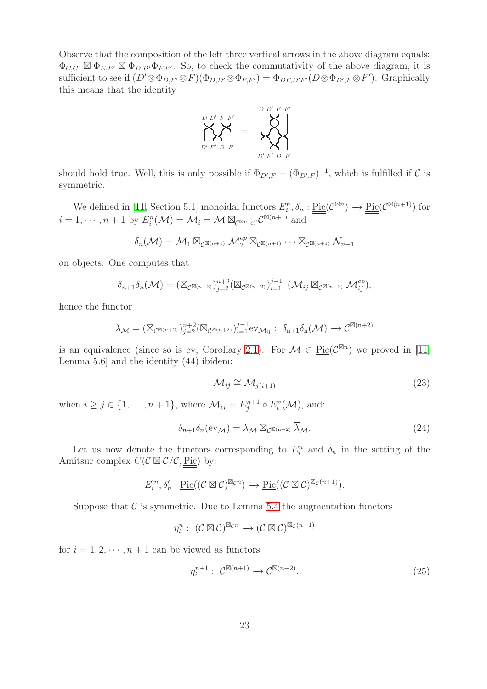Observe that the composition of the left three vertical arrows in the above diagram equals:  $\Phi_{C,C'} \boxtimes \Phi_{E,E'} \boxtimes \Phi_{D,D'} \Phi_{F,F'}.$  So, to check the commutativity of the above diagram, it is sufficient to see if  $(D' \otimes \Phi_{D,F'} \otimes F)(\Phi_{D,D'} \otimes \Phi_{F,F'}) = \Phi_{DF,D'F'}(D \otimes \Phi_{D',F} \otimes F')$ . Graphically this means that the identity



should hold true. Well, this is only possible if  $\Phi_{D',F} = (\Phi_{D',F})^{-1}$ , which is fulfilled if C is symmetric.  $\Box$ 

We defined in [\[11,](#page-40-1) Section 5.1] monoidal functors  $E_i^n$ ,  $\delta_n : \underline{\text{Pic}}(\mathcal{C}^{\boxtimes n}) \to \underline{\text{Pic}}(\mathcal{C}^{\boxtimes (n+1)})$  for  $i=1,\dotsm,n+1$  by  $E_i^n(\mathcal{M})=\mathcal{M}_i=\mathcal{M}\boxtimes_{\mathcal{C}^{\boxtimes n}} e_i^n \mathcal{C}^{\boxtimes (n+1)}$  and

$$
\delta_n(\mathcal{M}) = \mathcal{M}_1 \boxtimes_{\mathcal{C}^{\boxtimes (n+1)}} \mathcal{M}_2^{op} \boxtimes_{\mathcal{C}^{\boxtimes (n+1)}} \cdots \boxtimes_{\mathcal{C}^{\boxtimes (n+1)}} \mathcal{N}_{n+1}
$$

on objects. One computes that

$$
\delta_{n+1}\delta_n(\mathcal{M}) = \left(\boxtimes_{\mathcal{C}^{\boxtimes(n+2)}}\right)_{j=2}^{n+2} \left(\boxtimes_{\mathcal{C}^{\boxtimes(n+2)}}\right)_{i=1}^{j-1} \left(\mathcal{M}_{ij} \boxtimes_{\mathcal{C}^{\boxtimes(n+2)}} \mathcal{M}_{ij}^{op}\right),
$$

hence the functor

$$
\lambda_{\mathcal{M}} = (\boxtimes_{\mathcal{C}^{\boxtimes (n+2)}})^{n+2}_{j=2} (\boxtimes_{\mathcal{C}^{\boxtimes (n+2)}})^{j-1}_{i=1} \mathrm{ev}_{\mathcal{M}_{ij}} : \ \delta_{n+1} \delta_n(\mathcal{M}) \to \mathcal{C}^{\boxtimes (n+2)}
$$

is an equivalence (since so is ev, Corollary [2.1\)](#page-5-2). For  $\mathcal{M} \in \underline{\mathrm{Pic}}(\mathcal{C}^{\boxtimes n})$  we proved in [\[11,](#page-40-1) Lemma 5.6 and the identity  $(44)$  ibidem:

<span id="page-22-3"></span>
$$
\mathcal{M}_{ij} \cong \mathcal{M}_{j(i+1)} \tag{23}
$$

when  $i \geq j \in \{1, \ldots, n+1\}$ , where  $\mathcal{M}_{ij} = E_j^{n+1} \circ E_i^n(\mathcal{M})$ , and:

<span id="page-22-2"></span>
$$
\delta_{n+1}\delta_n(\mathrm{ev}_{\mathcal{M}}) = \lambda_{\mathcal{M}} \boxtimes_{\mathcal{C}^{\boxtimes(n+2)}} \overline{\lambda}_{\mathcal{M}}.\tag{24}
$$

Let us now denote the functors corresponding to  $E_i^n$  and  $\delta_n$  in the setting of the Amitsur complex  $C(\mathcal{C} \boxtimes \mathcal{C}/\mathcal{C}, \underline{\text{Pic}})$  by:

$$
E_i^{'n}, \delta_n': \underline{\underline{\mathrm{Pic}}}((\mathcal{C}\boxtimes\mathcal{C})^{\boxtimes_{\mathcal{C}} n}) \longrightarrow \underline{\underline{\mathrm{Pic}}}((\mathcal{C}\boxtimes\mathcal{C})^{\boxtimes_{\mathcal{C}} (n+1)}).
$$

Suppose that  $\mathcal C$  is symmetric. Due to Lemma [5.4](#page-20-1) the augmentation functors

$$
\tilde{\eta}_i^n: \ (\mathcal{C} \boxtimes \mathcal{C})^{\boxtimes_{\mathcal{C}} n} \longrightarrow (\mathcal{C} \boxtimes \mathcal{C})^{\boxtimes_{\mathcal{C}} (n+1)}
$$

<span id="page-22-1"></span>for  $i = 1, 2, \dots, n+1$  can be viewed as functors

<span id="page-22-0"></span>
$$
\eta_i^{n+1}: \mathcal{C}^{\boxtimes (n+1)} \to \mathcal{C}^{\boxtimes (n+2)}.
$$
\n
$$
(25)
$$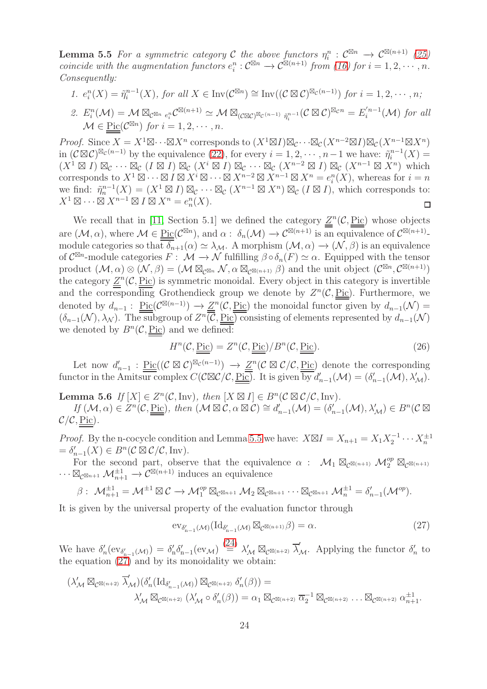**Lemma 5.5** For a symmetric category C the above functors  $\eta_i^n$  :  $C^{\boxtimes n} \to C^{\boxtimes (n+1)}$  [\(25\)](#page-22-0) *coincide with the augmentation functors*  $e_i^n : C^{\boxtimes n} \to C^{\boxtimes (n+1)}$  *from* [\(16\)](#page-9-2) for  $i = 1, 2, \cdots, n$ . *Consequently:*

- 1.  $e_i^n(X) = \tilde{\eta}_i^{n-1}(X)$ , for all  $X \in \text{Inv}(\mathcal{C}^{\boxtimes n}) \cong \text{Inv}((\mathcal{C} \boxtimes \mathcal{C})^{\boxtimes_{\mathcal{C}} (n-1)})$  for  $i = 1, 2, \cdots, n$ ;
- 2.  $E_i^n(\mathcal{M}) = \mathcal{M} \boxtimes_{\mathcal{C}^{\boxtimes n}} e_i^n \mathcal{C}^{\boxtimes (n+1)} \simeq \mathcal{M} \boxtimes_{(\mathcal{C} \boxtimes \mathcal{C})^{\boxtimes_{\mathcal{C}} (n-1)}} \tilde{\eta}_i^{n-1}(\mathcal{C} \boxtimes \mathcal{C})^{\boxtimes_{\mathcal{C}} n} = E_i^{'n-1}(\mathcal{M})$  for all  $\mathcal{M} \in \underline{\mathrm{Pic}}(\mathcal{C}^{\boxtimes n})$  for  $i = 1, 2, \cdots, n$ .

*Proof.* Since  $X = X^1 \boxtimes \cdots \boxtimes X^n$  corresponds to  $(X^1 \boxtimes I) \boxtimes_{\mathcal{C}} (X^{n-2} \boxtimes I) \boxtimes_{\mathcal{C}} (X^{n-1} \boxtimes X^n)$ in  $(C \boxtimes C)^{\boxtimes_C (n-1)}$  by the equivalence  $(22)$ , for every  $i = 1, 2, \cdots, n-1$  we have:  $\tilde{\eta}_i^{n-1}(X) =$  $(X^1 \boxtimes I) \boxtimes_{\mathcal{C}} \cdots \boxtimes_{\mathcal{C}} (I \boxtimes I) \boxtimes_{\mathcal{C}} (X^i \boxtimes I) \boxtimes_{\mathcal{C}} (X^{n-2} \boxtimes I) \boxtimes_{\mathcal{C}} (X^{n-1} \boxtimes X^n)$  which corresponds to  $X^1 \boxtimes \cdots \boxtimes I \boxtimes X^i \boxtimes \cdots \boxtimes X^{n-2} \boxtimes X^{n-1} \boxtimes X^n = e_i^n(X)$ , whereas for  $i = n$ we find:  $\tilde{\eta}_n^{n-1}(X) = (X^1 \boxtimes I) \boxtimes_{\mathcal{C}} \cdots \boxtimes_{\mathcal{C}} (X^{n-1} \boxtimes X^n) \boxtimes_{\mathcal{C}} (I \boxtimes I)$ , which corresponds to:  $X^1 \boxtimes \cdots \boxtimes X^{n-1} \boxtimes I \boxtimes X^n = e_n^n(X).$  $\Box$ 

We recall that in [\[11,](#page-40-1) Section 5.1] we defined the category  $Z^n(\mathcal{C}, \underline{\text{Pic}})$  whose objects are  $(\mathcal{M}, \alpha)$ , where  $\mathcal{M} \in \underline{\mathrm{Pic}}(\mathcal{C}^{\boxtimes n})$ , and  $\alpha: \delta_n(\mathcal{M}) \to \mathcal{C}^{\boxtimes (n+1)}$  is an equivalence of  $\mathcal{C}^{\boxtimes (n+1)}$ . module categories so that  $\delta_{n+1}(\alpha) \simeq \lambda_{\mathcal{M}}$ . A morphism  $(\mathcal{M}, \alpha) \to (\mathcal{N}, \beta)$  is an equivalence of  $\mathcal{C}^{\boxtimes n}$ -module categories  $F: \mathcal{M} \to \mathcal{N}$  fulfilling  $\beta \circ \delta_n(F) \simeq \alpha$ . Equipped with the tensor product  $(M, \alpha) \otimes (N, \beta) = (M \boxtimes_{\mathcal{C}^{\boxtimes n}} \mathcal{N}, \alpha \boxtimes_{\mathcal{C}^{\boxtimes (n+1)}} \beta)$  and the unit object  $(\mathcal{C}^{\boxtimes n}, \mathcal{C}^{\boxtimes (n+1)})$ the category  $\underline{Z}^n(C, \underline{Pic})$  is symmetric monoidal. Every object in this category is invertible and the corresponding Grothendieck group we denote by  $Z<sup>n</sup>(\mathcal{C}, \underline{\text{Pic}})$ . Furthermore, we denoted by  $d_{n-1}$ :  $\underline{\text{Pic}}(\mathcal{C}^{\boxtimes (n-1)}) \to \underline{Z}^n(\mathcal{C}, \underline{\text{Pic}})$  the monoidal functor given by  $d_{n-1}(\mathcal{N}) =$  $(\delta_{n-1}(\mathcal{N}), \lambda_{\mathcal{N}})$ . The subgroup of  $Z^n(\overline{\mathcal{C}}, \underline{\mathrm{Pic}})$  consisting of elements represented by  $d_{n-1}(\mathcal{N})$ we denoted by  $B<sup>n</sup>(\mathcal{C}, \underline{\text{Pic}})$  and we defined:

<span id="page-23-1"></span>
$$
H^{n}(\mathcal{C}, \underline{\underline{\text{Pic}}}) = Z^{n}(\mathcal{C}, \underline{\underline{\text{Pic}}}) / B^{n}(\mathcal{C}, \underline{\underline{\text{Pic}}}). \tag{26}
$$

<span id="page-23-2"></span>Let now  $d'_{n-1}$ :  $\underline{\mathrm{Pic}}((\mathcal{C}\boxtimes\mathcal{C})^{\boxtimes_{\mathcal{C}}(n-1)}) \to \underline{Z}^n(\mathcal{C}\boxtimes\mathcal{C}/\mathcal{C}, \underline{\mathrm{Pic}})$  denote the corresponding functor in the Amitsur complex  $C(\mathcal{C}\boxtimes \mathcal{C}/\mathcal{C}, \underline{\mathrm{Pic}})$ . It is given  $\overline{by}d'_{n-1}(\mathcal{M}) = (\delta'_{n-1}(\mathcal{M}), \lambda'_{\mathcal{M}})$ .

**Lemma 5.6** *If*  $[X] \in Z^n(\mathcal{C}, \text{Inv})$ *, then*  $[X \boxtimes I] \in B^n(\mathcal{C} \boxtimes \mathcal{C}/\mathcal{C}, \text{Inv})$ *.* 

 $If (M, \alpha) \in Z^n(C, \underline{\underline{\mathrm{Pic}}})$ , then  $(M \boxtimes C, \alpha \boxtimes C) \cong d'_{n-1}(M) = (\delta'_{n-1}(M), \lambda'_{M}) \in B^n(C \boxtimes$  $\mathcal{C}/\mathcal{C}$ , Pic).

*Proof.* By the n-cocycle condition and Lemma [5.5](#page-22-1) we have:  $X \boxtimes I = X_{n+1} = X_1 X_2^{-1} \cdots X_n^{\pm 1}$  $=\delta'_{n-1}(X) \in B^n(\mathcal{C} \boxtimes \mathcal{C}/\mathcal{C}, \text{Inv}).$ 

For the second part, observe that the equivalence  $\alpha$ :  $\mathcal{M}_1 \boxtimes_{\mathcal{C}^{\boxtimes(n+1)}} \mathcal{M}_2^{op} \boxtimes_{\mathcal{C}^{\boxtimes(n+1)}}$  $\cdots \boxtimes_{\mathcal{C}^{\boxtimes n+1}} \mathcal{M}^{\pm 1}_{n+1} \to \mathcal{C}^{\boxtimes (n+1)}$  induces an equivalence

$$
\beta: \ \mathcal{M}_{n+1}^{\pm 1}=\mathcal{M}^{\pm 1}\boxtimes \mathcal{C} \rightarrow \mathcal{M}_1^{op}\boxtimes_{\mathcal{C}^{\boxtimes n+1}} \mathcal{M}_2\boxtimes_{\mathcal{C}^{\boxtimes n+1}} \cdots \boxtimes_{\mathcal{C}^{\boxtimes n+1}} \mathcal{M}_n^{\pm 1}=\delta'_{n-1}(\mathcal{M}^{op}).
$$

It is given by the universal property of the evaluation functor through

<span id="page-23-0"></span>
$$
\mathrm{ev}_{\delta'_{n-1}(\mathcal{M})}(\mathrm{Id}_{\delta'_{n-1}(\mathcal{M})}\boxtimes_{\mathcal{C}^{\boxtimes(n+1)}}\beta)=\alpha.
$$
 (27)

We have  $\delta'_n(\text{ev}_{\delta'_{n-1}(\mathcal{M})}) = \delta'_n \delta'_{n-1}(\text{ev}_{\mathcal{M}}) \stackrel{(24)}{=} \lambda'_{\mathcal{M}} \boxtimes_{\mathcal{C}^{\boxtimes(n+2)}} \overline{\lambda}'_{\mathcal{M}}$  $\delta'_n(\text{ev}_{\delta'_{n-1}(\mathcal{M})}) = \delta'_n \delta'_{n-1}(\text{ev}_{\mathcal{M}}) \stackrel{(24)}{=} \lambda'_{\mathcal{M}} \boxtimes_{\mathcal{C}^{\boxtimes(n+2)}} \overline{\lambda}'_{\mathcal{M}}$  $\delta'_n(\text{ev}_{\delta'_{n-1}(\mathcal{M})}) = \delta'_n \delta'_{n-1}(\text{ev}_{\mathcal{M}}) \stackrel{(24)}{=} \lambda'_{\mathcal{M}} \boxtimes_{\mathcal{C}^{\boxtimes(n+2)}} \overline{\lambda}'_{\mathcal{M}}$ . Applying the functor  $\delta'_n$  to the equation  $(27)$  and by its monoidality we obtain:

$$
(\lambda'_{\mathcal{M}} \boxtimes_{\mathcal{C}^{\boxtimes(n+2)}} \overline{\lambda}'_{\mathcal{M}})(\delta'_{n}(\mathrm{Id}_{\delta'_{n-1}(\mathcal{M})}) \boxtimes_{\mathcal{C}^{\boxtimes(n+2)}} \delta'_{n}(\beta)) =
$$
  

$$
\lambda'_{\mathcal{M}} \boxtimes_{\mathcal{C}^{\boxtimes(n+2)}} (\lambda'_{\mathcal{M}} \circ \delta'_{n}(\beta)) = \alpha_{1} \boxtimes_{\mathcal{C}^{\boxtimes(n+2)}} \overline{\alpha}_{2}^{-1} \boxtimes_{\mathcal{C}^{\boxtimes(n+2)}} \dots \boxtimes_{\mathcal{C}^{\boxtimes(n+2)}} \alpha_{n+1}^{\pm 1}.
$$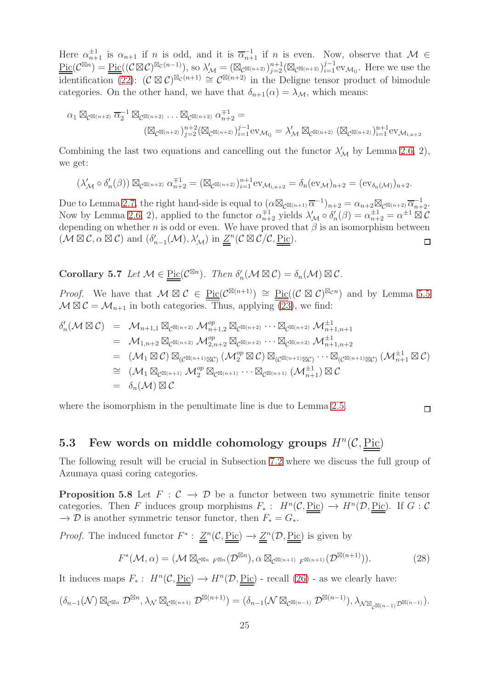Here  $\alpha_{n+1}^{\pm 1}$  is  $\alpha_{n+1}$  if n is odd, and it is  $\overline{\alpha}_{n+1}^{-1}$  if n is even. Now, observe that  $M \in$  $\underline{\mathrm{Pic}}(\mathcal{C}^{\boxtimes n}) = \underline{\mathrm{Pic}}((\mathcal{C} \boxtimes \mathcal{C})^{\boxtimes_{\mathcal{C}}(n-1)}),$  so  $\lambda'_{\mathcal{M}} = (\boxtimes_{\mathcal{C}^{\boxtimes(n+2)}})_{j=2}^{n+1} (\boxtimes_{\mathcal{C}^{\boxtimes(n+2)}})_{i=1}^{j-1} \mathrm{ev}_{\mathcal{M}_{ij}}.$  Here we use the  $\overline{\text{identification}}(22)$ :  $(C \boxtimes C)^{\boxtimes_{\mathcal{C}}(n+1)} \cong C^{\boxtimes(n+2)}$  in the Deligne tensor product of bimodule categories. On the other hand, we have that  $\delta_{n+1}(\alpha) = \lambda_{\mathcal{M}}$ , which means:

$$
\alpha_1 \boxtimes_{\mathcal{C}^{\boxtimes(n+2)}} \overline{\alpha}_2^{-1} \boxtimes_{\mathcal{C}^{\boxtimes(n+2)}} \dots \boxtimes_{\mathcal{C}^{\boxtimes(n+2)}} \alpha_{n+2}^{\mp 1} = \\ (\boxtimes_{\mathcal{C}^{\boxtimes(n+2)}})^{n+2}_{j=2} (\boxtimes_{\mathcal{C}^{\boxtimes(n+2)}})^{j-1}_{i=1} \mathrm{ev}_{\mathcal{M}_{ij}} = \lambda'_{\mathcal{M}} \boxtimes_{\mathcal{C}^{\boxtimes(n+2)}} (\boxtimes_{\mathcal{C}^{\boxtimes(n+2)}})^{n+1}_{i=1} \mathrm{ev}_{\mathcal{M}_{i,n+2}}
$$

Combining the last two equations and cancelling out the functor  $\lambda'_{\mathcal{M}}$  by Lemma [2.6,](#page-6-0) 2), we get:

$$
(\lambda'_{\mathcal{M}} \circ \delta'_n(\beta)) \boxtimes_{\mathcal{C}^{\boxtimes (n+2)}} \alpha_{n+2}^{\mp 1} = (\boxtimes_{\mathcal{C}^{\boxtimes (n+2)}})_{i=1}^{n+1} \text{ev}_{\mathcal{M}_{i,n+2}} = \delta_n(\text{ev}_{\mathcal{M}})_{n+2} = (\text{ev}_{\delta_n(\mathcal{M})})_{n+2}.
$$

Due to Lemma [2.7,](#page-6-2) the right hand-side is equal to  $(\alpha \boxtimes_{\mathcal{C}^{\boxtimes(n+1)}} \overline{\alpha}^{-1})_{n+2} = \alpha_{n+2} \boxtimes_{\mathcal{C}^{\boxtimes(n+2)}} \overline{\alpha}_{n+2}^{-1}$ . Now by Lemma [2.6,](#page-6-0) 2), applied to the functor  $\alpha_{n+2}^{\pm 1}$  yields  $\lambda'_{\mathcal{M}} \circ \delta'_{n}(\beta) = \alpha_{n+2}^{\pm 1} = \alpha^{\pm 1} \boxtimes \mathcal{C}$ depending on whether  $n$  is odd or even. We have proved that  $\beta$  is an isomorphism between  $(\mathcal{M} \boxtimes \mathcal{C}, \alpha \boxtimes \mathcal{C})$  and  $(\delta'_{n-1}(\mathcal{M}), \lambda'_{\mathcal{M}})$  in  $\underline{\underline{Z}}^n(\mathcal{C} \boxtimes \mathcal{C}/\mathcal{C}, \underline{\mathrm{Pic}})$ .  $\Box$ 

Corollary 5.7 *Let*  $M \in \underline{\text{Pic}}(\mathcal{C}^{\boxtimes n})$ *. Then*  $\delta'_n(\mathcal{M} \boxtimes \mathcal{C}) = \delta_n(\mathcal{M}) \boxtimes \mathcal{C}$ *.* 

*Proof.* We have that  $M \boxtimes C \in \underline{\text{Pic}}(\mathcal{C}^{\boxtimes(n+1)}) \cong \underline{\text{Pic}}((C \boxtimes C)^{\boxtimes_{\mathcal{C}} n})$  and by Lemma [5.5](#page-22-1)  $\mathcal{M} \boxtimes \mathcal{C} = \mathcal{M}_{n+1}$  in both categories. Thus, applying [\(23\)](#page-22-3), we find:

$$
\delta'_{n}(\mathcal{M} \boxtimes \mathcal{C}) = \mathcal{M}_{n+1,1} \boxtimes_{\mathcal{C}^{\boxtimes(n+2)}} \mathcal{M}_{n+1,2}^{\circ p} \boxtimes_{\mathcal{C}^{\boxtimes(n+2)}} \cdots \boxtimes_{\mathcal{C}^{\boxtimes(n+2)}} \mathcal{M}_{n+1,n+1}^{\pm 1}
$$
\n
$$
= \mathcal{M}_{1,n+2} \boxtimes_{\mathcal{C}^{\boxtimes(n+2)}} \mathcal{M}_{2,n+2}^{\circ p} \boxtimes_{\mathcal{C}^{\boxtimes(n+2)}} \cdots \boxtimes_{\mathcal{C}^{\boxtimes(n+2)}} \mathcal{M}_{n+1,n+2}^{\pm 1}
$$
\n
$$
= (\mathcal{M}_1 \boxtimes \mathcal{C}) \boxtimes_{(\mathcal{C}^{\boxtimes(n+1)} \boxtimes \mathcal{C})} (\mathcal{M}_2^{\circ p} \boxtimes \mathcal{C}) \boxtimes_{(\mathcal{C}^{\boxtimes(n+1)} \boxtimes \mathcal{C})} \cdots \boxtimes_{(\mathcal{C}^{\boxtimes(n+1)} \boxtimes \mathcal{C})} (\mathcal{M}_{n+1}^{\pm 1} \boxtimes \mathcal{C})
$$
\n
$$
\cong (\mathcal{M}_1 \boxtimes_{\mathcal{C}^{\boxtimes(n+1)}} \mathcal{M}_2^{\circ p} \boxtimes_{\mathcal{C}^{\boxtimes(n+1)}} \cdots \boxtimes_{\mathcal{C}^{\boxtimes(n+1)}} (\mathcal{M}_{n+1}^{\pm 1}) \boxtimes \mathcal{C}
$$
\n
$$
= \delta_n(\mathcal{M}) \boxtimes \mathcal{C}
$$

where the isomorphism in the penultimate line is due to Lemma [2.5.](#page-6-3)

#### $\Box$

## 5.3 Few words on middle cohomology groups  $H^n(\mathcal{C}, \underline{\text{Pic}})$

<span id="page-24-0"></span>The following result will be crucial in Subsection [7.2](#page-35-0) where we discuss the full group of Azumaya quasi coring categories.

**Proposition 5.8** Let  $F : C \to D$  be a functor between two symmetric finite tensor categories. Then F induces group morphisms  $F_*: H^n(\mathcal{C}, \underline{\text{Pic}}) \to H^n(\mathcal{D}, \underline{\text{Pic}})$ . If  $G: \mathcal{C}$  $\rightarrow \mathcal{D}$  is another symmetric tensor functor, then  $F_* = G_*$ .

*Proof.* The induced functor  $F^*$ :  $\underline{Z}^n(\mathcal{C}, \underline{Pic}) \to \underline{Z}^n(\mathcal{D}, \underline{Pic})$  is given by

<span id="page-24-1"></span>
$$
F^*(\mathcal{M}, \alpha) = (\mathcal{M} \boxtimes_{\mathcal{C}^{\boxtimes n}} \mathcal{F}^{\boxtimes n}(\mathcal{D}^{\boxtimes n}), \alpha \boxtimes_{\mathcal{C}^{\boxtimes (n+1)}} \mathcal{F}^{\boxtimes (n+1)}(\mathcal{D}^{\boxtimes (n+1)})).
$$
 (28)

It induces maps  $F_*: H^n(\mathcal{C}, \underline{\text{Pic}}) \to H^n(\mathcal{D}, \underline{\text{Pic}})$  - recall [\(26\)](#page-23-1) - as we clearly have:

$$
(\delta_{n-1}(\mathcal{N}) \boxtimes_{\mathcal{C}^{\boxtimes n}} \mathcal{D}^{\boxtimes n}, \lambda_{\mathcal{N}} \boxtimes_{\mathcal{C}^{\boxtimes (n+1)}} \mathcal{D}^{\boxtimes (n+1)}) = (\delta_{n-1}(\mathcal{N} \boxtimes_{\mathcal{C}^{\boxtimes (n-1)}} \mathcal{D}^{\boxtimes (n-1)}), \lambda_{\mathcal{N} \boxtimes_{\mathcal{C}^{\boxtimes (n-1)}} \mathcal{D}^{\boxtimes (n-1)}}).
$$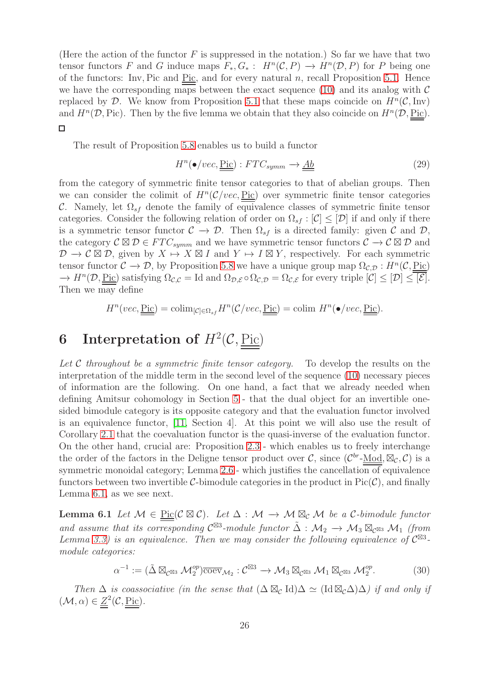(Here the action of the functor  $F$  is suppressed in the notation.) So far we have that two tensor functors F and G induce maps  $F_*, G_* : H^n(\mathcal{C}, P) \to H^n(\mathcal{D}, P)$  for P being one of the functors: Inv, Pic and <u>Pic</u>, and for every natural  $n$ , recall Proposition [5.1.](#page-16-1) Hence we have the corresponding maps between the exact sequence [\(10\)](#page-5-3) and its analog with  $\mathcal C$ replaced by D. We know from Proposition [5.1](#page-16-1) that these maps coincide on  $H<sup>n</sup>(\mathcal{C}, Inv)$ and  $H^n(\mathcal{D}, \text{Pic})$ . Then by the five lemma we obtain that they also coincide on  $H^n(\mathcal{D}, \text{Pic})$ .  $\Box$ 

The result of Proposition [5.8](#page-24-0) enables us to build a functor

<span id="page-25-3"></span>
$$
H^n(\bullet / vec, \underline{\text{Pic}}) : FTC_{symm} \to \underline{Ab} \tag{29}
$$

from the category of symmetric finite tensor categories to that of abelian groups. Then we can consider the colimit of  $H^n(\mathcal{C}/vec, \underline{\text{Pic}})$  over symmetric finite tensor categories C. Namely, let  $\Omega_{sf}$  denote the family of equivalence classes of symmetric finite tensor categories. Consider the following relation of order on  $\Omega_{sf} : [\mathcal{C}] \leq [\mathcal{D}]$  if and only if there is a symmetric tensor functor  $\mathcal{C} \to \mathcal{D}$ . Then  $\Omega_{sf}$  is a directed family: given  $\mathcal{C}$  and  $\mathcal{D}$ , the category  $\mathcal{C} \boxtimes \mathcal{D} \in FTC_{symm}$  and we have symmetric tensor functors  $\mathcal{C} \to \mathcal{C} \boxtimes \mathcal{D}$  and  $\mathcal{D} \to \mathcal{C} \boxtimes \mathcal{D}$ , given by  $X \mapsto X \boxtimes I$  and  $Y \mapsto I \boxtimes Y$ , respectively. For each symmetric tensor functor  $C \to \mathcal{D}$ , by Proposition [5.8](#page-24-0) we have a unique group map  $\Omega_{\mathcal{C},\mathcal{D}}: H^n(\mathcal{C}, \underline{\text{Pic}})$  $\rightarrow H^{n}(\mathcal{D}, \underline{\text{Pic}})$  satisfying  $\Omega_{\mathcal{C},\mathcal{C}} = \text{Id}$  and  $\Omega_{\mathcal{D},\mathcal{E}} \circ \Omega_{\mathcal{C},\mathcal{D}} = \Omega_{\mathcal{C},\mathcal{E}}$  for every triple  $[\mathcal{C}] \leq [\mathcal{D}] \leq [\mathcal{E}].$ Then we may define

$$
H^{n}(vec, \underline{\underline{\mathrm{Pic}}}) = \mathrm{colim}_{[\mathcal{C}]\in\Omega_{sf}} H^{n}(\mathcal{C}/vec, \underline{\underline{\mathrm{Pic}}}) = \mathrm{colim} \ H^{n}(\bullet /vec, \underline{\underline{\mathrm{Pic}}}).
$$

## <span id="page-25-1"></span>6 Interpretation of  $H^2(\mathcal{C},\underline{\mathrm{Pic}})$

*Let* C *throughout be a symmetric finite tensor category.* To develop the results on the interpretation of the middle term in the second level of the sequence [\(10\)](#page-5-3) necessary pieces of information are the following. On one hand, a fact that we already needed when defining Amitsur cohomology in Section [5](#page-16-0) - that the dual object for an invertible onesided bimodule category is its opposite category and that the evaluation functor involved is an equivalence functor, [\[11,](#page-40-1) Section 4]. At this point we will also use the result of Corollary [2.1](#page-5-2) that the coevaluation functor is the quasi-inverse of the evaluation functor. On the other hand, crucial are: Proposition [2.3](#page-5-4) - which enables us to freely interchange the order of the factors in the Deligne tensor product over C, since  $(\mathcal{C}^{br}\text{-Mod}, \boxtimes_{\mathcal{C}}, \mathcal{C})$  is a symmetric monoidal category; Lemma  $2.6$  - which justifies the cancellation of equivalence functors between two invertible C-bimodule categories in the product in  $Pic(\mathcal{C})$ , and finally Lemma [6.1,](#page-25-0) as we see next.

<span id="page-25-0"></span>**Lemma 6.1** *Let*  $M \in \text{Pic}(\mathcal{C} \boxtimes \mathcal{C})$ *. Let*  $\Delta : M \rightarrow M \boxtimes_{\mathcal{C}} M$  *be a*  $\mathcal{C}\text{-bimodule functor}$ and assume that its corresponding  $C^{\boxtimes 3}$ -module functor  $\tilde{\Delta}: \mathcal{M}_2 \to \mathcal{M}_3 \boxtimes_{C^{\boxtimes 3}} \mathcal{M}_1$  *(from Lemma* [3.3\)](#page-10-0) is an equivalence. Then we may consider the following equivalence of  $C^{\boxtimes 3}$ *module categories:*

<span id="page-25-2"></span>
$$
\alpha^{-1} := (\tilde{\Delta} \boxtimes_{\mathcal{C}^{\boxtimes 3}} \mathcal{M}_2^{op}) \overline{\text{coev}}_{\mathcal{M}_2} : \mathcal{C}^{\boxtimes 3} \to \mathcal{M}_3 \boxtimes_{\mathcal{C}^{\boxtimes 3}} \mathcal{M}_1 \boxtimes_{\mathcal{C}^{\boxtimes 3}} \mathcal{M}_2^{op}.
$$
 (30)

*Then*  $\Delta$  *is coassociative (in the sense that*  $(\Delta \boxtimes_C \mathrm{Id})\Delta \simeq (\mathrm{Id} \boxtimes_C \Delta) \Delta$ ) *if and only if*  $(\mathcal{M}, \alpha) \in \underline{Z}^2(\mathcal{C}, \underline{\text{Pic}}).$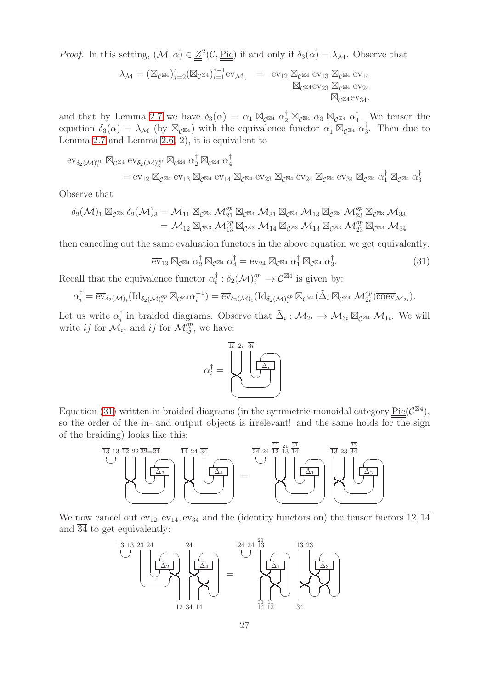*Proof.* In this setting,  $(M, \alpha) \in \underline{Z}^2(\mathcal{C}, \underline{\text{Pic}})$  if and only if  $\delta_3(\alpha) = \lambda_M$ . Observe that

$$
\lambda_{\mathcal{M}} = (\boxtimes_{\mathcal{C}^{\boxtimes 4}})^4_{j=2} (\boxtimes_{\mathcal{C}^{\boxtimes 4}})^{j-1}_{i=1} \text{ev}_{\mathcal{M}_{ij}} = \text{ev}_{12} \boxtimes_{\mathcal{C}^{\boxtimes 4}} \text{ev}_{13} \boxtimes_{\mathcal{C}^{\boxtimes 4}} \text{ev}_{14} \boxtimes_{\mathcal{C}^{\boxtimes 4}} \text{ev}_{23} \boxtimes_{\mathcal{C}^{\boxtimes 4}} \text{ev}_{24} \boxtimes_{\mathcal{C}^{\boxtimes 4}} \text{ev}_{34}.
$$

and that by Lemma [2.7](#page-6-2) we have  $\delta_3(\alpha) = \alpha_1 \boxtimes_{\mathcal{C}} \boxtimes_4 \alpha_2^{\dagger} \boxtimes_{\mathcal{C}} \boxtimes_4 \alpha_3 \boxtimes_{\mathcal{C}} \boxtimes_4 \alpha_4^{\dagger}$ 4 . We tensor the equation  $\delta_3(\alpha) = \lambda_{\mathcal{M}}$  (by  $\boxtimes_{\mathcal{C}^{\boxtimes 4}}$ ) with the equivalence functor  $\alpha_1^{\dagger} \boxtimes_{\mathcal{C}^{\boxtimes 4}} \alpha_3^{\dagger}$  $\frac{1}{3}$ . Then due to Lemma [2.7](#page-6-2) and Lemma [2.6,](#page-6-0) 2), it is equivalent to

$$
\begin{split} \mathrm{ev}_{\delta_2(\mathcal{M})_1^{\mathrm{op}}} \boxtimes_{\mathcal{C}^{\boxtimes 4}} \mathrm{ev}_{\delta_2(\mathcal{M})_3^{\mathrm{op}}} \boxtimes_{\mathcal{C}^{\boxtimes 4}} \alpha_2^{\dagger} \boxtimes_{\mathcal{C}^{\boxtimes 4}} \alpha_4^{\dagger} \\ = \mathrm{ev}_{12} \boxtimes_{\mathcal{C}^{\boxtimes 4}} \mathrm{ev}_{13} \boxtimes_{\mathcal{C}^{\boxtimes 4}} \mathrm{ev}_{14} \boxtimes_{\mathcal{C}^{\boxtimes 4}} \mathrm{ev}_{23} \boxtimes_{\mathcal{C}^{\boxtimes 4}} \mathrm{ev}_{24} \boxtimes_{\mathcal{C}^{\boxtimes 4}} \mathrm{ev}_{34} \boxtimes_{\mathcal{C}^{\boxtimes 4}} \alpha_1^{\dagger} \boxtimes_{\mathcal{C}^{\boxtimes 4}} \alpha_3^{\dagger} \end{split}
$$

Observe that

$$
\begin{aligned} \delta_2(\mathcal{M})_1 \boxtimes_{\mathcal{C}^{\boxtimes 3}} \delta_2(\mathcal{M})_3 & = \mathcal{M}_{11} \boxtimes_{\mathcal{C}^{\boxtimes 3}} \mathcal{M}_{21}^{\text{op}} \boxtimes_{\mathcal{C}^{\boxtimes 3}} \mathcal{M}_{31} \boxtimes_{\mathcal{C}^{\boxtimes 3}} \mathcal{M}_{13} \boxtimes_{\mathcal{C}^{\boxtimes 3}} \mathcal{M}_{23}^{\text{op}} \boxtimes_{\mathcal{C}^{\boxtimes 3}} \mathcal{M}_{33} \\ & = \mathcal{M}_{12} \boxtimes_{\mathcal{C}^{\boxtimes 3}} \mathcal{M}_{13}^{\text{op}} \boxtimes_{\mathcal{C}^{\boxtimes 3}} \mathcal{M}_{14} \boxtimes_{\mathcal{C}^{\boxtimes 3}} \mathcal{M}_{13} \boxtimes_{\mathcal{C}^{\boxtimes 3}} \mathcal{M}_{23}^{\text{op}} \boxtimes_{\mathcal{C}^{\boxtimes 3}} \mathcal{M}_{34} \end{aligned}
$$

then canceling out the same evaluation functors in the above equation we get equivalently:

<span id="page-26-0"></span>
$$
\overline{\mathrm{ev}}_{13} \boxtimes_{\mathcal{C}^{\boxtimes 4}} \alpha_2^{\dagger} \boxtimes_{\mathcal{C}^{\boxtimes 4}} \alpha_4^{\dagger} = \mathrm{ev}_{24} \boxtimes_{\mathcal{C}^{\boxtimes 4}} \alpha_1^{\dagger} \boxtimes_{\mathcal{C}^{\boxtimes 4}} \alpha_3^{\dagger}.
$$
 (31)

Recall that the equivalence functor  $\alpha_i^{\dagger}$  $i_{i}^{\dagger} : \delta_{2}(\mathcal{M})_{i}^{op} \to \mathcal{C}^{\boxtimes 4}$  is given by:

$$
\alpha_i^{\dagger} = \overline{\text{ev}}_{\delta_2(\mathcal{M})_i}(\text{Id}_{\delta_2(\mathcal{M})_i^{op}} \boxtimes_{\mathcal{C}^{\boxtimes 4}} \alpha_i^{-1}) = \overline{\text{ev}}_{\delta_2(\mathcal{M})_i}(\text{Id}_{\delta_2(\mathcal{M})_i^{op}} \boxtimes_{\mathcal{C}^{\boxtimes 4}} (\tilde{\Delta}_i \boxtimes_{\mathcal{C}^{\boxtimes 4}} \mathcal{M}_{2i}^{op}) \overline{\text{coev}}_{\mathcal{M}_{2i}}).
$$

Let us write  $\alpha_i^{\dagger}$ <sup>†</sup><sub>i</sub> in braided diagrams. Observe that  $\tilde{\Delta}_i: \mathcal{M}_{2i} \to \mathcal{M}_{3i} \boxtimes_{\mathcal{C}^{\boxtimes 4}} \mathcal{M}_{1i}$ . We will write ij for  $\mathcal{M}_{ij}$  and  $\overline{ij}$  for  $\mathcal{M}_{ij}^{op}$ , we have:

$$
\alpha_i^\dagger = \underbrace{\left\{\left\{\underbrace{\left\{\left.\begin{matrix}2i\ \overline{3i} \\ \overline{\Delta_i} \\ \overline{\Delta_j} \end{matrix}\right\}}_{\text{min}}\right\}}_{\text{min}}
$$

Equation [\(31\)](#page-26-0) written in braided diagrams (in the symmetric monoidal category  $Pic(\mathcal{C}^{\boxtimes 4})$ , so the order of the in- and output objects is irrelevant! and the same holds for the sign of the braiding) looks like this:



We now cancel out  $ev_{12}$ ,  $ev_{14}$ ,  $ev_{34}$  and the (identity functors on) the tensor factors  $\overline{12}$ ,  $\overline{14}$ and  $\overline{34}$  to get equivalently:

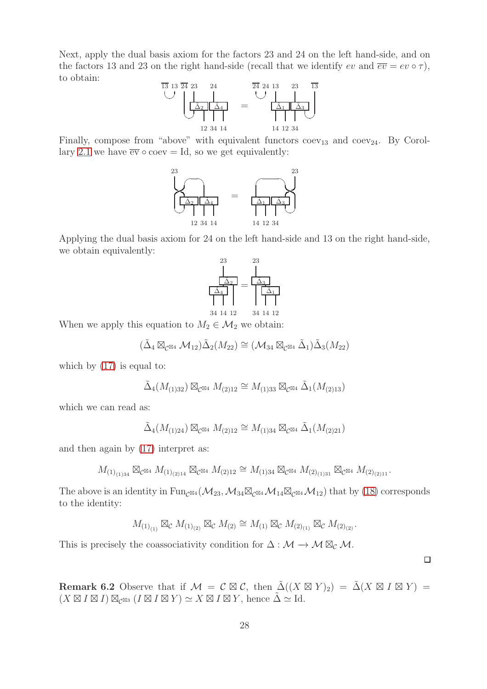Next, apply the dual basis axiom for the factors 23 and 24 on the left hand-side, and on the factors 13 and 23 on the right hand-side (recall that we identify ev and  $\overline{ev} = ev \circ \tau$ ), to obtain:



Finally, compose from "above" with equivalent functors  $coev_{13}$  and  $coev_{24}$ . By Corol-lary [2.1](#page-5-2) we have  $\overline{ev} \circ cov = Id$ , so we get equivalently:



Applying the dual basis axiom for 24 on the left hand-side and 13 on the right hand-side, we obtain equivalently:



When we apply this equation to  $M_2 \in \mathcal{M}_2$  we obtain:

$$
(\tilde{\Delta}_4 \boxtimes_{\mathcal{C}^{\boxtimes 4}} \mathcal{M}_{12}) \tilde{\Delta}_2(M_{22}) \cong (\mathcal{M}_{34} \boxtimes_{\mathcal{C}^{\boxtimes 4}} \tilde{\Delta}_1) \tilde{\Delta}_3(M_{22})
$$

which by  $(17)$  is equal to:

$$
\tilde{\Delta}_4(M_{(1)32}) \boxtimes_{\mathcal{C}^{\boxtimes 4}} M_{(2)12} \cong M_{(1)33} \boxtimes_{\mathcal{C}^{\boxtimes 4}} \tilde{\Delta}_1(M_{(2)13})
$$

which we can read as:

$$
\tilde{\Delta}_4(M_{(1)24}) \boxtimes_{\mathcal{C}^{\boxtimes 4}} M_{(2)12} \cong M_{(1)34} \boxtimes_{\mathcal{C}^{\boxtimes 4}} \tilde{\Delta}_1(M_{(2)21})
$$

and then again by [\(17\)](#page-10-1) interpret as:

$$
M_{(1)_{(1)34}} \boxtimes_{\mathcal{C}} \boxtimes_4 M_{(1)_{(2)14}} \boxtimes_{\mathcal{C}} \boxtimes_4 M_{(2)12} \cong M_{(1)34} \boxtimes_{\mathcal{C}} \boxtimes_4 M_{(2)_{(1)31}} \boxtimes_{\mathcal{C}} \boxtimes_4 M_{(2)_{(2)11}}.
$$

The above is an identity in Fun<sub>C</sub>⊠4 ( $\mathcal{M}_{23}$ ,  $\mathcal{M}_{34} \boxtimes_{\mathcal{C}} \boxtimes$ 4  $\mathcal{M}_{14} \boxtimes_{\mathcal{C}} \boxtimes 4 \mathcal{M}_{12}$ ) that by [\(18\)](#page-12-0) corresponds to the identity:

$$
M_{(1)_{(1)}} \boxtimes_{\mathcal{C}} M_{(1)_{(2)}} \boxtimes_{\mathcal{C}} M_{(2)} \cong M_{(1)} \boxtimes_{\mathcal{C}} M_{(2)_{(1)}} \boxtimes_{\mathcal{C}} M_{(2)_{(2)}}.
$$

This is precisely the coassociativity condition for  $\Delta : \mathcal{M} \to \mathcal{M} \boxtimes_{\mathcal{C}} \mathcal{M}$ .

<span id="page-27-1"></span><span id="page-27-0"></span>Remark 6.2 Observe that if  $\mathcal{M} = \mathcal{C} \boxtimes \mathcal{C}$ , then  $\tilde{\Delta}((X \boxtimes Y)_2) = \tilde{\Delta}(X \boxtimes I \boxtimes Y) =$  $(X \boxtimes I \boxtimes I) \boxtimes_{\mathcal{O} \boxtimes 3} (I \boxtimes I \boxtimes Y) \simeq X \boxtimes I \boxtimes Y$ , hence  $\tilde{\Delta} \simeq$  Id.

 $\Box$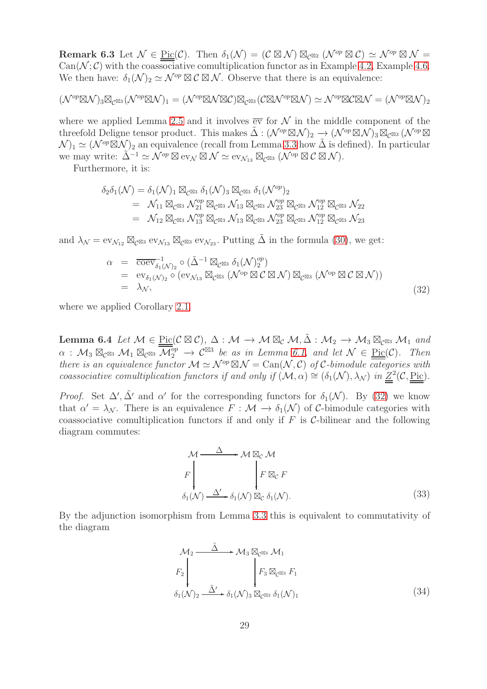Remark 6.3 Let  $\mathcal{N} \in \underline{\mathrm{Pic}}(\mathcal{C})$ . Then  $\delta_1(\mathcal{N}) = (\mathcal{C} \boxtimes \mathcal{N}) \boxtimes_{\mathcal{C}^{\boxtimes 2}} (\mathcal{N}^{op} \boxtimes \mathcal{C}) \simeq \mathcal{N}^{op} \boxtimes \mathcal{N} =$  $Can(N; \mathcal{C})$  with the coassociative comultiplication functor as in Example [4.2,](#page-14-0) Example [4.6.](#page-16-2) We then have:  $\delta_1(\mathcal{N})_2 \simeq \mathcal{N}^{op} \boxtimes \mathcal{C} \boxtimes \mathcal{N}$ . Observe that there is an equivalence:

$$
(\mathcal{N}^{op}\boxtimes\mathcal{N})_3\boxtimes_{\mathcal{C}^{\boxtimes 3}}(\mathcal{N}^{op}\boxtimes\mathcal{N})_1=(\mathcal{N}^{op}\boxtimes\mathcal{N}\boxtimes\mathcal{C})\boxtimes_{\mathcal{C}^{\boxtimes 3}}(\mathcal{C}\boxtimes\mathcal{N}^{op}\boxtimes\mathcal{N})\simeq \mathcal{N}^{op}\boxtimes\mathcal{C}\boxtimes\mathcal{N}=(\mathcal{N}^{op}\boxtimes\mathcal{N})_2
$$

where we applied Lemma [2.5](#page-6-3) and it involves  $\overline{ev}$  for N in the middle component of the threefold Deligne tensor product. This makes  $\tilde{\Delta}: (\mathcal{N}^{op} \boxtimes \mathcal{N})_2 \to (\mathcal{N}^{op} \boxtimes \mathcal{N})_3 \boxtimes_{\mathcal{C}^{\boxtimes 3}} (\mathcal{N}^{op} \boxtimes$  $(\mathcal{N})_1 \simeq (\mathcal{N}^{op} \boxtimes \mathcal{N})_2$  an equivalence (recall from Lemma [3.3](#page-10-0) how  $\tilde{\Delta}$  is defined). In particular we may write:  $\tilde{\Delta}^{-1} \simeq \tilde{\mathcal{N}}^{op} \boxtimes \text{ev}_{\mathcal{N}} \boxtimes \mathcal{N} \simeq \text{ev}_{\mathcal{N}_13} \boxtimes_{\mathcal{C}} \text{ev}_{3} (\mathcal{N}^{op} \boxtimes \mathcal{C} \boxtimes \mathcal{N}).$ 

Furthermore, it is:

$$
\delta_2 \delta_1(\mathcal{N}) = \delta_1(\mathcal{N})_1 \boxtimes_{\mathcal{C}^{\boxtimes 3}} \delta_1(\mathcal{N})_3 \boxtimes_{\mathcal{C}^{\boxtimes 3}} \delta_1(\mathcal{N}^{op})_2
$$
  
=  $\mathcal{N}_{11} \boxtimes_{\mathcal{C}^{\boxtimes 3}} \mathcal{N}_{21}^{op} \boxtimes_{\mathcal{C}^{\boxtimes 3}} \mathcal{N}_{13} \boxtimes_{\mathcal{C}^{\boxtimes 3}} \mathcal{N}_{23}^{op} \boxtimes_{\mathcal{C}^{\boxtimes 3}} \mathcal{N}_{12}^{op} \boxtimes_{\mathcal{C}^{\boxtimes 3}} \mathcal{N}_{22}$   
=  $\mathcal{N}_{12} \boxtimes_{\mathcal{C}^{\boxtimes 3}} \mathcal{N}_{13}^{op} \boxtimes_{\mathcal{C}^{\boxtimes 3}} \mathcal{N}_{13} \boxtimes_{\mathcal{C}^{\boxtimes 3}} \mathcal{N}_{23}^{op} \boxtimes_{\mathcal{C}^{\boxtimes 3}} \mathcal{N}_{12}^{op} \boxtimes_{\mathcal{C}^{\boxtimes 3}} \mathcal{N}_{23}$ 

and  $\lambda_{\mathcal{N}} = \text{ev}_{\mathcal{N}_{12}} \boxtimes_{\mathcal{C}^{\boxtimes 3}} \text{ev}_{\mathcal{N}_{13}} \boxtimes_{\mathcal{C}^{\boxtimes 3}} \text{ev}_{\mathcal{N}_{23}}$ . Putting  $\Delta$  in the formula [\(30\)](#page-25-2), we get:

<span id="page-28-0"></span>
$$
\alpha = \overline{\text{coev}}_{\delta_1(\mathcal{N})_2}^{-1} \circ (\tilde{\Delta}^{-1} \boxtimes_{\mathcal{C}^{\boxtimes 3}} \delta_1(\mathcal{N})_2^{op})
$$
  
\n
$$
= \text{ev}_{\delta_1(\mathcal{N})_2} \circ (\text{ev}_{\mathcal{N}_{13}} \boxtimes_{\mathcal{C}^{\boxtimes 3}} (\mathcal{N}^{\text{op}} \boxtimes \mathcal{C} \boxtimes \mathcal{N}) \boxtimes_{\mathcal{C}^{\boxtimes 3}} (\mathcal{N}^{\text{op}} \boxtimes \mathcal{C} \boxtimes \mathcal{N}))
$$
  
\n
$$
= \lambda_{\mathcal{N}},
$$
\n(32)

<span id="page-28-1"></span>where we applied Corollary [2.1.](#page-5-2)

Lemma 6.4 Let  $M \in \text{Pic}(\mathcal{C} \boxtimes \mathcal{C}), \Delta : \mathcal{M} \to \mathcal{M} \boxtimes_{\mathcal{C}} \mathcal{M}, \tilde{\Delta} : \mathcal{M}_2 \to \mathcal{M}_3 \boxtimes_{\mathcal{C}} \mathbb{R}^3 \mathcal{M}_1$  and  $\alpha$  :  $\mathcal{M}_3$   $\boxtimes_{\mathcal{C}^{\boxtimes 3}} \mathcal{M}_1$   $\boxtimes_{\mathcal{C}^{\boxtimes 3}} \overline{\mathcal{M}}_2^{op} \to \mathcal{C}^{\boxtimes 3}$  be as in Lemma [6.1,](#page-25-0) and let  $\mathcal{N} \in \underline{\mathrm{Pic}}(\mathcal{C})$ . Then *there is an equivalence functor*  $\mathcal{M} \simeq \mathcal{N}^{op} \boxtimes \mathcal{N} = \text{Can}(\mathcal{N}, \mathcal{C})$  *of* C-bimodule *categories with coassociative comultiplication functors if and only if*  $(M, \alpha) \cong (\delta_1(\mathcal{N}), \lambda_{\mathcal{N}})$  *in*  $\underline{Z}^2(\mathcal{C}, \underline{\text{Pic}})$ *.* 

*Proof.* Set  $\Delta'$ ,  $\tilde{\Delta}'$  and  $\alpha'$  for the corresponding functors for  $\delta_1(\mathcal{N})$ . By [\(32\)](#page-28-0) we know that  $\alpha' = \lambda_{\mathcal{N}}$ . There is an equivalence  $F : \mathcal{M} \to \delta_1(\mathcal{N})$  of C-bimodule categories with coassociative comultiplication functors if and only if  $F$  is  $C$ -bilinear and the following diagram commutes:

$$
\mathcal{M} \xrightarrow{\Delta} \mathcal{M} \boxtimes_{\mathcal{C}} \mathcal{M}
$$
\n
$$
F \downarrow \qquad \qquad F \boxtimes_{\mathcal{C}} F
$$
\n
$$
\delta_1(\mathcal{N}) \xrightarrow{\Delta'} \delta_1(\mathcal{N}) \boxtimes_{\mathcal{C}} \delta_1(\mathcal{N}).
$$
\n(33)

By the adjunction isomorphism from Lemma [3.3](#page-10-0) this is equivalent to commutativity of the diagram

$$
\mathcal{M}_2 \longrightarrow \mathcal{A}_3 \boxtimes_{\mathcal{C}^{\boxtimes 3}} \mathcal{M}_1
$$
  
\n
$$
F_2 \downarrow \qquad \qquad F_3 \boxtimes_{\mathcal{C}^{\boxtimes 3}} F_1
$$
  
\n
$$
\delta_1(\mathcal{N})_2 \xrightarrow{\tilde{\Delta}'} \delta_1(\mathcal{N})_3 \boxtimes_{\mathcal{C}^{\boxtimes 3}} \delta_1(\mathcal{N})_1
$$
\n(34)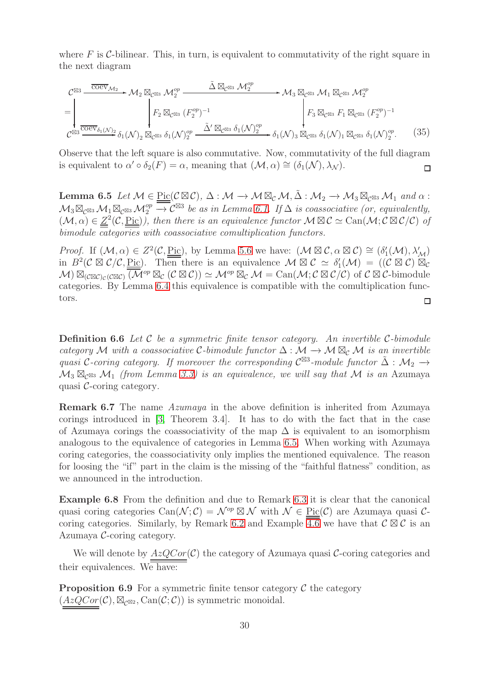where  $F$  is C-bilinear. This, in turn, is equivalent to commutativity of the right square in the next diagram

$$
\mathcal{C}^{\boxtimes 3} \xrightarrow{\overline{\text{coev}}_{\mathcal{M}_2}} \mathcal{M}_2 \boxtimes_{\mathcal{C}^{\boxtimes 3}} \mathcal{M}_2^{op} \xrightarrow{\tilde{\Delta} \boxtimes_{\mathcal{C}^{\boxtimes 3}} \mathcal{M}_2^{op}} \mathcal{M}_3 \boxtimes_{\mathcal{C}^{\boxtimes 3}} \mathcal{M}_1 \boxtimes_{\mathcal{C}^{\boxtimes 3}} \mathcal{M}_2^{op}
$$
\n
$$
= \left| \n\begin{matrix} F_2 \boxtimes_{\mathcal{C}^{\boxtimes 3}} (\mathbb{F}_2^{op})^{-1} & F_2 \boxtimes_{\mathcal{C}^{\boxtimes 3}} (\mathbb{F}_2^{op})^{-1} & F_3 \boxtimes_{\mathcal{C}^{\boxtimes 3}} \mathbb{F}_1 \boxtimes_{\mathcal{C}^{\boxtimes 3}} (\mathbb{F}_2^{op})^{-1} \\ \hline \n\end{matrix} \right| F_2 \boxtimes_{\mathcal{C}^{\boxtimes 3}} (\mathbb{F}_2^{op})^{-1} \xrightarrow{\tilde{\Delta}' \boxtimes_{\mathcal{C}^{\boxtimes 3}} \delta_1(\mathcal{N})_{2}^{op}} \delta_1(\mathcal{N})_{3} \boxtimes_{\mathcal{C}^{\boxtimes 3}} \delta_1(\mathcal{N})_1 \boxtimes_{\mathcal{C}^{\boxtimes 3}} \delta_1(\mathcal{N})_{2}^{op}.
$$
\n(35)

Observe that the left square is also commutative. Now, commutativity of the full diagram is equivalent to  $\alpha' \circ \delta_2(F) = \alpha$ , meaning that  $(\mathcal{M}, \alpha) \cong (\delta_1(\mathcal{N}), \lambda_{\mathcal{N}})$ .  $\Box$ 

<span id="page-29-0"></span>**Lemma 6.5** *Let*  $M \in \text{Pic}(\mathcal{C} \boxtimes \mathcal{C}), \Delta : \mathcal{M} \to \mathcal{M} \boxtimes_{\mathcal{C}} \mathcal{M}, \Delta : \mathcal{M}_2 \to \mathcal{M}_3 \boxtimes_{\mathcal{C}^{\boxtimes 3}} \mathcal{M}_1$  and  $\alpha$ :  $\mathcal{M}_3 \boxtimes_{\mathcal{C}^{\boxtimes 3}} \mathcal{M}_1 \boxtimes_{\mathcal{C}^{\boxtimes 3}} \mathcal{M}_2^{op} \longrightarrow \mathcal{C}^{\boxtimes 3}$  be as in Lemma [6.1.](#page-25-0) If  $\Delta$  is coassociative (or, equivalently,  $(\mathcal{M}, \alpha) \in \underline{Z}^2(\mathcal{C}, \underline{\text{Pic}})$ , then there is an equivalence functor  $\mathcal{M} \boxtimes \mathcal{C} \simeq \text{Can}(\mathcal{M}; \mathcal{C} \boxtimes \mathcal{C}/\mathcal{C})$  of *bimodule categories with coassociative comultiplication functors.*

*Proof.* If  $(M, \alpha) \in Z^2(\mathcal{C}, \underline{\text{Pic}})$ , by Lemma [5.6](#page-23-2) we have:  $(M \boxtimes \mathcal{C}, \alpha \boxtimes \mathcal{C}) \cong (\delta'_1(\mathcal{M}), \lambda'_{\mathcal{M}})$ in  $B^2(\mathcal{C} \boxtimes \mathcal{C}/\mathcal{C}, \underline{\text{Pic}})$ . Then there is an equivalence  $\mathcal{M} \boxtimes \mathcal{C} \simeq \delta'_1(\mathcal{M}) = ((\mathcal{C} \boxtimes \mathcal{C}) \boxtimes_{\mathcal{C}})$  $M) \boxtimes_{(C \boxtimes C)_C(C \boxtimes C)} \overline{(\mathcal{M}^{op} \boxtimes_{\mathcal{C}} (\mathcal{C} \boxtimes \mathcal{C}))} \simeq \mathcal{M}^{op} \boxtimes_{\mathcal{C}} \mathcal{M} = \text{Can}(\mathcal{M}; \mathcal{C} \boxtimes \mathcal{C}/\mathcal{C})$  of  $\mathcal{C} \boxtimes \mathcal{C}$ -bimodule categories. By Lemma [6.4](#page-28-1) this equivalence is compatible with the comultiplication functors.  $\Box$ 

Definition 6.6 *Let* C *be a symmetric finite tensor category. An invertible* C*-bimodule category* M *with a coassociative* C-bimodule functor  $\Delta : \mathcal{M} \to \mathcal{M} \boxtimes_{\mathcal{C}} \mathcal{M}$  *is an invertible quasi* C-coring category. If moreover the corresponding  $C^{\boxtimes 3}$ -module functor  $\tilde{\Delta}: \mathcal{M}_2 \to$  $\mathcal{M}_3$   $\boxtimes_{c\boxtimes 3} \mathcal{M}_1$  *(from Lemma [3.3\)](#page-10-0) is an equivalence, we will say that*  $\mathcal{M}$  *is an Azumava* quasi C-coring category*.*

Remark 6.7 The name *Azumaya* in the above definition is inherited from Azumaya corings introduced in [\[3,](#page-40-0) Theorem 3.4]. It has to do with the fact that in the case of Azumaya corings the coassociativity of the map  $\Delta$  is equivalent to an isomorphism analogous to the equivalence of categories in Lemma [6.5.](#page-29-0) When working with Azumaya coring categories, the coassociativity only implies the mentioned equivalence. The reason for loosing the "if" part in the claim is the missing of the "faithful flatness" condition, as we announced in the introduction.

Example 6.8 From the definition and due to Remark [6.3](#page-27-0) it is clear that the canonical quasi coring categories  $\text{Can}(\mathcal{N};\mathcal{C}) = \mathcal{N}^{op} \boxtimes \mathcal{N}$  with  $\mathcal{N} \in \text{Pic}(\mathcal{C})$  are Azumaya quasi  $\mathcal{C}$ -coring categories. Similarly, by Remark [6.2](#page-27-1) and Example  $\overline{4.6}$  we have that  $\mathcal{C} \boxtimes \mathcal{C}$  is an Azumaya C-coring category.

We will denote by  $AzQCor(\mathcal{C})$  the category of Azumaya quasi  $\mathcal{C}$ -coring categories and their equivalences. We have:

**Proposition 6.9** For a symmetric finite tensor category  $\mathcal C$  the category  $(AzQCor(\mathcal{C}), \boxtimes_{\mathcal{C}^{\boxtimes 2}}$ , Can $(\mathcal{C}; \mathcal{C})$  is symmetric monoidal.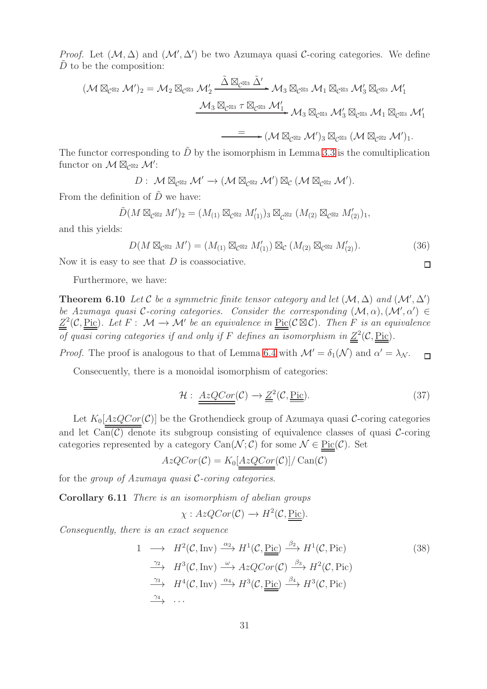*Proof.* Let  $(\mathcal{M}, \Delta)$  and  $(\mathcal{M}', \Delta')$  be two Azumaya quasi C-coring categories. We define  $D$  to be the composition:

$$
(\mathcal{M} \boxtimes_{\mathcal{C}^{\boxtimes 2}} \mathcal{M}')_2 = \mathcal{M}_2 \boxtimes_{\mathcal{C}^{\boxtimes 3}} \mathcal{M}'_2 \xrightarrow{\tilde{\Delta} \boxtimes_{\mathcal{C}^{\boxtimes 3}} \tilde{\Delta}'} \mathcal{M}_3 \boxtimes_{\mathcal{C}^{\boxtimes 3}} \mathcal{M}_1 \boxtimes_{\mathcal{C}^{\boxtimes 3}} \mathcal{M}'_3 \boxtimes_{\mathcal{C}^{\boxtimes 3}} \mathcal{M}'_1
$$
  

$$
\xrightarrow{\mathcal{M}_3 \boxtimes_{\mathcal{C}^{\boxtimes 3}} \tau \boxtimes_{\mathcal{C}^{\boxtimes 3}} \mathcal{M}'_1} \mathcal{M}_3 \boxtimes_{\mathcal{C}^{\boxtimes 3}} \mathcal{M}'_3 \boxtimes_{\mathcal{C}^{\boxtimes 3}} \mathcal{M}_1 \boxtimes_{\mathcal{C}^{\boxtimes 3}} \mathcal{M}'_1
$$
  

$$
\xrightarrow{=} (\mathcal{M} \boxtimes_{\mathcal{C}^{\boxtimes 2}} \mathcal{M}')_3 \boxtimes_{\mathcal{C}^{\boxtimes 3}} (\mathcal{M} \boxtimes_{\mathcal{C}^{\boxtimes 2}} \mathcal{M}').
$$

The functor corresponding to  $\tilde{D}$  by the isomorphism in Lemma [3.3](#page-10-0) is the comultiplication functor on  $\mathcal{M} \boxtimes_{\mathcal{C}^{\boxtimes 2}} \mathcal{M}'$ :

 $D: \mathcal{M} \boxtimes_{\mathcal{C}^{\boxtimes 2}} \mathcal{M}' \to (\mathcal{M} \boxtimes_{\mathcal{C}^{\boxtimes 2}} \mathcal{M}') \boxtimes_{\mathcal{C}} (\mathcal{M} \boxtimes_{\mathcal{C}^{\boxtimes 2}} \mathcal{M}').$ 

From the definition of  $\tilde{D}$  we have:

$$
\tilde{D}(M \boxtimes_{\mathcal{C}^{\boxtimes 2}} M')_2 = (M_{(1)} \boxtimes_{\mathcal{C}^{\boxtimes 2}} M'_{(1)})_3 \boxtimes_{\mathcal{C}^{\boxtimes 2}} (M_{(2)} \boxtimes_{\mathcal{C}^{\boxtimes 2}} M'_{(2)})_1,
$$

and this yields:

<span id="page-30-0"></span>
$$
D(M \boxtimes_{\mathcal{C}^{\boxtimes 2}} M') = (M_{(1)} \boxtimes_{\mathcal{C}^{\boxtimes 2}} M'_{(1)}) \boxtimes_{\mathcal{C}} (M_{(2)} \boxtimes_{\mathcal{C}^{\boxtimes 2}} M'_{(2)}).
$$
\n
$$
(36)
$$

Now it is easy to see that  $D$  is coassociative.

Furthermore, we have:

**Theorem 6.10** Let C be a symmetric finite tensor category and let  $(\mathcal{M}, \Delta)$  and  $(\mathcal{M}', \Delta')$ *be Azumaya quasi* C-coring categories. Consider the corresponding  $(M, \alpha)$ ,  $(M', \alpha') \in$  $Z^2(\mathcal{C}, \text{Pic})$ *. Let*  $F: \mathcal{M} \to \mathcal{M}'$  be an equivalence in  $\text{Pic}(\mathcal{C} \boxtimes \mathcal{C})$ *. Then* F is an equivalence *of quasi coring categories if and only if* F *defines an isomorphism in*  $Z^2(\mathcal{C}, \text{Pic})$ *.* 

*Proof.* The proof is analogous to that of Lemma [6.4](#page-28-1) with  $\mathcal{M}' = \delta_1(\mathcal{N})$  and  $\alpha' = \lambda_{\mathcal{N}}$ .  $\Box$ 

Consecuently, there is a monoidal isomorphism of categories:

<span id="page-30-2"></span>
$$
\mathcal{H}: \underline{\underline{\text{AzQCor}}}(\mathcal{C}) \to \underline{\underline{Z}}^2(\mathcal{C}, \underline{\underline{\text{Pic}}}). \tag{37}
$$

 $\Box$ 

Let  $K_0[AzQCor(\mathcal{C})]$  be the Grothendieck group of Azumaya quasi C-coring categories and let  $\text{Can}(\mathcal{C})$  denote its subgroup consisting of equivalence classes of quasi  $\mathcal{C}$ -coring categories represented by a category  $\text{Can}(\mathcal{N}; \mathcal{C})$  for some  $\mathcal{N} \in \text{Pic}(\mathcal{C})$ . Set

$$
AzQCor(\mathcal{C}) = K_0[\underline{AzQCor(\mathcal{C})}]/\operatorname{Can}(\mathcal{C})
$$

<span id="page-30-1"></span>for the *group of Azumaya quasi* C*-coring categories*.

Corollary 6.11 *There is an isomorphism of abelian groups*

$$
\chi: AzQCor(\mathcal{C}) \to H^2(\mathcal{C}, \underline{\mathrm{Pic}}).
$$

*Consequently, there is an exact sequence*

$$
1 \longrightarrow H^{2}(\mathcal{C}, \text{Inv}) \xrightarrow{\alpha_{2}} H^{1}(\mathcal{C}, \underline{\text{Pic}}) \xrightarrow{\beta_{2}} H^{1}(\mathcal{C}, \text{Pic})
$$
\n
$$
\xrightarrow{\gamma_{2}} H^{3}(\mathcal{C}, \text{Inv}) \xrightarrow{\omega} AzQCor(\mathcal{C}) \xrightarrow{\beta_{3}} H^{2}(\mathcal{C}, \text{Pic})
$$
\n
$$
\xrightarrow{\gamma_{3}} H^{4}(\mathcal{C}, \text{Inv}) \xrightarrow{\alpha_{4}} H^{3}(\mathcal{C}, \underline{\text{Pic}}) \xrightarrow{\beta_{4}} H^{3}(\mathcal{C}, \text{Pic})
$$
\n
$$
\xrightarrow{\gamma_{4}} \dots
$$
\n
$$
(38)
$$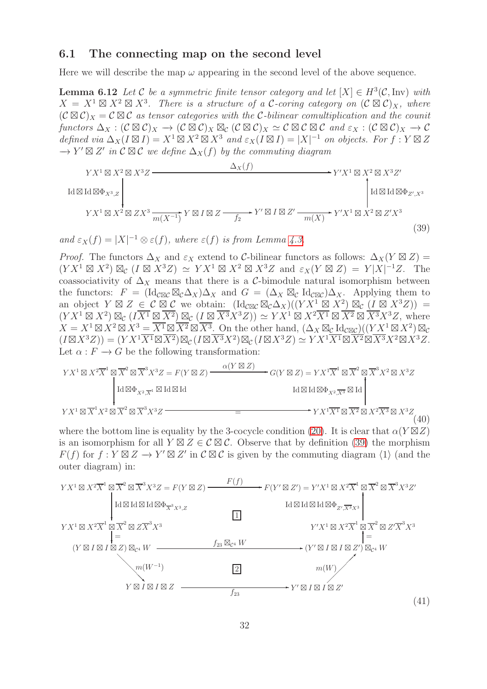#### 6.1 The connecting map on the second level

Here we will describe the map  $\omega$  appearing in the second level of the above sequence.

**Lemma 6.12** *Let*  $\mathcal{C}$  *be a symmetric finite tensor category and let*  $[X] \in H^3(\mathcal{C}, \text{Inv})$  *with*  $X = X^1 \boxtimes X^2 \boxtimes X^3$ . There is a structure of a C-coring category on  $(C \boxtimes C)_X$ , where  $(C \boxtimes C)_X = C \boxtimes C$  *as tensor categories with the* C-bilinear comultiplication and the counit  $functors \Delta_X : (\mathcal{C} \boxtimes \mathcal{C})_X \to (\mathcal{C} \boxtimes \mathcal{C})_X \boxtimes_{\mathcal{C}} (\mathcal{C} \boxtimes \mathcal{C})_X \simeq \mathcal{C} \boxtimes \mathcal{C} \boxtimes \mathcal{C} \text{ and } \varepsilon_X : (\mathcal{C} \boxtimes \mathcal{C})_X \to \mathcal{C}$ *defined via*  $\Delta_X(I \boxtimes I) = X^1 \boxtimes X^2 \boxtimes X^3$  *and*  $\varepsilon_X(I \boxtimes I) = |X|^{-1}$  *on objects. For*  $f: Y \boxtimes Z$  $\rightarrow$  Y'  $\boxtimes$  Z' in  $\mathcal{C}$   $\boxtimes$  C' we define  $\Delta_X(f)$  by the commuting diagram

$$
Y X^1 \boxtimes X^2 \boxtimes X^3 Z
$$
\n
$$
\boxtimes \text{Id} \boxtimes \Phi_{X^3, Z}
$$
\n
$$
Y X^1 \boxtimes X^2 \boxtimes Z X^3
$$
\n
$$
Y X^1 \boxtimes X^2 \boxtimes Z X^3
$$
\n
$$
Y X^1 \boxtimes X^2 \boxtimes Z X^3
$$
\n
$$
Y X^1 \boxtimes X^2 \boxtimes Z X^3
$$
\n
$$
Y X^1 \boxtimes X^2 \boxtimes Z X^3
$$
\n
$$
\text{Id} \boxtimes \text{Id} \boxtimes \Phi_{Z', X^3}
$$
\n
$$
(39)
$$

and  $\varepsilon_X(f) = |X|^{-1} \otimes \varepsilon(f)$ , where  $\varepsilon(f)$  is from Lemma [4.3.](#page-15-0)

<span id="page-31-0"></span> $Id$ 

*Proof.* The functors  $\Delta_X$  and  $\varepsilon_X$  extend to C-bilinear functors as follows:  $\Delta_X(Y \boxtimes Z) =$  $(YX^1 \boxtimes X^2) \boxtimes_{\mathcal{C}} (I \boxtimes X^3 Z) \simeq YX^1 \boxtimes X^2 \boxtimes X^3 Z$  and  $\varepsilon_X(Y \boxtimes Z) = Y|X|^{-1}Z$ . The coassociativity of  $\Delta_X$  means that there is a C-bimodule natural isomorphism between the functors:  $F = (\text{Id}_{\mathcal{C}\boxtimes\mathcal{C}} \boxtimes_{\mathcal{C}} \Delta_X) \Delta_X$  and  $G = (\Delta_X \boxtimes_{\mathcal{C}} \text{Id}_{\mathcal{C}\boxtimes\mathcal{C}}) \Delta_X$ . Applying them to an object  $Y \boxtimes Z \in \mathcal{C} \boxtimes \mathcal{C}$  we obtain:  $(\text{Id}_{\mathcal{C} \boxtimes \mathcal{C}} \boxtimes_{\mathcal{C}} \Delta_X)((YX^1 \boxtimes X^2) \boxtimes_{\mathcal{C}} (I \boxtimes X^3 Z)) =$  $(YX^1 \boxtimes X^2) \boxtimes_{\mathcal{C}} (I\overline{X^1} \boxtimes \overline{X^2}) \boxtimes_{\mathcal{C}} (I \boxtimes \overline{X^3} X^3 Z)) \simeq Y X^1 \boxtimes X^2 \overline{X^1} \boxtimes \overline{X^2} \boxtimes \overline{X^3} X^3 Z$ , where  $X = X^1 \boxtimes X^2 \boxtimes X^3 = \overline{X^1} \boxtimes \overline{X^2} \boxtimes \overline{X^3}$ . On the other hand,  $(\Delta_X \boxtimes_{\mathcal{C}} \mathrm{Id}_{\mathcal{C}\boxtimes\mathcal{C}})((YX^1 \boxtimes X^2) \boxtimes_{\mathcal{C}}$  $(I \boxtimes X^3 Z)) = (Y X^1 \overline{X^1} \boxtimes \overline{X^2}) \boxtimes_{\mathcal{C}} (I \boxtimes \overline{X^3} X^2) \boxtimes_{\mathcal{C}} (I \boxtimes X^3 Z) \simeq Y X^1 \overline{X^1} \boxtimes \overline{X^2} \boxtimes \overline{X^3} X^2 \boxtimes X^3 Z.$ Let  $\alpha : F \to G$  be the following transformation:

Y X<sup>1</sup> ⊠ X<sup>2</sup>X 1 ⊠ X 2 ⊠ X 3 X<sup>3</sup>Z = F(Y ⊠ Z) G(Y ⊠ Z) = Y X<sup>1</sup>X 1 ⊠ X 2 ⊠ X 3 X<sup>2</sup> ⊠ X<sup>3</sup> ✲ Z α(Y ⊠ Z) Y X<sup>1</sup> ⊠ X 1 X<sup>2</sup> ⊠ X 2 ⊠ X 3 X<sup>3</sup>Z Y X<sup>1</sup>X<sup>1</sup> ⊠ X<sup>2</sup> ⊠ X<sup>2</sup>X<sup>3</sup> ⊠ X<sup>3</sup>Z ✲ <sup>=</sup> ❄ Id <sup>⊠</sup>ΦX2,X <sup>1</sup> ⊠ Id ⊠ Id ✻ Id <sup>⊠</sup> Id <sup>⊠</sup>ΦX2,X<sup>3</sup> <sup>⊠</sup> Id (40)

where the bottom line is equality by the 3-cocycle condition [\(20\)](#page-20-3). It is clear that  $\alpha(Y \boxtimes Z)$ is an isomorphism for all  $Y \boxtimes Z \in \mathcal{C} \boxtimes \mathcal{C}$ . Observe that by definition [\(39\)](#page-31-0) the morphism  $F(f)$  for  $f: Y \boxtimes Z \to Y' \boxtimes Z'$  in  $C \boxtimes C$  is given by the commuting diagram  $\langle 1 \rangle$  (and the outer diagram) in:

$$
YX^{1} \boxtimes X^{2} \overline{X}^{1} \boxtimes \overline{X}^{2} \boxtimes \overline{X}^{3} X^{3} Z = F(Y \boxtimes Z) \xrightarrow{F(f)} F(Y' \boxtimes Z') = Y'X^{1} \boxtimes X^{2} \overline{X}^{1} \boxtimes \overline{X}^{2} \boxtimes \overline{X}^{3} X^{3} Z'
$$
  
\n
$$
I d \boxtimes I d \boxtimes I d \boxtimes \overline{X}^{3} X^{3} Z
$$
\n
$$
YX^{1} \boxtimes X^{2} \overline{X}^{1} \boxtimes \overline{X}^{2} \boxtimes Z \overline{X}^{3} X^{3}
$$
\n
$$
= f_{23} \boxtimes_{\mathcal{C}^{4}} W
$$
\n
$$
T(Y' \boxtimes I \boxtimes I \boxtimes Z') \boxtimes_{\mathcal{C}^{4}} W
$$
\n
$$
T(Y' \boxtimes I \boxtimes I \boxtimes Z') \boxtimes_{\mathcal{C}^{4}} W
$$
\n
$$
m(W^{-1})
$$
\n
$$
Y \boxtimes I \boxtimes I \boxtimes Z
$$
\n
$$
f_{23} \longrightarrow Y' \boxtimes I \boxtimes I \boxtimes Z'
$$
\n
$$
(41)
$$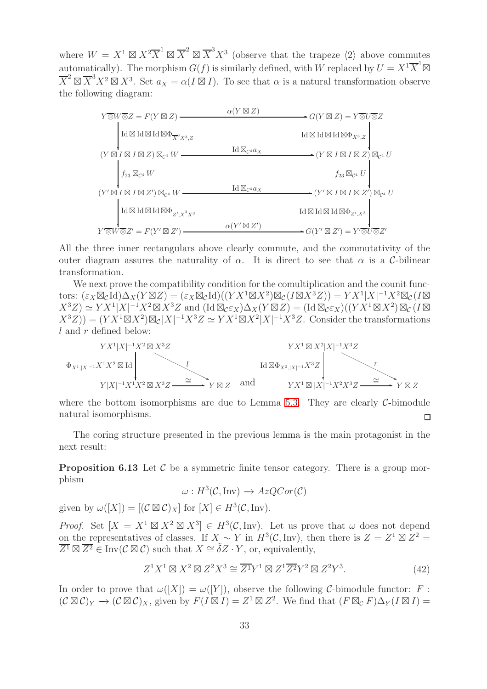where  $W = X^1 \boxtimes X^2 \overline{X}^1 \boxtimes \overline{X}^2 \boxtimes \overline{X}^3 X^3$  (observe that the trapeze  $\langle 2 \rangle$  above commutes automatically). The morphism  $G(f)$  is similarly defined, with W replaced by  $U = X^1 \overline{X}^1 \boxtimes$  $\overline{X}^2 \boxtimes \overline{X}^3 X^2 \boxtimes X^3$ . Set  $a_X = \alpha(I \boxtimes I)$ . To see that  $\alpha$  is a natural transformation observe the following diagram:



All the three inner rectangulars above clearly commute, and the commutativity of the outer diagram assures the naturality of  $\alpha$ . It is direct to see that  $\alpha$  is a C-bilinear transformation.

We next prove the compatibility condition for the comultiplication and the counit functors:  $(\varepsilon_X \boxtimes_{\mathcal{C}} \text{Id}) \Delta_X(Y \boxtimes Z) = (\varepsilon_X \boxtimes_{\mathcal{C}} \text{Id})((Y X^1 \boxtimes X^2) \boxtimes_{\mathcal{C}} (I \boxtimes X^3 Z)) = Y X^1 |X|^{-1} X^2 \boxtimes_{\mathcal{C}} (I \boxtimes X^3 Z)$  $(X^3 Z) \simeq Y X^1 |X|^{-1} X^2 \boxtimes X^3 Z$  and  $(\text{Id}\boxtimes_{\mathcal{C}} \varepsilon_X) \Delta_X (Y \boxtimes Z) = (\text{Id}\boxtimes_{\mathcal{C}} \varepsilon_X)((Y X^1 \boxtimes X^2) \boxtimes_{\mathcal{C}} (I \boxtimes$  $(X^3Z) = (YX^1 \boxtimes X^2) \boxtimes_{\mathcal{C}} |X|^{-1} X^3 Z \simeq Y X^1 \boxtimes X^2 |X|^{-1} X^3 Z$ . Consider the transformations  $l$  and  $r$  defined below:



where the bottom isomorphisms are due to Lemma [5.3.](#page-20-4) They are clearly  $C$ -bimodule natural isomorphisms.  $\Box$ 

<span id="page-32-1"></span>The coring structure presented in the previous lemma is the main protagonist in the next result:

**Proposition 6.13** Let  $\mathcal{C}$  be a symmetric finite tensor category. There is a group morphism

$$
\omega: H^3(\mathcal{C}, \text{Inv}) \to AzQCor(\mathcal{C})
$$

given by  $\omega([X]) = [(\mathcal{C} \boxtimes \mathcal{C})_X]$  for  $[X] \in H^3(\mathcal{C}, \text{Inv}).$ 

*Proof.* Set  $[X = X^1 \boxtimes X^2 \boxtimes X^3] \in H^3(\mathcal{C}, \text{Inv})$ . Let us prove that  $\omega$  does not depend on the representatives of classes. If  $X \sim Y$  in  $H^3(\mathcal{C}, \text{Inv})$ , then there is  $Z = Z^1 \boxtimes Z^2 =$  $\overline{Z^1} \boxtimes \overline{Z^2} \in \text{Inv}(\mathcal{C} \boxtimes \mathcal{C})$  such that  $X \cong \tilde{\delta} Z \cdot Y$ , or, equivalently,

<span id="page-32-0"></span>
$$
Z^1 X^1 \boxtimes X^2 \boxtimes Z^2 X^3 \cong \overline{Z^1} Y^1 \boxtimes Z^1 \overline{Z^2} Y^2 \boxtimes Z^2 Y^3. \tag{42}
$$

In order to prove that  $\omega([X]) = \omega([Y])$ , observe the following C-bimodule functor: F:  $(C \boxtimes C)_Y \to (C \boxtimes C)_X$ , given by  $F(I \boxtimes I) = Z^1 \boxtimes Z^2$ . We find that  $(F \boxtimes_C F) \Delta_Y (I \boxtimes I) =$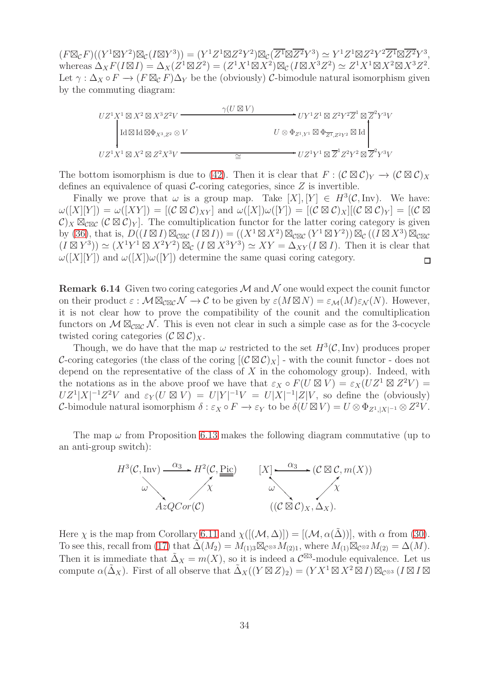$(F \boxtimes_{\mathcal{C}} F)((Y^1 \boxtimes Y^2) \boxtimes_{\mathcal{C}} (I \boxtimes Y^3)) = (Y^1 Z^1 \boxtimes Z^2 Y^2) \boxtimes_{\mathcal{C}} (\overline{Z^1} \boxtimes \overline{Z^2} Y^3) \simeq Y^1 Z^1 \boxtimes Z^2 Y^2 \overline{Z^1} \boxtimes \overline{Z^2} Y^3,$ whereas  $\Delta_X F(I \boxtimes I) = \Delta_X (Z^1 \boxtimes Z^2) = (Z^1 X^1 \boxtimes X^2) \boxtimes_{\mathcal{C}} (I \boxtimes X^3 Z^2) \simeq Z^1 X^1 \boxtimes X^2 \boxtimes X^3 Z^2.$ Let  $\gamma : \Delta_X \circ F \to (F \boxtimes_{\mathcal{C}} F) \Delta_Y$  be the (obviously) C-bimodule natural isomorphism given by the commuting diagram:

$$
UZ^1X^1 \boxtimes X^2 \boxtimes X^3Z^2V \xrightarrow{\gamma(U \boxtimes V) \qquad \qquad VV^1Z^1 \boxtimes Z^2Y^2\overline{Z}^1 \boxtimes \overline{Z}^2Y^3V}
$$
  
\n
$$
U \otimes \Phi_{Z^1,Y^1} \boxtimes \Phi_{\overline{Z^1},Z^2Y^2} \boxtimes \text{Id}
$$
  
\n
$$
UZ^1X^1 \boxtimes X^2 \boxtimes Z^2X^3V \xrightarrow{\simeq} \qquad \qquad \cong \qquad \qquad UZ^1Y^1 \boxtimes \overline{Z}^1Z^2Y^2 \boxtimes \overline{Z}^2Y^3V
$$

The bottom isomorphism is due to [\(42\)](#page-32-0). Then it is clear that  $F : (\mathcal{C} \boxtimes \mathcal{C})_Y \to (\mathcal{C} \boxtimes \mathcal{C})_X$ defines an equivalence of quasi  $\mathcal{C}$ -coring categories, since  $Z$  is invertible.

Finally we prove that  $\omega$  is a group map. Take  $[X], [Y] \in H^3(\mathcal{C}, \text{Inv})$ . We have:  $\omega([X][Y]) = \omega([XY]) = [(\mathcal{C} \boxtimes \mathcal{C})_{XY}]$  and  $\omega([X])\omega([Y]) = [(\mathcal{C} \boxtimes \mathcal{C})_X] [(\mathcal{C} \boxtimes \mathcal{C})_Y] = [(\mathcal{C} \boxtimes \mathcal{C})_Y]$  $\mathcal{C})_X \boxtimes_{\mathcal{C} \boxtimes \mathcal{C}} (\mathcal{C} \boxtimes \mathcal{C})_Y$ . The comultiplication functor for the latter coring category is given by [\(36\)](#page-30-0), that is,  $D((I \boxtimes I) \boxtimes_{\mathcal{C} \boxtimes \mathcal{C}} (I \boxtimes I)) = ((X^1 \boxtimes X^2) \boxtimes_{\mathcal{C} \boxtimes \mathcal{C}} (Y^1 \boxtimes Y^2)) \boxtimes_{\mathcal{C}} ((I \boxtimes X^3) \boxtimes_{\mathcal{C} \boxtimes \mathcal{C}}$  $(I \boxtimes Y^3)$   $\simeq (X^1 Y^1 \boxtimes X^2 Y^2) \boxtimes_{\mathcal{C}} (I \boxtimes X^3 Y^3) \simeq XY = \Delta_{XY}(I \boxtimes I)$ . Then it is clear that  $\omega([X][Y])$  and  $\omega([X])\omega([Y])$  determine the same quasi coring category.  $\Box$ 

**Remark 6.14** Given two coring categories  $M$  and  $N$  one would expect the counit functor on their product  $\varepsilon : \mathcal{M} \boxtimes_{\mathcal{C} \boxtimes \mathcal{C}} \mathcal{N} \to \mathcal{C}$  to be given by  $\varepsilon(M \boxtimes N) = \varepsilon_{\mathcal{M}}(M) \varepsilon_{\mathcal{N}}(N)$ . However, it is not clear how to prove the compatibility of the counit and the comultiplication functors on  $\mathcal{M} \boxtimes_{\mathcal{CRC}} \mathcal{N}$ . This is even not clear in such a simple case as for the 3-cocycle twisted coring categories  $(C \boxtimes C)_X$ .

Though, we do have that the map  $\omega$  restricted to the set  $H^3(\mathcal{C}, \text{Inv})$  produces proper C-coring categories (the class of the coring  $[(\mathcal{C}\boxtimes \mathcal{C})_X]$  - with the counit functor - does not depend on the representative of the class of  $X$  in the cohomology group). Indeed, with the notations as in the above proof we have that  $\varepsilon_X \circ F(U \boxtimes V) = \varepsilon_X(UZ^1 \boxtimes Z^2 V) =$  $UZ^1|X|^{-1}Z^2V$  and  $\varepsilon_Y(U \boxtimes V) = U|Y|^{-1}V = U|X|^{-1}|Z|V$ , so define the (obviously) C-bimodule natural isomorphism  $\delta : \varepsilon_X \circ F \to \varepsilon_Y$  to be  $\delta(U \boxtimes V) = U \otimes \Phi_{Z^1, |X|^{-1}} \otimes Z^2 V$ .

The map  $\omega$  from Proposition [6.13](#page-32-1) makes the following diagram commutative (up to an anti-group switch):



Here  $\chi$  is the map from Corollary [6.11](#page-30-1) and  $\chi([(\mathcal{M}, \Delta)]) = [(\mathcal{M}, \alpha(\Delta))],$  with  $\alpha$  from [\(30\)](#page-25-2). To see this, recall from [\(17\)](#page-10-1) that  $\tilde{\Delta}(M_2) = M_{(1)3} \boxtimes_{\mathcal{C}^{\otimes 3}} M_{(2)1}$ , where  $M_{(1)} \boxtimes_{\mathcal{C}^{\otimes 2}} M_{(2)} = \Delta(M)$ . Then it is immediate that  $\tilde{\Delta}_X = m(X)$ , so it is indeed a  $\mathcal{C}^{\boxtimes 3}$ -module equivalence. Let us compute  $\alpha(\tilde{\Delta}_X)$ . First of all observe that  $\tilde{\Delta}_X((Y \boxtimes Z)_2) = (Y X^1 \boxtimes X^2 \boxtimes I) \boxtimes_{\mathcal{C}^{\otimes 3}} (I \boxtimes I \boxtimes I)$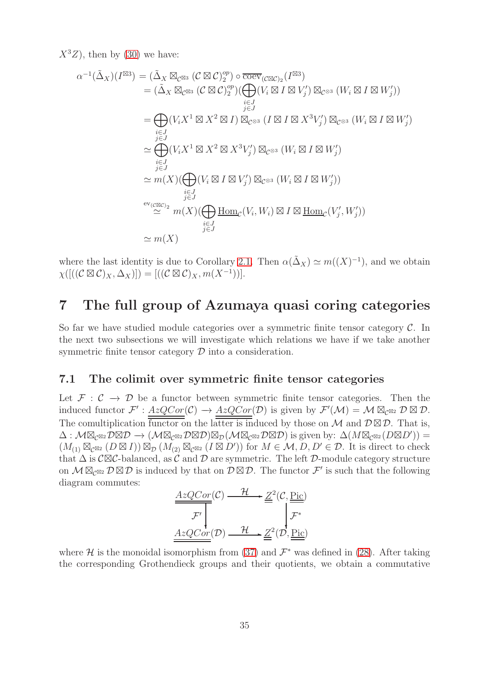$X^3Z$ , then by [\(30\)](#page-25-2) we have:

$$
\alpha^{-1}(\tilde{\Delta}_{X})(I^{\boxtimes 3}) = (\tilde{\Delta}_{X} \boxtimes_{\mathcal{C}^{\boxtimes 3}} (\mathcal{C} \boxtimes \mathcal{C})_{2}^{op}) \circ \overline{\mathrm{coev}}_{(\mathcal{C} \boxtimes \mathcal{C})_{2}}(I^{\boxtimes 3})
$$
  
\n
$$
= (\tilde{\Delta}_{X} \boxtimes_{\mathcal{C}^{\boxtimes 3}} (\mathcal{C} \boxtimes \mathcal{C})_{2}^{op}) (\bigoplus_{\substack{i \in J \\ j \in J}} (V_{i} \boxtimes I \boxtimes V_{j}') \boxtimes_{\mathcal{C}^{\otimes 3}} (W_{i} \boxtimes I \boxtimes W_{j}'))
$$
  
\n
$$
= \bigoplus_{\substack{i \in J \\ j \in J \\ j \in J}} (V_{i} X^{1} \boxtimes X^{2} \boxtimes I) \boxtimes_{\mathcal{C}^{\otimes 3}} (I \boxtimes I \boxtimes X^{3} V_{j}') \boxtimes_{\mathcal{C}^{\otimes 3}} (W_{i} \boxtimes I \boxtimes W_{j}')
$$
  
\n
$$
\simeq \bigoplus_{\substack{i \in J \\ j \in J \\ j \in J}} (V_{i} X^{1} \boxtimes X^{2} \boxtimes X^{3} V_{j}') \boxtimes_{\mathcal{C}^{\otimes 3}} (W_{i} \boxtimes I \boxtimes W_{j}')
$$
  
\n
$$
\simeq m(X) (\bigoplus_{\substack{i \in J \\ j \in J}} (V_{i} \boxtimes I \boxtimes V_{j}') \boxtimes_{\mathcal{C}^{\otimes 3}} (W_{i} \boxtimes I \boxtimes W_{j}'))
$$
  
\n
$$
\simeq m(X) (\bigoplus_{\substack{i \in J \\ j \in J}} \underline{\mathrm{Hom}}_{\mathcal{C}}(V_{i}, W_{i}) \boxtimes I \boxtimes \underline{\mathrm{Hom}}_{\mathcal{C}}(V_{j}', W_{j}'))
$$
  
\n
$$
\simeq m(X)
$$

where the last identity is due to Corollary [2.1.](#page-5-2) Then  $\alpha(\tilde{\Delta}_X) \simeq m((X)^{-1})$ , and we obtain  $\chi([((\mathcal{C}\boxtimes \mathcal{C})_X,\Delta_X)])=[((\mathcal{C}\boxtimes \mathcal{C})_X,m(X^{-1}))].$ 

### <span id="page-34-0"></span>7 The full group of Azumaya quasi coring categories

So far we have studied module categories over a symmetric finite tensor category  $\mathcal{C}$ . In the next two subsections we will investigate which relations we have if we take another symmetric finite tensor category  $D$  into a consideration.

#### 7.1 The colimit over symmetric finite tensor categories

Let  $\mathcal{F}: \mathcal{C} \to \mathcal{D}$  be a functor between symmetric finite tensor categories. Then the induced functor  $\mathcal{F}' : \underline{AzQCor}(\mathcal{C}) \to \underline{AzQCor}(\mathcal{D})$  is given by  $\mathcal{F}'(\mathcal{M}) = \mathcal{M} \boxtimes_{\mathcal{C}^{\boxtimes 2}} \mathcal{D} \boxtimes \mathcal{D}$ . The comultiplication  $\overline{\overline{\text{functor}}}$  on the latter is induced by those on M and  $\mathcal{D} \boxtimes \mathcal{D}$ . That is,  $\Delta: \mathcal{M} \boxtimes_{\mathcal{C}^{\boxtimes 2}} \mathcal{D} \boxtimes \mathcal{D} \rightarrow (\mathcal{M} \boxtimes_{\mathcal{C}^{\boxtimes 2}} \mathcal{D} \boxtimes \mathcal{D}) \boxtimes_{\mathcal{D}} (\mathcal{M} \boxtimes_{\mathcal{C}^{\boxtimes 2}} \mathcal{D} \boxtimes \mathcal{D})$  is given by:  $\Delta(M \boxtimes_{\mathcal{C}^{\boxtimes 2}} (D \boxtimes D'))$  =  $(M_{(1)} \boxtimes_{\mathcal{C}^{\boxtimes 2}} (D \boxtimes I)) \boxtimes_{\mathcal{D}} (M_{(2)} \boxtimes_{\mathcal{C}^{\boxtimes 2}} (I \boxtimes D'))$  for  $M \in \mathcal{M}, D, D' \in \mathcal{D}$ . It is direct to check that  $\Delta$  is  $\mathcal{C}\boxtimes\mathcal{C}$ -balanced, as  $\mathcal C$  and  $\mathcal D$  are symmetric. The left  $\mathcal D$ -module category structure on  $M \boxtimes_{\mathcal{C}^{\boxtimes 2}} \mathcal{D} \boxtimes \mathcal{D}$  is induced by that on  $\mathcal{D} \boxtimes \mathcal{D}$ . The functor  $\mathcal{F}'$  is such that the following diagram commutes:

$$
\frac{AzQCor(C) \xrightarrow{\mathcal{H}} \underline{Z}^2(\mathcal{C}, \underline{\text{Pic}})}{\mathcal{F}'}
$$
\n
$$
\underline{AzQCor}(D) \xrightarrow{\mathcal{H}} \underline{Z}^2(D, \underline{\text{Pic}})
$$

where H is the monoidal isomorphism from [\(37\)](#page-30-2) and  $\mathcal{F}^*$  was defined in [\(28\)](#page-24-1). After taking the corresponding Grothendieck groups and their quotients, we obtain a commutative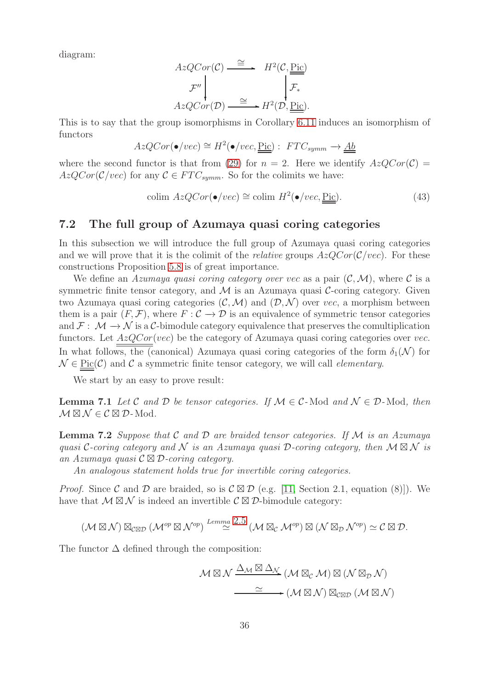diagram:

$$
AzQCor(\mathcal{C}) \xrightarrow{\cong} H^{2}(\mathcal{C}, \underline{\underline{\mathrm{Pic}}})
$$
  

$$
\mathcal{F}'' \downarrow \qquad \qquad \downarrow \mathcal{F}_{*}
$$
  

$$
AzQCor(\mathcal{D}) \xrightarrow{\cong} H^{2}(\mathcal{D}, \underline{\underline{\mathrm{Pic}}}).
$$

This is to say that the group isomorphisms in Corollary [6.11](#page-30-1) induces an isomorphism of functors

$$
AzQCor(\bullet /vec) \cong H^2(\bullet /vec, \underline{\underline{\mathrm{Pic}}}) : \ FTC_{symm} \to \underline{\underline{Ab}}
$$

where the second functor is that from [\(29\)](#page-25-3) for  $n = 2$ . Here we identify  $AzQCor(\mathcal{C}) =$  $AzQCor(\mathcal{C}/vec)$  for any  $\mathcal{C} \in FTC_{summ}$ . So for the colimits we have:

<span id="page-35-1"></span>
$$
\text{colim } AzQCor(\bullet /vec) \cong \text{colim } H^2(\bullet /vec, \underline{\text{Pic}}). \tag{43}
$$

#### <span id="page-35-0"></span>7.2 The full group of Azumaya quasi coring categories

In this subsection we will introduce the full group of Azumaya quasi coring categories and we will prove that it is the colimit of the *relative* groups  $AzQCor(\mathcal{C}/vec)$ . For these constructions Proposition [5.8](#page-24-0) is of great importance.

We define an *Azumaya quasi coring category over vec* as a pair  $(C, \mathcal{M})$ , where C is a symmetric finite tensor category, and  $\mathcal M$  is an Azumaya quasi  $\mathcal C$ -coring category. Given two Azumaya quasi coring categories  $(C, \mathcal{M})$  and  $(D, \mathcal{N})$  over vec, a morphism between them is a pair  $(F, \mathcal{F})$ , where  $F: \mathcal{C} \to \mathcal{D}$  is an equivalence of symmetric tensor categories and  $\mathcal{F}: \mathcal{M} \to \mathcal{N}$  is a C-bimodule category equivalence that preserves the comultiplication functors. Let  $AzQCor(vec)$  be the category of Azumaya quasi coring categories over vec. In what follows, the (canonical) Azumaya quasi coring categories of the form  $\delta_1(\mathcal{N})$  for  $\mathcal{N} \in \text{Pic}(\mathcal{C})$  and  $\mathcal{C}$  a symmetric finite tensor category, we will call *elementary*.

We start by an easy to prove result:

**Lemma 7.1** Let C and D be tensor categories. If  $M \in C$ -Mod and  $N \in D$ -Mod, then  $\mathcal{M} \boxtimes \mathcal{N} \in \mathcal{C} \boxtimes \mathcal{D}$ -Mod.

Lemma 7.2 *Suppose that* C *and* D *are braided tensor categories. If* M *is an Azumaya quasi* C-coring category and N is an Azumaya quasi D-coring category, then  $M \boxtimes N$  *is an Azumaya quasi* C ⊠ D*-coring category.*

*An analogous statement holds true for invertible coring categories.*

*Proof.* Since C and D are braided, so is  $\mathcal{C} \boxtimes \mathcal{D}$  (e.g. [\[11,](#page-40-1) Section 2.1, equation (8)]). We have that  $M \boxtimes N$  is indeed an invertible  $\mathcal{C} \boxtimes \mathcal{D}$ -bimodule category:

$$
(\mathcal{M} \boxtimes \mathcal{N}) \boxtimes_{\mathcal{C} \boxtimes \mathcal{D}} (\mathcal{M}^{op} \boxtimes \mathcal{N}^{op}) \stackrel{Lemma 2.5}{\simeq} (\mathcal{M} \boxtimes_{\mathcal{C}} \mathcal{M}^{op}) \boxtimes (\mathcal{N} \boxtimes_{\mathcal{D}} \mathcal{N}^{op}) \simeq \mathcal{C} \boxtimes \mathcal{D}.
$$

The functor  $\Delta$  defined through the composition:

$$
\mathcal{M} \boxtimes \mathcal{N} \xrightarrow{\Delta_{\mathcal{M}}} (\mathcal{M} \boxtimes_{\mathcal{C}} \mathcal{M}) \boxtimes (\mathcal{N} \boxtimes_{\mathcal{D}} \mathcal{N})
$$

$$
\xrightarrow{\simeq} (\mathcal{M} \boxtimes \mathcal{N}) \boxtimes_{\mathcal{C} \boxtimes \mathcal{D}} (\mathcal{M} \boxtimes \mathcal{N})
$$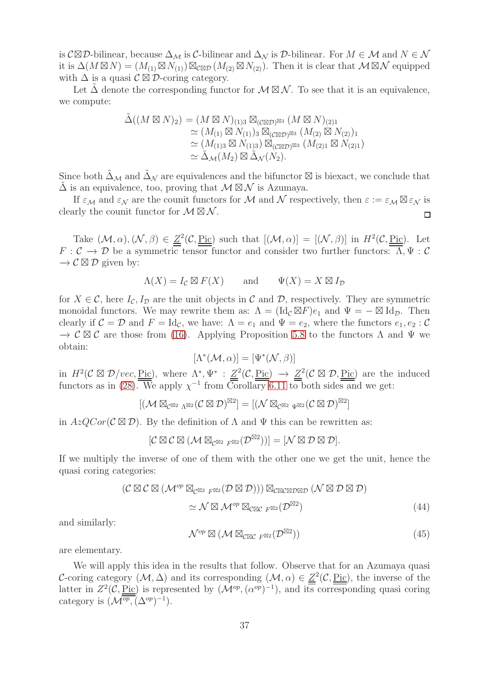is  $\mathcal{C}\boxtimes\mathcal{D}$ -bilinear, because  $\Delta_{\mathcal{M}}$  is  $\mathcal{C}$ -bilinear and  $\Delta_{\mathcal{N}}$  is  $\mathcal{D}$ -bilinear. For  $M \in \mathcal{M}$  and  $N \in \mathcal{N}$ it is  $\Delta(M\boxtimes N) = (M_{(1)}\boxtimes N_{(1)})\boxtimes_{\mathcal{C}\boxtimes\mathcal{D}} (M_{(2)}\boxtimes N_{(2)})$ . Then it is clear that  $\mathcal{M}\boxtimes\mathcal{N}$  equipped with  $\Delta$  is a quasi  $\mathcal{C} \boxtimes \mathcal{D}$ -coring category.

Let  $\Delta$  denote the corresponding functor for  $\mathcal{M} \boxtimes \mathcal{N}$ . To see that it is an equivalence, we compute:

$$
\tilde{\Delta}((M \boxtimes N)_2) = (M \boxtimes N)_{(1)3} \boxtimes_{(C \boxtimes \mathcal{D})^{\boxtimes 3}} (M \boxtimes N)_{(2)1}
$$
  
\n
$$
\simeq (M_{(1)} \boxtimes N_{(1)})_3 \boxtimes_{(C \boxtimes \mathcal{D})^{\boxtimes 3}} (M_{(2)} \boxtimes N_{(2)})_1
$$
  
\n
$$
\simeq (M_{(1)3} \boxtimes N_{(1)3}) \boxtimes_{(C \boxtimes \mathcal{D})^{\boxtimes 3}} (M_{(2)1} \boxtimes N_{(2)1})
$$
  
\n
$$
\simeq \tilde{\Delta}_{\mathcal{M}}(M_2) \boxtimes \tilde{\Delta}_{\mathcal{N}}(N_2).
$$

Since both  $\Delta_M$  and  $\Delta_N$  are equivalences and the bifunctor  $\boxtimes$  is biexact, we conclude that  $\Delta$  is an equivalence, too, proving that  $\mathcal{M} \boxtimes \mathcal{N}$  is Azumaya.

If  $\varepsilon_M$  and  $\varepsilon_N$  are the counit functors for M and N respectively, then  $\varepsilon := \varepsilon_M \boxtimes \varepsilon_N$  is clearly the counit functor for  $\mathcal{M} \boxtimes \mathcal{N}$ . □

Take  $(M, \alpha), (\mathcal{N}, \beta) \in \mathcal{Z}^2(\mathcal{C}, \text{Pic})$  such that  $[(\mathcal{M}, \alpha)] = [(\mathcal{N}, \beta)]$  in  $H^2(\mathcal{C}, \text{Pic})$ . Let  $F: \mathcal{C} \to \mathcal{D}$  be a symmetric tensor functor and consider two further functors:  $\overline{\Lambda}, \Psi: \mathcal{C}$  $\rightarrow$   $\mathcal{C} \boxtimes \mathcal{D}$  given by:

$$
\Lambda(X) = I_{\mathcal{C}} \boxtimes F(X) \quad \text{and} \quad \Psi(X) = X \boxtimes I_{\mathcal{D}}
$$

for  $X \in \mathcal{C}$ , here  $I_{\mathcal{C}}, I_{\mathcal{D}}$  are the unit objects in  $\mathcal{C}$  and  $\mathcal{D}$ , respectively. They are symmetric monoidal functors. We may rewrite them as:  $\Lambda = (\mathrm{Id}_{\mathcal{C}} \boxtimes F) e_1$  and  $\Psi = - \boxtimes \mathrm{Id}_{\mathcal{D}}$ . Then clearly if  $C = \mathcal{D}$  and  $F = \text{Id}_{\mathcal{C}}$ , we have:  $\Lambda = e_1$  and  $\Psi = e_2$ , where the functors  $e_1, e_2 : \mathcal{C}$  $\rightarrow \mathcal{C} \boxtimes \mathcal{C}$  are those from [\(16\)](#page-9-2). Applying Proposition [5.8](#page-24-0) to the functors  $\Lambda$  and  $\Psi$  we obtain:

$$
[\Lambda^*(\mathcal{M},\alpha)] = [\Psi^*(\mathcal{N},\beta)]
$$

in  $H^2(\mathcal{C} \boxtimes \mathcal{D}/vec, \underline{\text{Pic}})$ , where  $\Lambda^*, \Psi^* : \underline{Z}^2(\mathcal{C}, \underline{\text{Pic}}) \to \underline{Z}^2(\mathcal{C} \boxtimes \mathcal{D}, \underline{\text{Pic}})$  are the induced functors as in [\(28\)](#page-24-1). We apply  $\chi^{-1}$  from Corollary [6.11](#page-30-1) to both sides and we get:

$$
[(\mathcal{M} \boxtimes_{\mathcal{C}^{\boxtimes 2} \Lambda^{\boxtimes 2}} (\mathcal{C} \boxtimes \mathcal{D})^{\boxtimes 2}] = [(\mathcal{N} \boxtimes_{\mathcal{C}^{\boxtimes 2} \Psi^{\boxtimes 2}} (\mathcal{C} \boxtimes \mathcal{D})^{\boxtimes 2}]
$$

in  $AzQCor(\mathcal{C}\boxtimes \mathcal{D})$ . By the definition of  $\Lambda$  and  $\Psi$  this can be rewritten as:

$$
[{\mathcal C}\boxtimes {\mathcal C}\boxtimes ({\mathcal M}\boxtimes_{{\mathcal C}^{\boxtimes 2} \ F^{\boxtimes 2}}({\mathcal D}^{\boxtimes 2}))]=[{\mathcal N}\boxtimes {\mathcal D}\boxtimes {\mathcal D}].
$$

If we multiply the inverse of one of them with the other one we get the unit, hence the quasi coring categories:

$$
(\mathcal{C} \boxtimes \mathcal{C} \boxtimes (\mathcal{M}^{op} \boxtimes_{\mathcal{C}^{\boxtimes 2} F^{\boxtimes 2}} (\mathcal{D} \boxtimes \mathcal{D}))) \boxtimes_{\mathcal{C} \boxtimes \mathcal{C} \boxtimes \mathcal{D} \boxtimes \mathcal{D}} (\mathcal{N} \boxtimes \mathcal{D} \boxtimes \mathcal{D})
$$
  

$$
\simeq \mathcal{N} \boxtimes \mathcal{M}^{op} \boxtimes_{\mathcal{C} \boxtimes \mathcal{C} F^{\boxtimes 2}} (\mathcal{D}^{\boxtimes 2})
$$
(44)

and similarly:

<span id="page-36-2"></span><span id="page-36-0"></span>
$$
\mathcal{N}^{op} \boxtimes (\mathcal{M} \boxtimes_{\mathcal{CRC} F^{\boxtimes 2}} (\mathcal{D}^{\boxtimes 2})) \tag{45}
$$

are elementary.

<span id="page-36-1"></span>We will apply this idea in the results that follow. Observe that for an Azumaya quasi C-coring category  $(M, \Delta)$  and its corresponding  $(M, \alpha) \in \underline{Z}^2(\mathcal{C}, \underline{\text{Pic}})$ , the inverse of the latter in  $Z^2(\mathcal{C}, \underline{\text{Pic}})$  is represented by  $(\mathcal{M}^{op}, (\alpha^{op})^{-1})$ , and its corresponding quasi coring category is  $(\mathcal{M}^{\overline{op}}, (\Delta^{op})^{-1}).$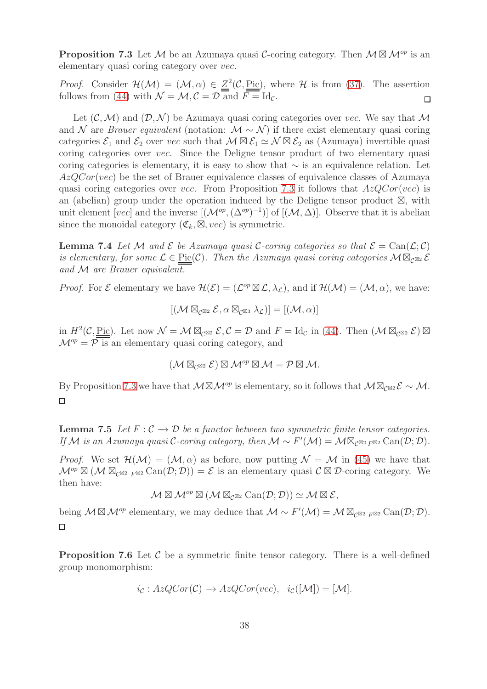**Proposition 7.3** Let M be an Azumaya quasi C-coring category. Then  $M \boxtimes M^{op}$  is an elementary quasi coring category over vec.

*Proof.* Consider  $\mathcal{H}(\mathcal{M}) = (\mathcal{M}, \alpha) \in \mathbb{Z}^2(\mathcal{C}, \underline{\text{Pic}})$ , where  $\mathcal{H}$  is from [\(37\)](#page-30-2). The assertion follows from [\(44\)](#page-36-0) with  $\mathcal{N} = \mathcal{M}, \mathcal{C} = \mathcal{D}$  and  $F = \text{Id}_{\mathcal{C}}$ .  $\Box$ 

Let  $(C, \mathcal{M})$  and  $(D, \mathcal{N})$  be Azumaya quasi coring categories over vec. We say that M and N are *Brauer equivalent* (notation:  $M \sim N$ ) if there exist elementary quasi coring categories  $\mathcal{E}_1$  and  $\mathcal{E}_2$  over vec such that  $\mathcal{M} \boxtimes \mathcal{E}_1 \simeq \mathcal{N} \boxtimes \mathcal{E}_2$  as (Azumaya) invertible quasi coring categories over vec. Since the Deligne tensor product of two elementary quasi coring categories is elementary, it is easy to show that ∼ is an equivalence relation. Let  $AzQCor(vec)$  be the set of Brauer equivalence classes of equivalence classes of Azumaya quasi coring categories over vec. From Proposition [7.3](#page-36-1) it follows that  $AzQCor(vec)$  is an (abelian) group under the operation induced by the Deligne tensor product ⊠, with unit element [vec] and the inverse  $[(\mathcal{M}^{op}, (\Delta^{op})^{-1})]$  of  $[(\mathcal{M}, \Delta)]$ . Observe that it is abelian since the monoidal category  $(\mathfrak{C}_k, \boxtimes, vec)$  is symmetric.

<span id="page-37-0"></span>**Lemma 7.4** Let M and  $\mathcal E$  be Azumaya quasi C-coring categories so that  $\mathcal E = \text{Can}(\mathcal L; \mathcal C)$ *is elementary, for some*  $\mathcal{L} \in \text{Pic}(\mathcal{C})$ *. Then the Azumaya quasi coring categories*  $M \boxtimes_{\mathcal{C}} \otimes_2 \mathcal{E}$ *and* M *are Brauer equivalent.*

*Proof.* For  $\mathcal{E}$  elementary we have  $\mathcal{H}(\mathcal{E}) = (\mathcal{L}^{op} \boxtimes \mathcal{L}, \lambda_{\mathcal{L}})$ , and if  $\mathcal{H}(\mathcal{M}) = (\mathcal{M}, \alpha)$ , we have:

$$
[(\mathcal{M} \boxtimes_{\mathcal{C}^{\boxtimes 2}} \mathcal{E}, \alpha \boxtimes_{\mathcal{C}^{\boxtimes 3}} \lambda_{\mathcal{L}})] = [(\mathcal{M}, \alpha)]
$$

in  $H^2(\mathcal{C}, \underline{\mathrm{Pic}})$ . Let now  $\mathcal{N} = \mathcal{M} \boxtimes_{\mathcal{C}^{\boxtimes 2}} \mathcal{E}, \mathcal{C} = \mathcal{D}$  and  $F = \mathrm{Id}_{\mathcal{C}}$  in [\(44\)](#page-36-0). Then  $(\mathcal{M} \boxtimes_{\mathcal{C}^{\boxtimes 2}} \mathcal{E}) \boxtimes$  $\mathcal{M}^{op} = \overline{\mathcal{P}}$  is an elementary quasi coring category, and

$$
(\mathcal{M} \boxtimes_{\mathcal{C}^{\boxtimes 2}} \mathcal{E}) \boxtimes \mathcal{M}^{op} \boxtimes \mathcal{M} = \mathcal{P} \boxtimes \mathcal{M}.
$$

By Proposition [7.3](#page-36-1) we have that  $M \boxtimes M^{op}$  is elementary, so it follows that  $M \boxtimes_{\mathcal{C}} \mathbb{Z}_2 \mathcal{E} \sim \mathcal{M}$ .  $\Box$ 

<span id="page-37-1"></span>**Lemma 7.5** Let  $F: \mathcal{C} \to \mathcal{D}$  be a functor between two symmetric finite tensor categories. *If* M is an Azumaya quasi C-coring category, then  $M \sim F'(\mathcal{M}) = \mathcal{M} \boxtimes_{\mathcal{C}^{\boxtimes 2} F^{\boxtimes 2}} \text{Can}(\mathcal{D}; \mathcal{D})$ .

*Proof.* We set  $\mathcal{H}(\mathcal{M}) = (\mathcal{M}, \alpha)$  as before, now putting  $\mathcal{N} = \mathcal{M}$  in [\(45\)](#page-36-2) we have that  $\mathcal{M}^{op} \boxtimes (\mathcal{M} \boxtimes_{\mathcal{C}^{\boxtimes 2}} \mathcal{F}^{op} \boxtimes \mathcal{C}an(\mathcal{D}; \mathcal{D})) = \mathcal{E}$  is an elementary quasi  $\mathcal{C} \boxtimes \mathcal{D}$ -coring category. We then have:

$$
\mathcal{M} \boxtimes \mathcal{M}^{op} \boxtimes (\mathcal{M} \boxtimes_{\mathcal{C}^{\boxtimes 2}} \operatorname{Can}(\mathcal{D}; \mathcal{D})) \simeq \mathcal{M} \boxtimes \mathcal{E},
$$

being  $\mathcal{M} \boxtimes \mathcal{M}^{op}$  elementary, we may deduce that  $\mathcal{M} \sim F'(\mathcal{M}) = \mathcal{M} \boxtimes_{\mathcal{C}^{\boxtimes 2}} F^{\boxtimes 2} \operatorname{Can}(\mathcal{D}; \mathcal{D}).$  $\Box$ 

<span id="page-37-2"></span>**Proposition 7.6** Let  $\mathcal{C}$  be a symmetric finite tensor category. There is a well-defined group monomorphism:

$$
i_{\mathcal{C}}: AzQCor(\mathcal{C}) \rightarrow AzQCor(vec), i_{\mathcal{C}}([\mathcal{M}]) = [\mathcal{M}].
$$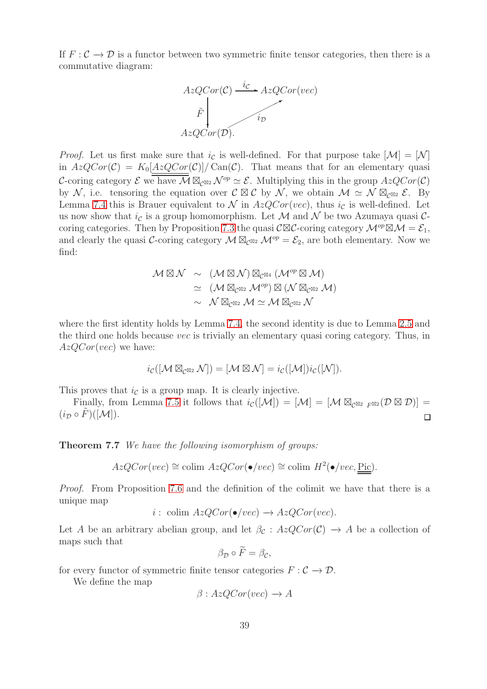If  $F: \mathcal{C} \to \mathcal{D}$  is a functor between two symmetric finite tensor categories, then there is a commutative diagram:



*Proof.* Let us first make sure that  $i_{\mathcal{C}}$  is well-defined. For that purpose take  $[\mathcal{M}] = [\mathcal{N}]$ in  $AzQCor(\mathcal{C}) = K_0[AzQCor(\mathcal{C})]/\text{Can}(\mathcal{C})$ . That means that for an elementary quasi C-coring category  $\mathcal E$  we have  $\overline{\mathcal M} \boxtimes_{\mathcal C^{\boxtimes 2}} \mathcal N^{op} \simeq \mathcal E$ . Multiplying this in the group  $AzQCor(\mathcal C)$ by N, i.e. tensoring the equation over  $\mathcal{C} \boxtimes \mathcal{C}$  by N, we obtain  $\mathcal{M} \simeq \mathcal{N} \boxtimes_{\mathcal{C}^{\boxtimes 2}} \mathcal{E}$ . By Lemma [7.4](#page-37-0) this is Brauer equivalent to  $\mathcal N$  in  $AzQCor(vec)$ , thus  $i_{\mathcal{C}}$  is well-defined. Let us now show that  $i_{\mathcal{C}}$  is a group homomorphism. Let M and N be two Azumaya quasi C-coring categories. Then by Proposition [7.3](#page-36-1) the quasi  $\mathcal{C}\boxtimes\mathcal{C}$ -coring category  $\mathcal{M}^{op}\boxtimes\mathcal{M}=\mathcal{E}_1$ , and clearly the quasi C-coring category  $\mathcal{M} \boxtimes_{\mathcal{C}^{\boxtimes 2}} \mathcal{M}^{op} = \mathcal{E}_2$ , are both elementary. Now we find:

$$
\mathcal{M} \boxtimes \mathcal{N} \sim (\mathcal{M} \boxtimes \mathcal{N}) \boxtimes_{\mathcal{C}^{\boxtimes 4}} (\mathcal{M}^{op} \boxtimes \mathcal{M})
$$
  
\n
$$
\simeq (\mathcal{M} \boxtimes_{\mathcal{C}^{\boxtimes 2}} \mathcal{M}^{op}) \boxtimes (\mathcal{N} \boxtimes_{\mathcal{C}^{\boxtimes 2}} \mathcal{M})
$$
  
\n
$$
\sim \mathcal{N} \boxtimes_{\mathcal{C}^{\boxtimes 2}} \mathcal{M} \simeq \mathcal{M} \boxtimes_{\mathcal{C}^{\boxtimes 2}} \mathcal{N}
$$

where the first identity holds by Lemma [7.4,](#page-37-0) the second identity is due to Lemma [2.5](#page-6-3) and the third one holds because vec is trivially an elementary quasi coring category. Thus, in  $AzQCor(vec)$  we have:

$$
i_{\mathcal{C}}([\mathcal{M} \boxtimes_{\mathcal{C}^{\boxtimes 2}} \mathcal{N}]) = [\mathcal{M} \boxtimes \mathcal{N}] = i_{\mathcal{C}}([\mathcal{M}]) i_{\mathcal{C}}([\mathcal{N}]).
$$

This proves that  $i_{\mathcal{C}}$  is a group map. It is clearly injective.

Finally, from Lemma [7.5](#page-37-1) it follows that  $i_{\mathcal{C}}([\mathcal{M}]) = [\mathcal{M}] = [\mathcal{M} \boxtimes_{\mathcal{C}^{\boxtimes 2}} F^{\boxtimes 2}(\mathcal{D} \boxtimes \mathcal{D})] =$  $(i_{\mathcal{D}} \circ \tilde{F})([\mathcal{M}]).$  $\Box$ 

Theorem 7.7 *We have the following isomorphism of groups:*

$$
AzQCor(vec) \cong \text{colim } AzQCor(\bullet /vec) \cong \text{colim } H^2(\bullet /vec, \underline{\text{Pic}}).
$$

*Proof.* From Proposition [7.6](#page-37-2) and the definition of the colimit we have that there is a unique map

$$
i: \text{ colim } AzQCor(\bullet /vec) \to AzQCor(vec).
$$

Let A be an arbitrary abelian group, and let  $\beta_c$ :  $AzQCor(\mathcal{C}) \rightarrow A$  be a collection of maps such that

$$
\beta_{\mathcal{D}}\circ F=\beta_{\mathcal{C}},
$$

for every functor of symmetric finite tensor categories  $F : \mathcal{C} \to \mathcal{D}$ .

We define the map

$$
\beta: AzQCor(vec) \to A
$$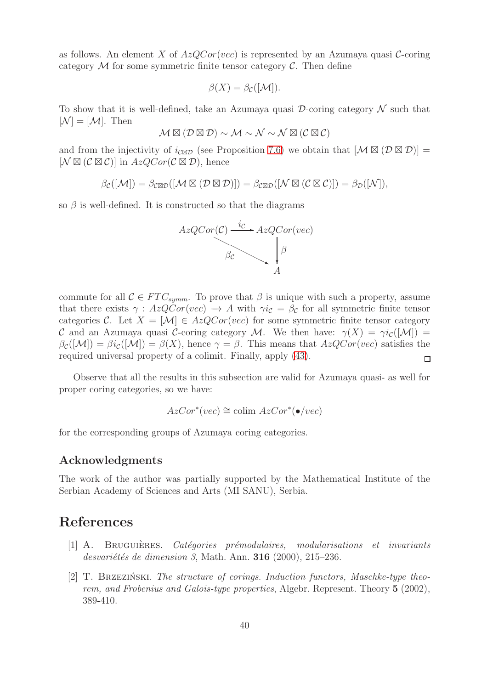as follows. An element X of  $AzQCor(vec)$  is represented by an Azumaya quasi C-coring category  $\mathcal M$  for some symmetric finite tensor category  $\mathcal C$ . Then define

$$
\beta(X) = \beta_{\mathcal{C}}([\mathcal{M}]).
$$

To show that it is well-defined, take an Azumaya quasi  $\mathcal{D}$ -coring category  $\mathcal N$  such that  $[\mathcal{N}] = [\mathcal{M}]$ . Then

$$
\mathcal{M} \boxtimes (\mathcal{D} \boxtimes \mathcal{D}) \sim \mathcal{M} \sim \mathcal{N} \sim \mathcal{N} \boxtimes (\mathcal{C} \boxtimes \mathcal{C})
$$

and from the injectivity of  $i_{\mathcal{C}\boxtimes\mathcal{D}}$  (see Proposition [7.6\)](#page-37-2) we obtain that  $[\mathcal{M}\boxtimes(\mathcal{D}\boxtimes\mathcal{D})]=$  $[\mathcal{N} \boxtimes (\mathcal{C} \boxtimes \mathcal{C})]$  in  $AzQCor(\mathcal{C} \boxtimes \mathcal{D})$ , hence

 $\beta_{\mathcal{C}}([M]) = \beta_{\mathcal{C}\boxtimes\mathcal{D}}([M\boxtimes(D\boxtimes\mathcal{D})]) = \beta_{\mathcal{C}\boxtimes\mathcal{D}}([N\boxtimes(D\boxtimes\mathcal{C})]) = \beta_{\mathcal{D}}([N]),$ 

so  $\beta$  is well-defined. It is constructed so that the diagrams



commute for all  $\mathcal{C} \in FTC_{symm}$ . To prove that  $\beta$  is unique with such a property, assume that there exists  $\gamma : AzQCor(vec) \rightarrow A$  with  $\gamma i_{\mathcal{C}} = \beta_{\mathcal{C}}$  for all symmetric finite tensor categories C. Let  $X = [\mathcal{M}] \in AzQCor(vec)$  for some symmetric finite tensor category C and an Azumaya quasi C-coring category M. We then have:  $\gamma(X) = \gamma i_c([M])$  $\beta_{\mathcal{C}}(|\mathcal{M}|) = \beta i_{\mathcal{C}}(|\mathcal{M}|) = \beta(X)$ , hence  $\gamma = \beta$ . This means that  $AzQCor(vec)$  satisfies the required universal property of a colimit. Finally, apply [\(43\)](#page-35-1). П

Observe that all the results in this subsection are valid for Azumaya quasi- as well for proper coring categories, so we have:

$$
AzCor^*(vec) \cong \text{colim } AzCor^*(\bullet /vec)
$$

for the corresponding groups of Azumaya coring categories.

#### Acknowledgments

The work of the author was partially supported by the Mathematical Institute of the Serbian Academy of Sciences and Arts (MI SANU), Serbia.

## <span id="page-39-1"></span>References

- [1] A. Brugui`eres. *Cat´egories pr´emodulaires, modularisations et invariants desvariétés de dimension 3*, Math. Ann. **316** (2000), 215–236.
- <span id="page-39-0"></span>[2] T. BRZEZIŃSKI. The structure of corings. Induction functors, Maschke-type theo*rem, and Frobenius and Galois-type properties*, Algebr. Represent. Theory 5 (2002), 389-410.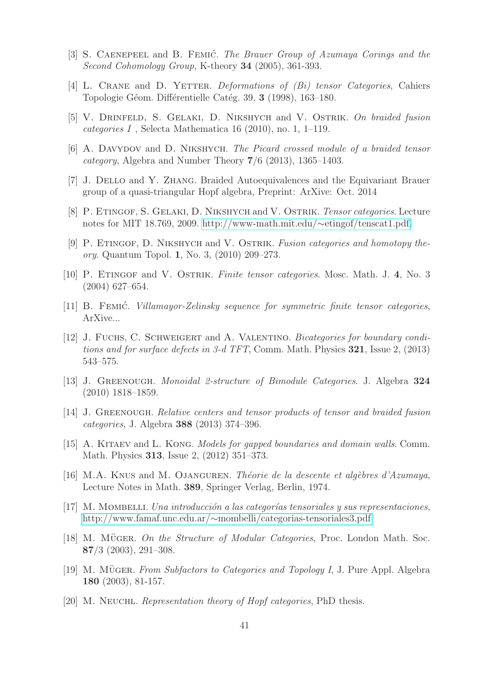- <span id="page-40-15"></span><span id="page-40-0"></span>[3] S. Caenepeel and B. Femic´. *The Brauer Group of Azumaya Corings and the Second Cohomology Group*, K-theory 34 (2005), 361-393.
- <span id="page-40-10"></span>[4] L. Crane and D. Yetter. *Deformations of (Bi) tensor Categories*, Cahiers Topologie Géom. Différentielle Catég. 39, 3 (1998), 163–180.
- <span id="page-40-5"></span>[5] V. Drinfeld, S. Gelaki, D. Nikshych and V. Ostrik. *On braided fusion categories I* , Selecta Mathematica 16 (2010), no. 1, 1–119.
- <span id="page-40-6"></span>[6] A. Davydov and D. Nikshych. *The Picard crossed module of a braided tensor category*, Algebra and Number Theory 7/6 (2013), 1365–1403.
- <span id="page-40-9"></span>[7] J. Dello and Y. Zhang. Braided Autoequivalences and the Equivariant Brauer group of a quasi-triangular Hopf algebra, Preprint: ArXive: Oct. 2014
- <span id="page-40-2"></span>[8] P. Etingof, S. Gelaki, D. Nikshych and V. Ostrik. *Tensor categories*. Lecture notes for MIT 18.769, 2009. [http://www-math.mit.edu/](http://www-math.mit.edu/~etingof/tenscat1.pdf)∼etingof/tenscat1.pdf.
- [9] P. Etingof, D. Nikshych and V. Ostrik. *Fusion categories and homotopy theory*. Quantum Topol. 1, No. 3, (2010) 209–273.
- <span id="page-40-7"></span><span id="page-40-1"></span>[10] P. Etingof and V. Ostrik. *Finite tensor categories*. Mosc. Math. J. 4, No. 3 (2004) 627–654.
- <span id="page-40-3"></span>[11] B. Femic´. *Villamayor-Zelinsky sequence for symmetric finite tensor categories*, ArXive...
- [12] J. Fuchs, C. Schweigert and A. Valentino. *Bicategories for boundary conditions and for surface defects in 3-d TFT*, Comm. Math. Physics 321, Issue 2, (2013) 543–575.
- <span id="page-40-8"></span>[13] J. Greenough. *Monoidal 2-structure of Bimodule Categories*. J. Algebra 324 (2010) 1818–1859.
- <span id="page-40-11"></span><span id="page-40-4"></span>[14] J. Greenough. *Relative centers and tensor products of tensor and braided fusion categories*, J. Algebra 388 (2013) 374–396.
- [15] A. Kitaev and L. Kong. *Models for gapped boundaries and domain walls*. Comm. Math. Physics 313, Issue 2, (2012) 351–373.
- <span id="page-40-16"></span>[16] M.A. Knus and M. Ojanguren. *Th´eorie de la descente et alg`ebres d'Azumaya*, Lecture Notes in Math. 389, Springer Verlag, Berlin, 1974.
- <span id="page-40-14"></span>[17] M. MOMBELLI. *Una introducción a las categorías tensoriales y sus representaciones*, http://www.famaf.unc.edu.ar/∼[mombelli/categorias-tensoriales3.pdf](http://www.famaf.unc.edu.ar/~mombelli/categorias-tensoriales3.pdf)
- <span id="page-40-12"></span>[18] M. MÜGER. On the Structure of Modular Categories, Proc. London Math. Soc. 87/3 (2003), 291–308.
- [19] M. MÜGER. *From Subfactors to Categories and Topology I*, J. Pure Appl. Algebra 180 (2003), 81-157.
- <span id="page-40-13"></span>[20] M. Neuchl. *Representation theory of Hopf categories*, PhD thesis.